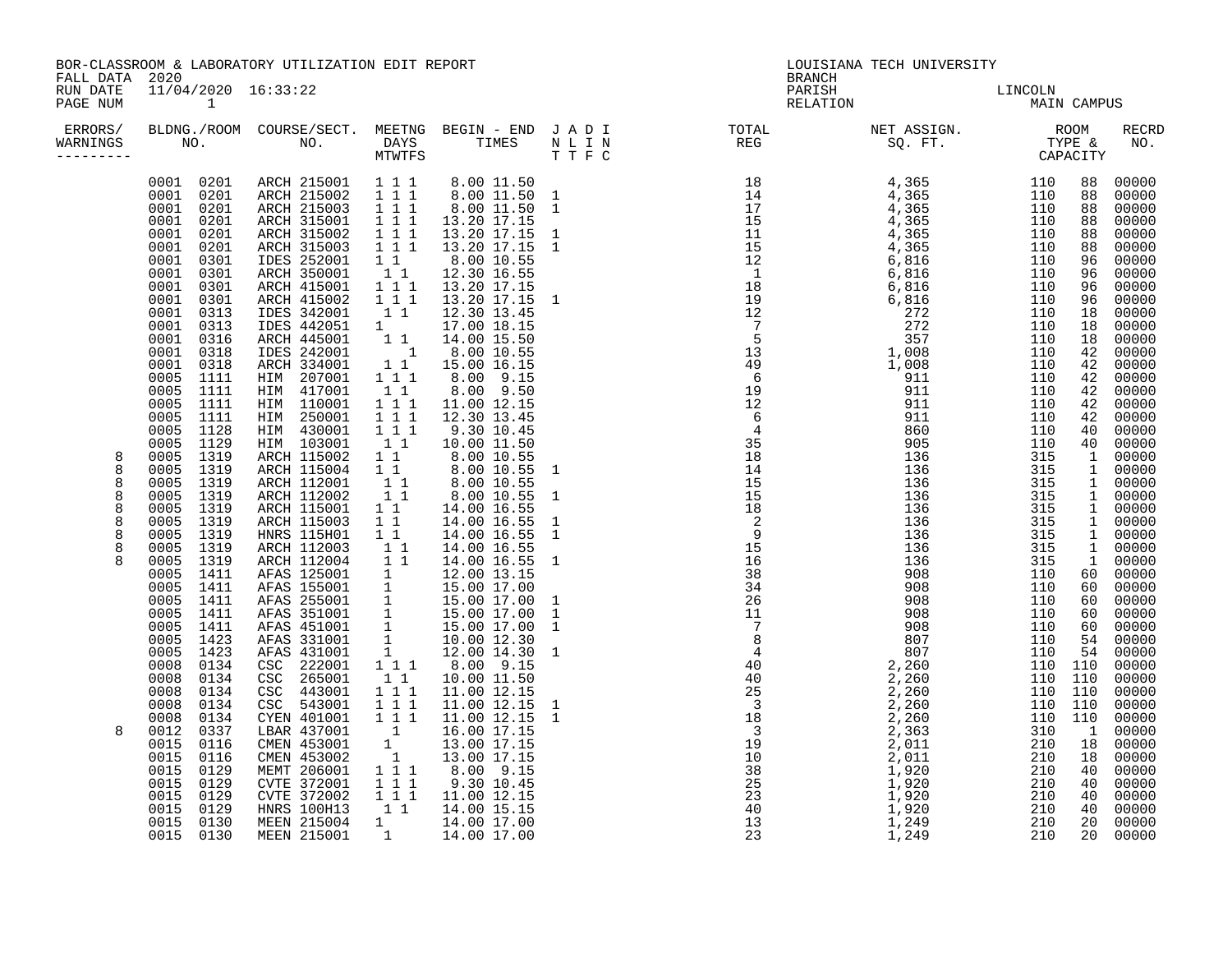| ERRORS/<br>WARNINGS                                  | NO.                                                                                                                                                                                                                                                                                                                                                                                                                                                                                                                                                 | BLDNG./ROOM COURSE/SECT.<br>NO.                                                                                                                                                                                                                                                                                                                                                                                                                                                                                         | DAYS<br><b>MTWTFS</b>                                                                                                                                                                                                                                                                                                                                                                                                                                                                | MEETNG BEGIN - END JADI<br>TIMES                                                                                                                                                                                                                                                                                                                                                                                                                                                                                 | N L I N<br>T T F C | TUIAL<br>REG                                                                                                                                                                                                                                                                                                                                                                                                                     |       |                                                                                                                                                                                                                                                                                                                                                                                                                                                                                                                          | <b>RECRD</b><br>NO.                                                                                                                                                                                                                                                                                            |
|------------------------------------------------------|-----------------------------------------------------------------------------------------------------------------------------------------------------------------------------------------------------------------------------------------------------------------------------------------------------------------------------------------------------------------------------------------------------------------------------------------------------------------------------------------------------------------------------------------------------|-------------------------------------------------------------------------------------------------------------------------------------------------------------------------------------------------------------------------------------------------------------------------------------------------------------------------------------------------------------------------------------------------------------------------------------------------------------------------------------------------------------------------|--------------------------------------------------------------------------------------------------------------------------------------------------------------------------------------------------------------------------------------------------------------------------------------------------------------------------------------------------------------------------------------------------------------------------------------------------------------------------------------|------------------------------------------------------------------------------------------------------------------------------------------------------------------------------------------------------------------------------------------------------------------------------------------------------------------------------------------------------------------------------------------------------------------------------------------------------------------------------------------------------------------|--------------------|----------------------------------------------------------------------------------------------------------------------------------------------------------------------------------------------------------------------------------------------------------------------------------------------------------------------------------------------------------------------------------------------------------------------------------|-------|--------------------------------------------------------------------------------------------------------------------------------------------------------------------------------------------------------------------------------------------------------------------------------------------------------------------------------------------------------------------------------------------------------------------------------------------------------------------------------------------------------------------------|----------------------------------------------------------------------------------------------------------------------------------------------------------------------------------------------------------------------------------------------------------------------------------------------------------------|
| 8<br>8<br>8<br>8<br>8<br>8<br>8<br>8<br>$\mathsf{R}$ | 0001 0201<br>0201<br>0001<br>0201<br>0001<br>0001 0201<br>0001<br>0201<br>0001<br>0201<br>0001<br>0301<br>0301<br>0001<br>0001<br>0301<br>0001 0301<br>0313<br>0001<br>0001<br>0313<br>0316<br>0001<br>0001<br>0318<br>0001<br>0318<br>0005<br>1111<br>0005<br>1111<br>1111<br>0005<br>0005<br>1111<br>0005<br>1128<br>1129<br>0005<br>1319<br>0005<br>1319<br>0005<br>1319<br>0005<br>1319<br>0005<br>1319<br>0005<br>1319<br>0005<br>1319<br>0005<br>1319<br>0005<br>1319<br>0005<br>1411<br>0005<br>0005<br>1411<br>0005<br>1411<br>0005<br>1411 | ARCH 215001<br>ARCH 215002<br>ARCH 215003<br>ARCH 315001<br>ARCH 315002<br>ARCH 315003<br>IDES 252001<br>ARCH 350001<br>ARCH 415001<br>ARCH 415002<br>IDES 342001<br>IDES 442051<br>ARCH 445001<br>IDES 242001<br>ARCH 334001<br>HIM 207001<br>HIM 417001<br>HIM 110001<br>250001<br>HIM<br>HIM 430001<br>HIM 103001<br>ARCH 115002<br>ARCH 115004<br>ARCH 112001<br>ARCH 112002<br>ARCH 115001<br>ARCH 115003<br>HNRS 115H01<br>ARCH 112003<br>ARCH 112004<br>AFAS 125001<br>AFAS 155001<br>AFAS 255001<br>AFAS 351001 | $\begin{array}{rrrr} 1&1&1\\ 1&1&1 \end{array}$<br>$1 1 1$<br>$1 1 1$<br>$\begin{array}{rrrr} & 1 & 1 & 1 \\ & 1 & 1 & 1 \end{array}$<br>$1\quad1$<br>$\begin{smallmatrix}1&1\\1&1&1\end{smallmatrix}$<br>111<br>$1\quad1$<br>1<br>$1\quad1$<br>$\overline{1}$<br>11<br>111<br>11<br>$1 1 1$<br>111<br>$1\ 1\ 1$<br>11<br>$1\quad1$<br>11<br>11<br>$1\quad1$<br>$1\quad1$<br>$1\quad1$<br>$1\quad1$<br>$1\quad1$<br>11<br>$\frac{1}{1}$<br>$\overline{1}$<br>$\overline{\mathbf{1}}$ | 8.00 11.50<br>8.00 11.50 1<br>8.00 11.50 1<br>13.20 17.15<br>13.20 17.15<br>13.20 17.15<br>8.00 10.55<br>12.30 16.55<br>13.20 17.15<br>13.20 17.15<br>12.30 13.45<br>17.00 18.15<br>14.00 15.50<br>8.00 10.55<br>15.00 16.15<br>8.00 9.15<br>8.00 9.50<br>11.00 12.15<br>12.30 13.45<br>9.30 10.45<br>10.00 11.50<br>8.00 10.55<br>8.00 10.55<br>8.00 10.55<br>8.00 10.55<br>14.00 16.55<br>14.00 16.55<br>14.00 16.55<br>14.00 16.55<br>14.00 16.55<br>12.00 13.15<br>15.00 17.00<br>15.00 17.00<br>15.00 17.00 |                    | $\begin{array}{cccccccc} \text{I} & \text{I} & \text{I} & \text{R} & \text{I} & \text{R} & \text{I} & \text{R} & \text{R} & \text{R} & \text{R} & \text{R} & \text{R} & \text{R} & \text{R} & \text{R} & \text{R} & \text{R} & \text{R} & \text{R} & \text{R} & \text{R} & \text{R} & \text{R} & \text{R} & \text{R} & \text{R} & \text{R} & \text{R} & \text{R} & \text{R} & \text{R} & \text{R} & \text{R} & \text{R} & \text$ |       | 110<br>88<br>110<br>88<br>110<br>88<br>110<br>88<br>110<br>88<br>110<br>88<br>110<br>96<br>110<br>96<br>110<br>96<br>110<br>96<br>110<br>18<br>110<br>18<br>110<br>18<br>110<br>42<br>110<br>42<br>110<br>42<br>110<br>42<br>110<br>42<br>110<br>42<br>110<br>40<br>110<br>40<br>315<br>1<br>315<br>$\mathbf{1}$<br>315<br>$\mathbf{1}$<br>315<br>$\mathbf 1$<br>315<br>$\mathbf{1}$<br>315<br>$\mathbf{1}$<br>315<br>$\mathbf 1$<br>315<br>$\mathbf{1}$<br>315<br>1<br>110<br>60<br>110<br>60<br>110<br>60<br>110<br>60 | 00000<br>00000<br>00000<br>00000<br>00000<br>00000<br>00000<br>00000<br>00000<br>00000<br>00000<br>00000<br>00000<br>00000<br>00000<br>00000<br>00000<br>00000<br>00000<br>00000<br>00000<br>00000<br>00000<br>00000<br>00000<br>00000<br>00000<br>00000<br>00000<br>00000<br>00000<br>00000<br>00000<br>00000 |
| 8                                                    | 0005<br>1411<br>0005<br>1423<br>0005<br>1423<br>0008<br>0134<br>0008<br>0134<br>0008<br>0134<br>0008<br>0134<br>0008<br>0134<br>0012<br>0337<br>0116<br>0015<br>0015<br>0116<br>0015<br>0129<br>0015<br>0129<br>0015<br>0129<br>0015<br>0129<br>0130<br>0015<br>0015 0130                                                                                                                                                                                                                                                                           | AFAS 451001<br>AFAS 331001<br>AFAS 431001<br>CSC 222001<br>265001<br>CSC<br>443001<br>CSC<br>CSC 543001<br>CYEN 401001<br>LBAR 437001<br>CMEN 453001<br>CMEN 453002<br>MEMT 206001<br>CVTE 372001<br>CVTE 372002<br><b>HNRS 100H13</b><br>MEEN 215004<br>MEEN 215001                                                                                                                                                                                                                                                    | 1<br>1<br>1<br>$1 1 1$<br>11<br>$\begin{array}{cccc} 1 & 1 & 1 \\ 1 & 1 & 1 \\ 1 & 1 & 1 \end{array}$<br>$\overline{\phantom{a}}$<br>1<br>$\overline{\mathbf{1}}$<br>$\begin{smallmatrix}1&1&1\\1&1&1\end{smallmatrix}$<br>111<br>11<br>$1 \qquad \qquad$                                                                                                                                                                                                                            | 15.00 17.00<br>10.00 12.30<br>12.00 14.30 1<br>8.00 9.15<br>10.00 11.50<br>11.00 12.15<br>11.00 12.15<br>11.00 12.15<br>16.00 17.15<br>13.00 17.15<br>13.00 17.15<br>8.00 9.15<br>9.30 10.45<br>11.00 12.15<br>14.00 15.15<br>14.00 17.00<br>1 14.00 17.00                                                                                                                                                                                                                                                       |                    |                                                                                                                                                                                                                                                                                                                                                                                                                                  | 1,249 | 110<br>60<br>110<br>54<br>110<br>54<br>110<br>110<br>110<br>110<br>110<br>110<br>110<br>110<br>110<br>110<br>310<br>$\overline{1}$<br>210<br>18<br>210<br>18<br>210<br>40<br>210<br>40<br>210<br>40<br>210<br>40<br>210<br>20<br>210<br>20                                                                                                                                                                                                                                                                               | 00000<br>00000<br>00000<br>00000<br>00000<br>00000<br>00000<br>00000<br>00000<br>00000<br>00000<br>00000<br>00000<br>00000<br>00000<br>00000<br>00000                                                                                                                                                          |

|                                           | 2020                                                                                                                                                                                                                                                                                                                                                                                                                                                                                                                   | BOR-CLASSROOM & LABORATORY UTILIZATION EDIT REPORT                                                                                                                                                                                                                                                                                                                                                                                                                                                                                                                                                                                              |                                                                                                                                                                                                                                                                                                                                     |            | LOUISIANA TECH UNIVERSITY<br><b>BRANCH</b> |                            |  |                                                                                                                                                                                                                                                                        |                                                                                                                                                                                                                                                                                                                              |
|-------------------------------------------|------------------------------------------------------------------------------------------------------------------------------------------------------------------------------------------------------------------------------------------------------------------------------------------------------------------------------------------------------------------------------------------------------------------------------------------------------------------------------------------------------------------------|-------------------------------------------------------------------------------------------------------------------------------------------------------------------------------------------------------------------------------------------------------------------------------------------------------------------------------------------------------------------------------------------------------------------------------------------------------------------------------------------------------------------------------------------------------------------------------------------------------------------------------------------------|-------------------------------------------------------------------------------------------------------------------------------------------------------------------------------------------------------------------------------------------------------------------------------------------------------------------------------------|------------|--------------------------------------------|----------------------------|--|------------------------------------------------------------------------------------------------------------------------------------------------------------------------------------------------------------------------------------------------------------------------|------------------------------------------------------------------------------------------------------------------------------------------------------------------------------------------------------------------------------------------------------------------------------------------------------------------------------|
| FALL DATA<br>RUN DATE<br>PAGE NUM         | 11/04/2020 16:33:22<br>$\sim$ 1                                                                                                                                                                                                                                                                                                                                                                                                                                                                                        |                                                                                                                                                                                                                                                                                                                                                                                                                                                                                                                                                                                                                                                 |                                                                                                                                                                                                                                                                                                                                     |            |                                            | PARISH DARISH LINCOLN NAIN |  | MAIN CAMPUS                                                                                                                                                                                                                                                            |                                                                                                                                                                                                                                                                                                                              |
| ERRORS/<br>WARNINGS                       |                                                                                                                                                                                                                                                                                                                                                                                                                                                                                                                        |                                                                                                                                                                                                                                                                                                                                                                                                                                                                                                                                                                                                                                                 |                                                                                                                                                                                                                                                                                                                                     |            |                                            |                            |  |                                                                                                                                                                                                                                                                        | <b>RECI</b><br>NO                                                                                                                                                                                                                                                                                                            |
| 8<br>8<br>8<br>8<br>8<br>8<br>8<br>8<br>8 | 0001 0201<br>0001 0201<br>0001 0201<br>0001 0201<br>0001 0201<br>0001 0301<br>0001 0301<br>0001 0301<br>0001 0301<br>0001 0313<br>0001 0313<br>0001 0316<br>0001 0318<br>0001 0318<br>0005 1111<br>0005 1111<br>0005 1111<br>0005 1111<br>0005 1128<br>0005 1129<br>0005 1319<br>1319<br>0005<br>0005 1319<br>0005 1319<br>0005 1319<br>0005 1319<br>0005 1319<br>0005 1319<br>0005 1319<br>0005 1411<br>0005 1411<br>0005 1411<br>0005 1411<br>1411<br>0005<br>0005<br>1423<br>0005 1423<br>0008<br>0134<br>0008 0134 | 0001 0201 ARCH 215001 111<br>ARCH 215002 1 1 1<br>ARCH 215003 1 1 1<br>ARCH 315001 1 1 1<br>ARCH 315002<br>ARCH 315003 1 1 1<br>IDES 252001 1 1<br>ARCH 350001 1 1<br>ARCH 415001<br>ARCH 415002<br>IDES 342001<br>IDES 442051<br>ARCH 445001<br>IDES 242001<br>ARCH 334001<br>HIM 207001<br>HIM 417001<br>HIM 110001<br>HIM 250001<br>HIM 430001<br>HIM 103001<br>ARCH 115002<br>ARCH 115004<br>ARCH 112001<br>ARCH 112002<br>ARCH 115001<br>ARCH 115003<br>HNRS 115H01<br>ARCH 112003<br>ARCH 112004<br>AFAS 125001<br>AFAS 155001<br>AFAS 255001 1<br>AFAS 255001 1<br>AFAS 451001<br>AFAS 331001<br>AFAS 431001<br>CSC 222001<br>CSC 265001 | $1 1 1$<br>111<br>1 1 1<br>$1\quad1$<br>1<br>$1\quad1$<br>$\overline{\mathbf{1}}$<br>$1\quad1$<br>1 1 1<br>$1\quad1$<br>1 1 1<br>$1 1 1$<br>111<br>$1\quad1$<br>$1\quad1$<br>$1\quad1$<br>11<br>11<br>$1\quad1$<br>$1\quad1$<br>$1\quad1$<br>$1\quad1$<br>$1\quad1$<br>1<br>1<br>$\frac{1}{1}$<br>$\mathbf 1$<br>1 1 1<br>$1\quad1$ | 8.00 10.55 |                                            |                            |  | 88<br>88<br>88<br>88<br>88<br>88<br>96<br>96<br>96<br>96<br>18<br>18<br>18<br>42<br>42<br>42<br>42<br>42<br>42<br>40<br>40<br>$\mathbf{1}$<br>$\mathbf{1}$<br>$\mathbf{1}$<br>1<br>$\mathbf{1}$<br>$\mathbf{1}$<br>$\mathbf{1}$<br><sup>1</sup><br>1<br>60<br>60<br>60 | 0000<br>00000<br>0000<br>0000<br>00000<br>0000<br>0000<br>0000<br>0000<br>00000<br>0000<br>0000<br>0000<br>0000<br>00000<br>0000<br>0000<br>0000<br>0000<br>00000<br>0000<br>0000<br>0000<br>0000<br>00000<br>0000<br>0000<br>0000<br>0000<br>00000<br>0000<br>0000<br>0000<br>0000<br>00000<br>0000<br>0000<br>0000<br>0000 |
|                                           | 0134<br>0008<br>0.00000124                                                                                                                                                                                                                                                                                                                                                                                                                                                                                             | CSC 443001<br>000E12001                                                                                                                                                                                                                                                                                                                                                                                                                                                                                                                                                                                                                         | 111                                                                                                                                                                                                                                                                                                                                 |            |                                            |                            |  |                                                                                                                                                                                                                                                                        | 00000<br>00000                                                                                                                                                                                                                                                                                                               |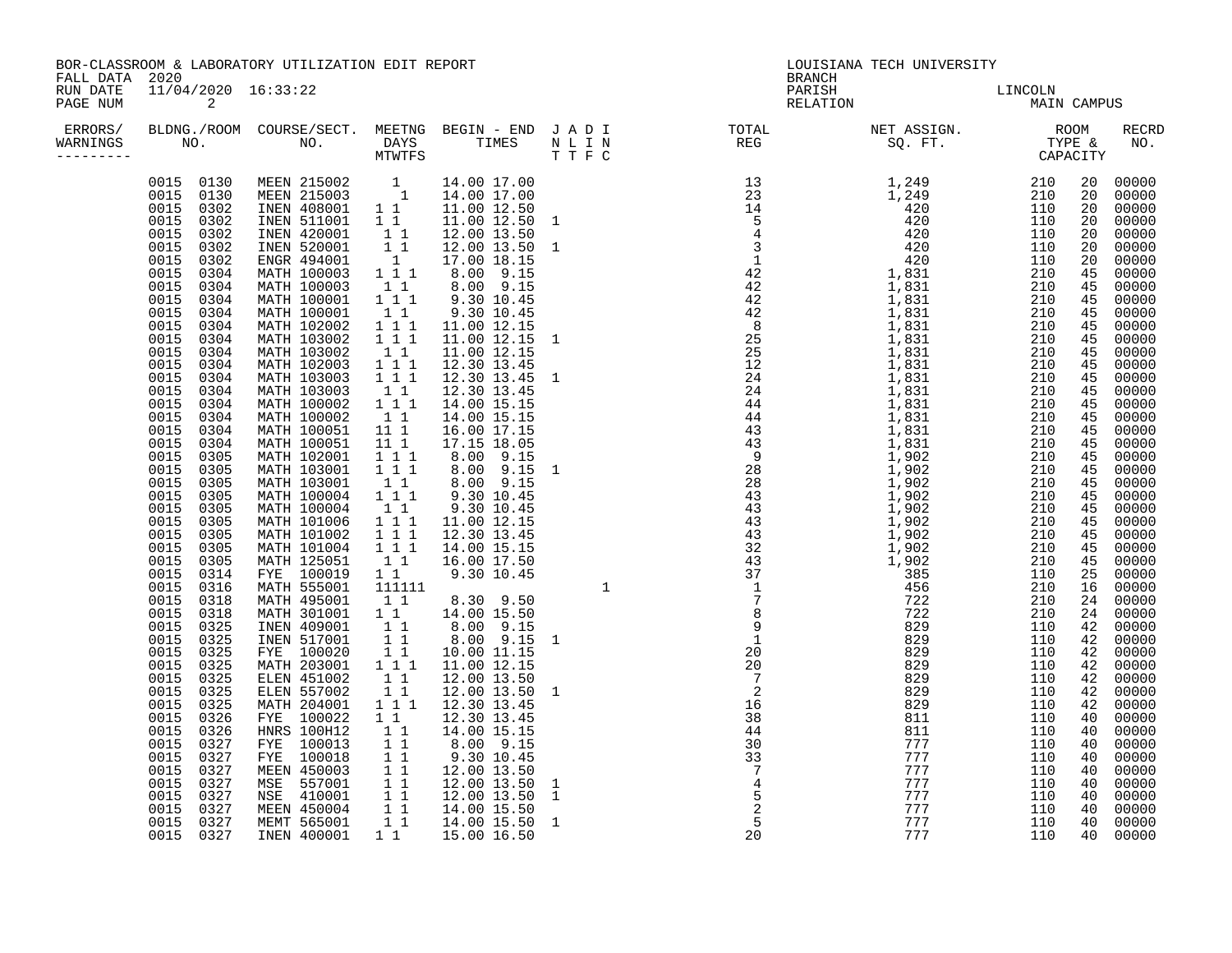| BOR-CLASSROOM & LABORATORY UTILIZATION EDIT REPORT<br>FALL DATA 2020 |                          |  |  |  |  | LOUISIANA TECH UNIVERSITY<br><b>BRANCH</b>                                                                                                                                                               |                        |  |                                                                                                                                                                                                                                                                                  |                                                                                                                                                                                                                                                                                                                                                                                                                                                                |
|----------------------------------------------------------------------|--------------------------|--|--|--|--|----------------------------------------------------------------------------------------------------------------------------------------------------------------------------------------------------------|------------------------|--|----------------------------------------------------------------------------------------------------------------------------------------------------------------------------------------------------------------------------------------------------------------------------------|----------------------------------------------------------------------------------------------------------------------------------------------------------------------------------------------------------------------------------------------------------------------------------------------------------------------------------------------------------------------------------------------------------------------------------------------------------------|
| RUN DATE<br>PAGE NUM                                                 | 11/04/2020 16:33:22<br>2 |  |  |  |  | PARISH<br>RELATION                                                                                                                                                                                       | LINCOLN<br>MAIN CAMPUS |  |                                                                                                                                                                                                                                                                                  |                                                                                                                                                                                                                                                                                                                                                                                                                                                                |
| WARNINGS                                                             |                          |  |  |  |  | ERRORS/ BLDNG./ROOM COURSE/SECT. MEETNG BEGIN – END JADI TOTAL NETASSIGN. NETASSIGN. NOOM RECRE<br>WARNINGS NO. NO. DAYS TIMES NLINKE REGN REGS SQ.FT. TYPE & NO.<br>-------- CAPACITY MTWTFS TIMES TIFC |                        |  |                                                                                                                                                                                                                                                                                  | RECRD                                                                                                                                                                                                                                                                                                                                                                                                                                                          |
|                                                                      |                          |  |  |  |  |                                                                                                                                                                                                          |                        |  | 20<br>20<br>20<br>20<br>20<br>45<br>45<br>45<br>45<br>45<br>45<br>45<br>45<br>45<br>45<br>45<br>45<br>45<br>45<br>45<br>45<br>45<br>45<br>45<br>45<br>45<br>45<br>25<br>16<br>24<br>24<br>42<br>42<br>42<br>42<br>42<br>42<br>42<br>40<br>40<br>40<br>40<br>40<br>40<br>40<br>40 | 20 00000<br>20 00000<br>00000<br>00000<br>00000<br>00000<br>00000<br>00000<br>45 00000<br>00000<br>00000<br>00000<br>00000<br>00000<br>00000<br>00000<br>00000<br>00000<br>00000<br>00000<br>00000<br>00000<br>00000<br>00000<br>00000<br>00000<br>00000<br>00000<br>00000<br>00000<br>00000<br>00000<br>00000<br>00000<br>00000<br>00000<br>00000<br>00000<br>00000<br>00000<br>00000<br>00000<br>00000<br>00000<br>00000<br>00000<br>00000<br>00000<br>00000 |
|                                                                      |                          |  |  |  |  |                                                                                                                                                                                                          |                        |  | 40                                                                                                                                                                                                                                                                               | 00000<br>40 00000                                                                                                                                                                                                                                                                                                                                                                                                                                              |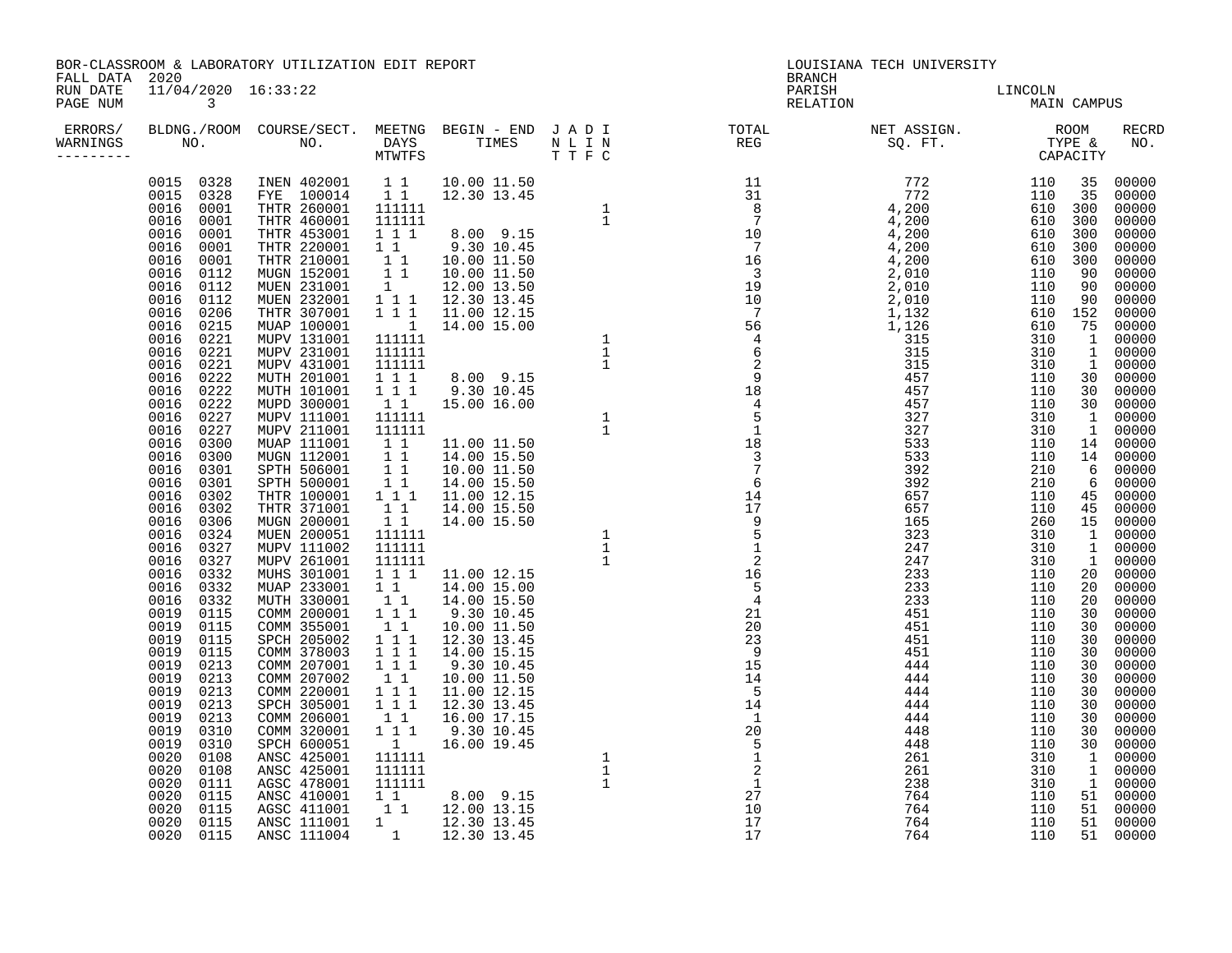| FALL DATA 2020        |                                 | BOR-CLASSROOM & LABORATORY UTILIZATION EDIT REPORT |  | LOUISIANA TECH UNIVERSITY<br><b>BRANCH</b>                                                                                                                                                                              |                                              |  |  |       |
|-----------------------|---------------------------------|----------------------------------------------------|--|-------------------------------------------------------------------------------------------------------------------------------------------------------------------------------------------------------------------------|----------------------------------------------|--|--|-------|
| RUN DATE<br>PAGE NUM  | 11/04/2020 16:33:22<br>$\sim$ 3 |                                                    |  |                                                                                                                                                                                                                         | PARISH LINCOLN<br>PARISH LINCOLN MAIN CAMPUS |  |  |       |
| WARNINGS<br>--------- |                                 |                                                    |  | ERRORS/ BLDNG./ROOM COURSE/SECT. MEETNG BEGIN – END JADI TOTAL METASSIGN. NET ASSIGN. NOOM RECRINARNINGS NO. NOOM NOOM DAYS TIMES NULLE NOOM THE SOURCH SQ. FT. TYPE & NO.<br>-------- NO. NO. MTWTFS TIMES NULLE THE C |                                              |  |  | RECRD |
|                       |                                 |                                                    |  |                                                                                                                                                                                                                         |                                              |  |  |       |
|                       |                                 |                                                    |  |                                                                                                                                                                                                                         |                                              |  |  |       |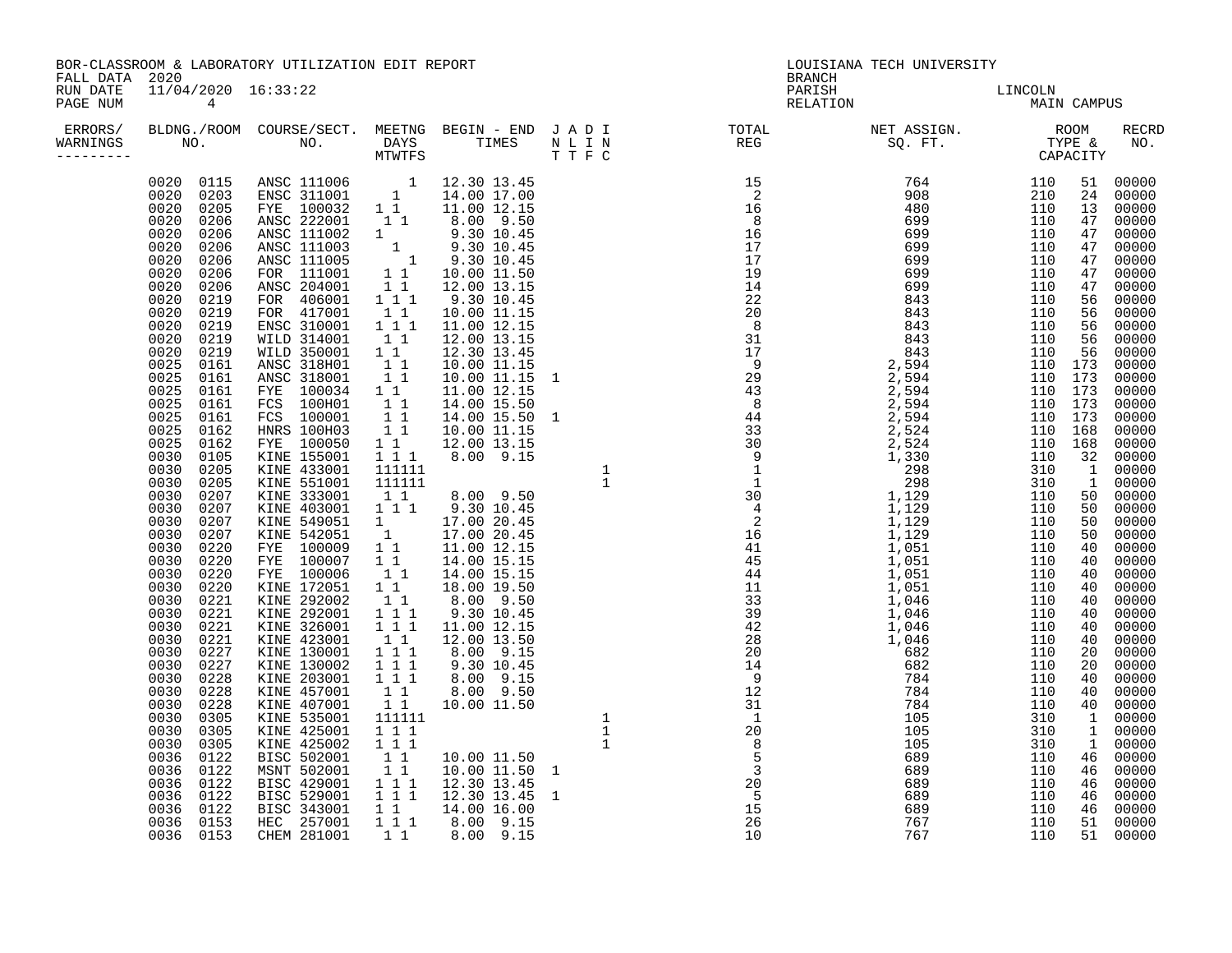| FALL DATA 2020       |                                                                                                                                                                                                                                                                                                                                                                                                                                                                                                                                           | BOR-CLASSROOM & LABORATORY UTILIZATION EDIT REPORT                                                                                                                                                                                                                                                |  | LOUISIANA TECH UNIVERSITY<br><b>BRANCH</b>                                                                                                                                                                                      |                                       |  |                                                                                                                                                                                                                                                                                                                                                                                                                                                                                                                |
|----------------------|-------------------------------------------------------------------------------------------------------------------------------------------------------------------------------------------------------------------------------------------------------------------------------------------------------------------------------------------------------------------------------------------------------------------------------------------------------------------------------------------------------------------------------------------|---------------------------------------------------------------------------------------------------------------------------------------------------------------------------------------------------------------------------------------------------------------------------------------------------|--|---------------------------------------------------------------------------------------------------------------------------------------------------------------------------------------------------------------------------------|---------------------------------------|--|----------------------------------------------------------------------------------------------------------------------------------------------------------------------------------------------------------------------------------------------------------------------------------------------------------------------------------------------------------------------------------------------------------------------------------------------------------------------------------------------------------------|
| RUN DATE<br>PAGE NUM | 11/04/2020 16:33:22<br>$\overline{4}$                                                                                                                                                                                                                                                                                                                                                                                                                                                                                                     |                                                                                                                                                                                                                                                                                                   |  |                                                                                                                                                                                                                                 | PARISH<br>PARISH DELATION MAIN CAMPUS |  |                                                                                                                                                                                                                                                                                                                                                                                                                                                                                                                |
|                      |                                                                                                                                                                                                                                                                                                                                                                                                                                                                                                                                           |                                                                                                                                                                                                                                                                                                   |  | ERRORS/ BLDNG./ROOM COURSE/SECT. MEETNG BEGIN – END JADI TOTAL NET ASSIGN.   ROOM RECRING NO.   DAYS TIMES NULIN<br>WARNINGS NO.   NO.   DAYS TIMES NULIN REG   SQ.FT.   TYPE & NO.<br>---------     CAPACITY     MTWTFS   TTFC |                                       |  | RECRD                                                                                                                                                                                                                                                                                                                                                                                                                                                                                                          |
|                      | 0020 0219<br>0020 0219<br>0025 0161<br>0025 0161<br>0025<br>0161<br>0025 0161<br>$0025$ $0161$<br>0025 0162<br>0025 0162<br>0030 0105<br>0030 0205<br>0030 0205<br>0030 0207<br>$0030$ 0207<br>0030 0207<br>0030 0207<br>0030 0220<br>0030<br>0220<br>0030 0220<br>0030 0220<br>0030 0221<br>0030 0221<br>0030 0221<br>0030 0221<br>0030 0227<br>0030 0227<br>0030 0228<br>0030 0228<br>0030 0228<br>0030 0305<br>0030<br>0305<br>0030<br>0305<br>0036 0122<br>0036 0122<br>0036 0122<br>0036 0122<br>0036 0122<br>0036 0153<br>0036 0153 | $\begin{tabular}{cccc} 0.020 & 0.115 & ANSC & 111006 & 1 & 12.30 & 13.45 \\ 0.020 & 0.203 & ENSC & 311001 & 1 & 14.00 & 17.00 \\ 0.020 & 0.205 & FYE & 100032 & 1 & 11.00 & 12.15 \\ 0.020 & 0.206 & ANSC & 212001 & 1 & 8.00 & 9.50 \\ 0.020 & 0.206 & ANSC & 111002 & 1 & 9.30 & 10.45 \\ 0.02$ |  |                                                                                                                                                                                                                                 |                                       |  | 51 00000<br>24 00000<br>00000<br>00000<br>00000<br>47 00000<br>00000<br>00000<br>00000<br>56 00000<br>00000<br>00000<br>00000<br>56 00000<br>00000<br>00000<br>00000<br>00000<br>00000<br>00000<br>00000<br>00000<br>00000<br>00000<br>50 00000<br>00000<br>00000<br>50 00000<br>00000<br>00000<br>00000<br>00000<br>00000<br>00000<br>00000<br>00000<br>00000<br>00000<br>00000<br>40 00000<br>40 00000<br>00000<br>00000<br>00000<br>00000<br>46 00000<br>00000<br>00000<br>46 00000<br>51 00000<br>51 00000 |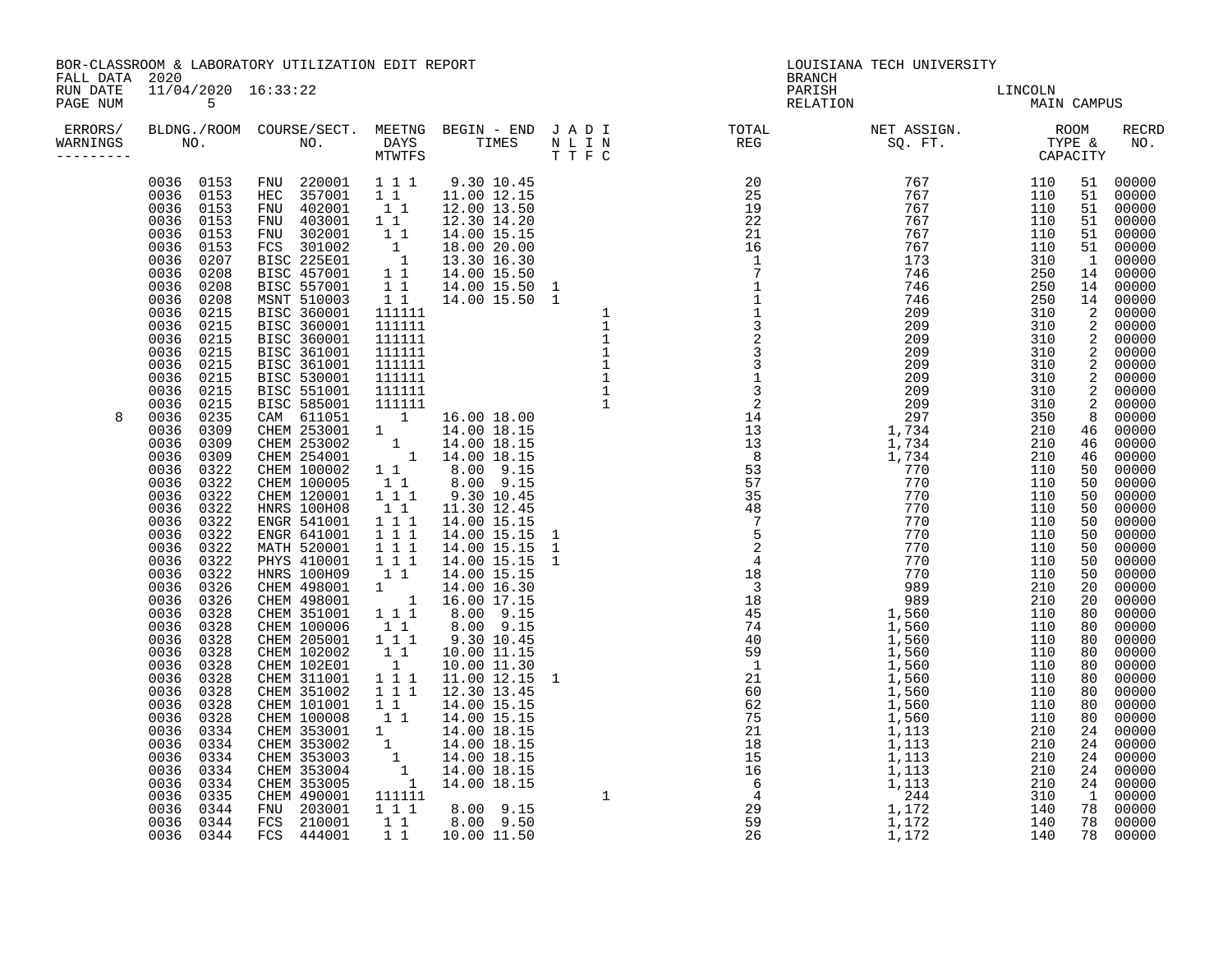|                                  |                                              | BOR-CLASSROOM & LABORATORY UTILIZATION EDIT REPORT |  | LOUISIANA TECH UNIVERSITY<br><b>BRANCH</b>                                                                                                             |                        |  |  |       |
|----------------------------------|----------------------------------------------|----------------------------------------------------|--|--------------------------------------------------------------------------------------------------------------------------------------------------------|------------------------|--|--|-------|
| FALL DATA 2020<br>PAGE NUM       | RUN DATE   11/04/2020   16:33:22<br>$\sim$ 5 |                                                    |  | PARISH<br>RELATION                                                                                                                                     | LINCOLN<br>MAIN CAMPUS |  |  |       |
| ERRORS/<br>WARNINGS<br>--------- |                                              |                                                    |  | BLDNG./ROOM COURSE/SECT. MEETNG BEGIN – END JADI TOTAL MET ASSIGN. NET ASSIGN. RECRE<br>NO. NO. DAYS TIMES NLIN REG SQ.FT. TYPE & NO.<br>TTFC CAPACITY |                        |  |  | RECRD |
| 8                                |                                              |                                                    |  |                                                                                                                                                        |                        |  |  |       |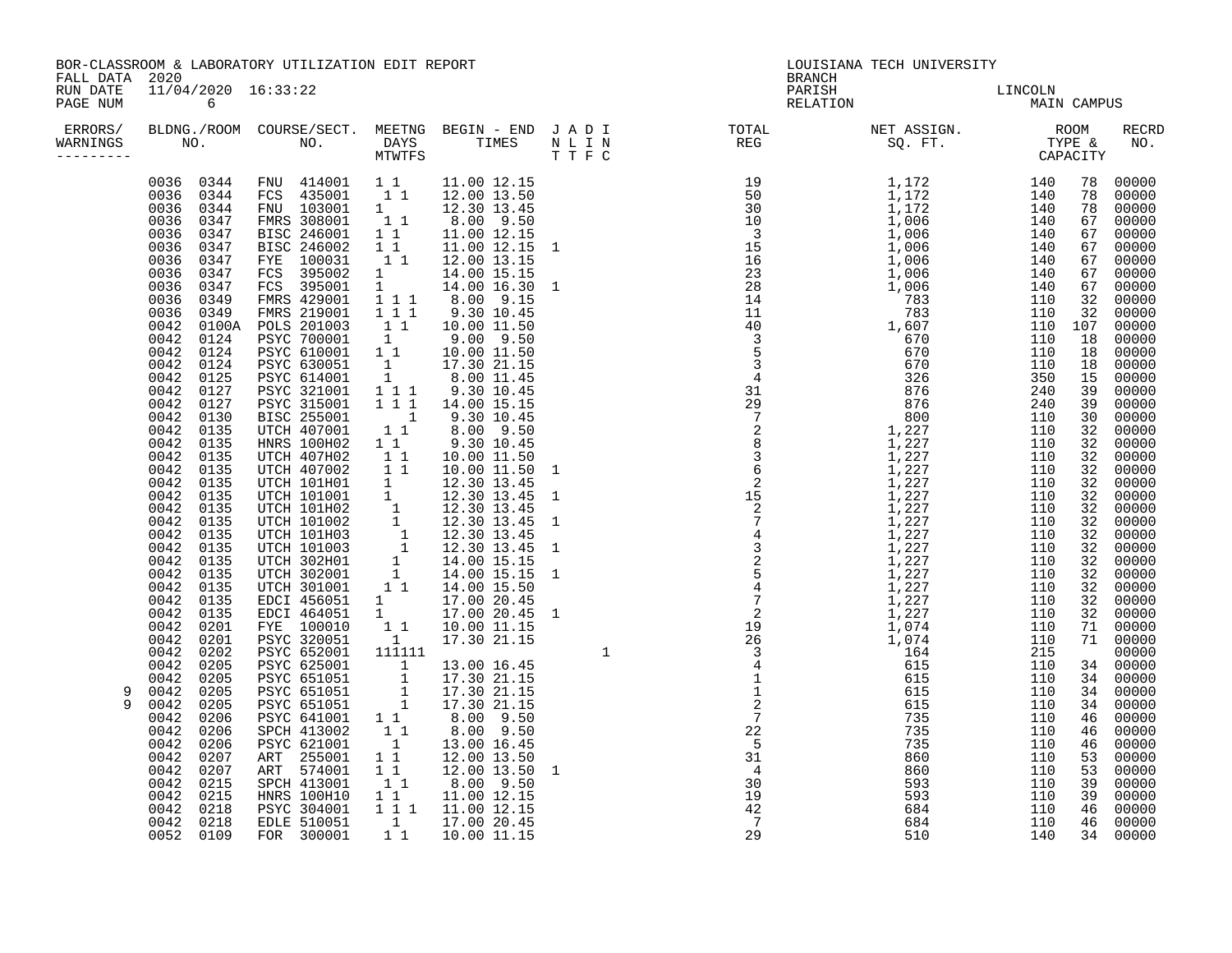| FALL DATA 2020                   |                                                                                                                                                                                                                                                                                                                                                                                                                                                                                                       | BOR-CLASSROOM & LABORATORY UTILIZATION EDIT REPORT                                                                                                                                                                                                                                                                                                                                                                                                            |  | LOUISIANA TECH UNIVERSITY<br><b>BRANCH</b> |  |                                     |  |  |  |
|----------------------------------|-------------------------------------------------------------------------------------------------------------------------------------------------------------------------------------------------------------------------------------------------------------------------------------------------------------------------------------------------------------------------------------------------------------------------------------------------------------------------------------------------------|---------------------------------------------------------------------------------------------------------------------------------------------------------------------------------------------------------------------------------------------------------------------------------------------------------------------------------------------------------------------------------------------------------------------------------------------------------------|--|--------------------------------------------|--|-------------------------------------|--|--|--|
| RUN DATE<br>PAGE NUM             | 11/04/2020 16:33:22<br>$6\overline{6}$                                                                                                                                                                                                                                                                                                                                                                                                                                                                |                                                                                                                                                                                                                                                                                                                                                                                                                                                               |  |                                            |  | PARISH RELATION LINCOLN MAIN CAMPUS |  |  |  |
| ERRORS/<br>WARNINGS<br>--------- |                                                                                                                                                                                                                                                                                                                                                                                                                                                                                                       |                                                                                                                                                                                                                                                                                                                                                                                                                                                               |  |                                            |  |                                     |  |  |  |
| 9<br>9                           | 0036 0344<br>0036 0347<br>0036 0347<br>0036 0347<br>0036 0347<br>0042 0127<br>0042 0130<br>0042 0135<br>0042 0135<br>$0042$ 0135<br>0042 0135<br>0042 0135<br>0042 0135<br>0042 0135<br>0042 0135<br>0042 0135<br>$0042$ 0135<br>0042 0135<br>0042<br>0042<br>0042 0135<br>0042 0135<br>0042 0201<br>0042 0201<br>0042 0202<br>0042 0205<br>0042 0205<br>0042<br>0042<br>0042<br>0042 0206<br>0042 0206<br>0042<br>0042 0207<br>0042 0215<br>0042 0215<br>$0042$ $0218$<br>0042 0218<br>$0052$ $0109$ | $\begin{array}{cccccc} 0036 & 0344 & FNU & 414001 & 1 & 1 & 11.00 & 12.15 \\ 0036 & 0344 & FCS & 435001 & 1 & 1 & 12.00 & 13.50 \end{array}$<br>$\begin{array}{cccccc} 0036 & 0347 & \text{FYE} & 100031 & 11 & 12.00 & 13.15 \\ 0036 & 0347 & \text{FCS} & 395002 & 1 & 14.00 & 15.15 \\ 0036 & 0347 & \text{FCS} & 395001 & 1 & 14.00 & 16.15 \\ 0036 & 0349 & \text{FMRS} & 429001 & 1 & 1 & 8.00 & 9.15 \\ 0036 & 0349 & \text{FMRS} & 219001 & 1 & 1 & $ |  |                                            |  |                                     |  |  |  |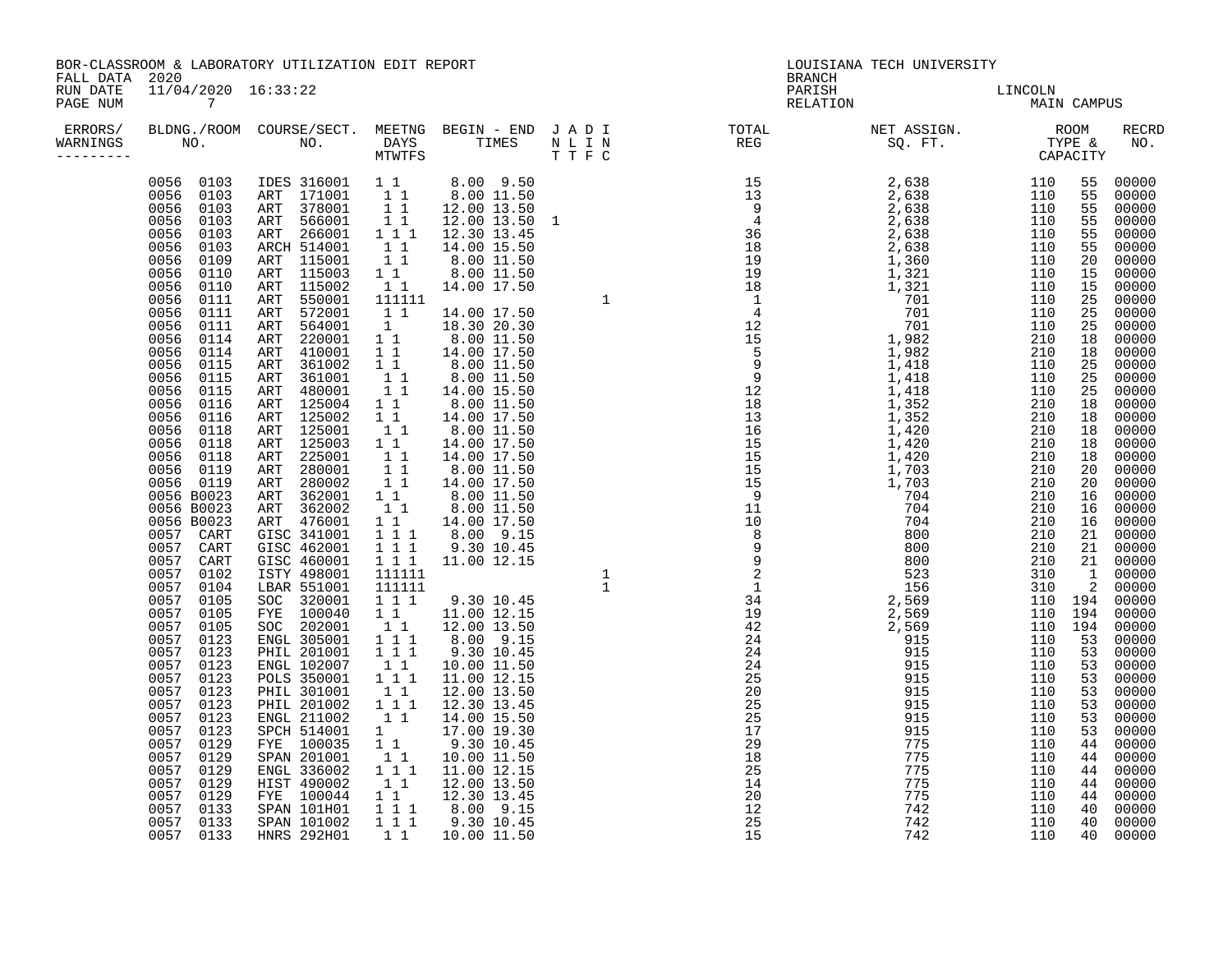| FALL DATA 2020                  |                                       | BOR-CLASSROOM & LABORATORY UTILIZATION EDIT REPORT |  | LOUISIANA TECH UNIVERSITY<br><b>BRANCH</b>                                                                                                                                      |                        |  |  |                                                                                                                                                                                                                                                                                                                                                                                                                                                                                                       |
|---------------------------------|---------------------------------------|----------------------------------------------------|--|---------------------------------------------------------------------------------------------------------------------------------------------------------------------------------|------------------------|--|--|-------------------------------------------------------------------------------------------------------------------------------------------------------------------------------------------------------------------------------------------------------------------------------------------------------------------------------------------------------------------------------------------------------------------------------------------------------------------------------------------------------|
| RUN DATE<br>PAGE NUM            | 11/04/2020 16:33:22<br>$\overline{7}$ |                                                    |  | PARISH<br>RELATION                                                                                                                                                              | LINCOLN<br>MAIN CAMPUS |  |  |                                                                                                                                                                                                                                                                                                                                                                                                                                                                                                       |
| ERRORS/<br>WARNINGS<br>-------- |                                       |                                                    |  | BLDNG./ROOM COURSE/SECT. MEETNG BEGIN-END JADI TOTAL NET ASSIGN.     ROOM RECRD<br>NO.     NO.   DAYS   TIMES  NLIN     REG       SQ.FT.     TYPE & NO.<br>MTWTFS         TTF C |                        |  |  |                                                                                                                                                                                                                                                                                                                                                                                                                                                                                                       |
|                                 |                                       |                                                    |  |                                                                                                                                                                                 |                        |  |  | 55 00000<br>55 00000<br>00000<br>00000<br>00000<br>00000<br>00000<br>00000<br>00000<br>00000<br>00000<br>00000<br>00000<br>18 00000<br>00000<br>00000<br>00000<br>00000<br>00000<br>18 00000<br>00000<br>00000<br>00000<br>00000<br>00000<br>00000<br>16 00000<br>21 00000<br>21 00000<br>00000<br>00000<br>00000<br>00000<br>00000<br>00000<br>00000<br>00000<br>00000<br>00000<br>00000<br>00000<br>00000<br>00000<br>00000<br>00000<br>00000<br>00000<br>00000<br>40 00000<br>40 00000<br>40 00000 |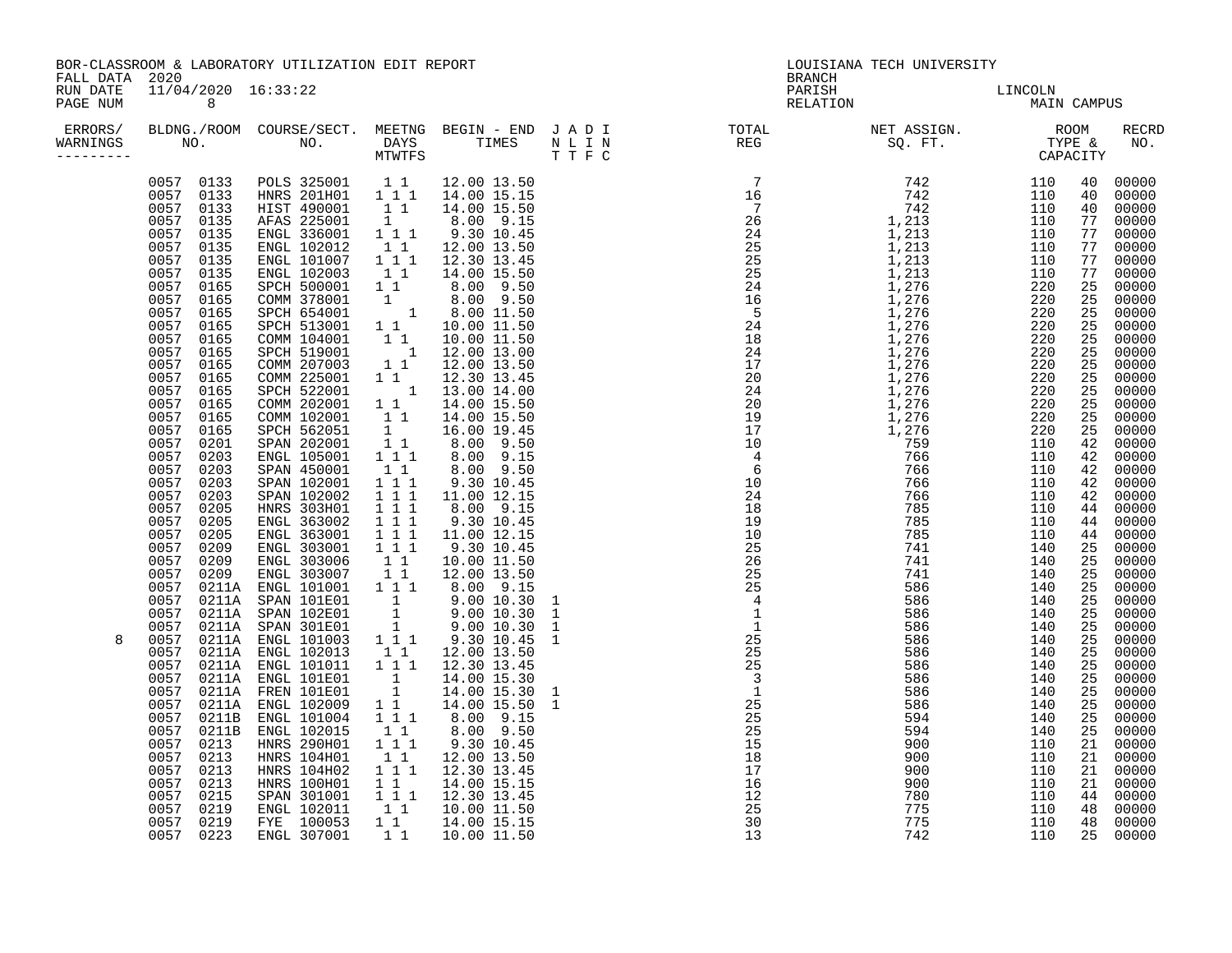| FALL DATA 2020                   |                                                                                                                                                                                                                                                                                                                                                                                                                            | BOR-CLASSROOM & LABORATORY UTILIZATION EDIT REPORT                                                                                                                                                                                                                                                                                                                                                                                                                                                                                                                                                                                                                                                                                                                                                                                                                                                                                                                                                                                                                                                                  |                                                                                                                                                                                                                                                                                                                                                                                                                                                                                                                                                                                                                                                             | LOUISIANA TECH UNIVERSITY<br><b>BRANCH</b>                                                                                                                                                                                                                                      |                        |  |  |              |
|----------------------------------|----------------------------------------------------------------------------------------------------------------------------------------------------------------------------------------------------------------------------------------------------------------------------------------------------------------------------------------------------------------------------------------------------------------------------|---------------------------------------------------------------------------------------------------------------------------------------------------------------------------------------------------------------------------------------------------------------------------------------------------------------------------------------------------------------------------------------------------------------------------------------------------------------------------------------------------------------------------------------------------------------------------------------------------------------------------------------------------------------------------------------------------------------------------------------------------------------------------------------------------------------------------------------------------------------------------------------------------------------------------------------------------------------------------------------------------------------------------------------------------------------------------------------------------------------------|-------------------------------------------------------------------------------------------------------------------------------------------------------------------------------------------------------------------------------------------------------------------------------------------------------------------------------------------------------------------------------------------------------------------------------------------------------------------------------------------------------------------------------------------------------------------------------------------------------------------------------------------------------------|---------------------------------------------------------------------------------------------------------------------------------------------------------------------------------------------------------------------------------------------------------------------------------|------------------------|--|--|--------------|
| RUN DATE<br>PAGE NUM             | 11/04/2020 16:33:22<br>8 <sup>8</sup>                                                                                                                                                                                                                                                                                                                                                                                      |                                                                                                                                                                                                                                                                                                                                                                                                                                                                                                                                                                                                                                                                                                                                                                                                                                                                                                                                                                                                                                                                                                                     |                                                                                                                                                                                                                                                                                                                                                                                                                                                                                                                                                                                                                                                             | PARISH<br>RELATION                                                                                                                                                                                                                                                              | LINCOLN<br>MAIN CAMPUS |  |  |              |
| ERRORS/<br>WARNINGS<br>--------- |                                                                                                                                                                                                                                                                                                                                                                                                                            |                                                                                                                                                                                                                                                                                                                                                                                                                                                                                                                                                                                                                                                                                                                                                                                                                                                                                                                                                                                                                                                                                                                     |                                                                                                                                                                                                                                                                                                                                                                                                                                                                                                                                                                                                                                                             |                                                                                                                                                                                                                                                                                 |                        |  |  | <b>RECRD</b> |
| 8                                | 0057<br>0135<br>0057<br>0135<br>0057 0135<br>0057 0135<br>0057 0165<br>0057 0165<br>0057 0165<br>0057 0165<br>0057 0165<br>0057 0165<br>0057 0165<br>0057 0165<br>0057<br>0165<br>0057 0165<br>0057 0165<br>0057 0165<br>0057 0201<br>0057<br>0203<br>0057 0203<br>0057 0203<br>0057<br>0203<br>0205<br>0057<br>0057<br>0205<br>0057 0213<br>0057 0213<br>0057 0213<br>0057<br>0215<br>0057 0219<br>0057 0219<br>0057 0223 | 0057 0133 POLS 325001 1 1 12.00 13.50<br>0057 0133 HNRS 201H01 1 1 1 14.00 15.15<br>0057 0133 HIST 490001 1 1 14.00 15.50<br>0057 0135 HIST 490001 1 1 14.00 15.50<br>ENGL 336001 1 1 9.30 10.45<br>ENGL 102012 1 1 12.00 13.50<br>ENGL 101007 1 1 1 12.30 13.45<br>ENGL 101007 1 1 1 12.30 13.45<br>ENGL 102003 1 1 14.00 15.50<br>SPCH 500001 1 8.00 9.50<br>COMM 378001 1 8.00 9.50<br>SPCH 654001 1 8.00 11.50<br>SPCH 513001 1 1 10.00 11.50<br>COMM 104001 1 1 10.00 11.50<br>SPCH 519001 1 12.00 13.00<br>C<br>COMM 207003<br>COMM 225001<br>SPCH 522001<br>COMM 202001<br>COMM 102001<br>SPCH 562051<br>SPAN 202001<br>ENGL 105001<br>SPAN 450001<br>SPAN 102001<br>SPAN 102002<br>HNRS 303H01<br>ENGL 363002<br>$\begin{tabular}{cccc} 0.057 & 0.205 & 50002 & 0.111 & 0.30 & 0.45 \\ 0.057 & 0.205 & 0.8002 & 1 & 1 & 1 & 9.30 & 10.45 \\ 0.057 & 0.209 & 0.051 & 363001 & 1 & 1 & 1 & 9.30 & 10.45 \\ 0.057 & 0.209 & 0.051 & 303001 & 1 & 1 & 9.30 & 10.45 \\ 0.057 & 0.209 & 0.051 & 303006 &$<br>HNRS 104H01<br>HNRS 104H02<br>HNRS 100H01<br>SPAN 301001<br>ENGL 102011<br>FYE 100053<br>ENGL 307001 | $1\overline{1}$ $12.30\overline{1}3.45$<br>1 $13.00\overline{1}4.00$<br>$\begin{array}{ccc} 1 & 1 & 14.00 & 15.50 \\ 1 & 1 & 14.00 & 15.50 \end{array}$<br>$\begin{array}{rrrr} 1 & 16.00 & 19.45 \\ 1 & 8.00 & 9.50 \\ 1 & 1 & 8.00 & 9.15 \end{array}$<br>$\begin{array}{rrrr} 1 & 1 & 8.00 & 9.50 \ 1 & 1 & 1 & 9.30 & 10.45 \ 1 & 1 & 1 & 11.00 & 12.15 \ 1 & 1 & 1 & 8.00 & 9.15 \ 1 & 1 & 1 & 9.30 & 10.45 \ \hline \end{array}$<br>$\begin{array}{rrrr} 1 & 1 & 12.00 & 13.50 \\ 1 & 1 & 1 & 12.30 & 13.45 \end{array}$<br>$\begin{array}{cccc} 1&1&1&2.30&15.15\ 1&1&1&12.30&13.45\ 1&1&10.00&11.50\ 1&1&14.00&15.15\ 1&1&10.00&11.50\ \end{array}$ | $\begin{smallmatrix} 17.1 & 0.1 & 0.1 & 0.00 & 0.00 & 0.00 & 0.00 & 0.00 & 0.00 & 0.00 & 0.00 & 0.00 & 0.00 & 0.00 & 0.00 & 0.00 & 0.00 & 0.00 & 0.00 & 0.00 & 0.00 & 0.00 & 0.00 & 0.00 & 0.00 & 0.00 & 0.00 & 0.00 & 0.00 & 0.00 & 0.00 & 0.00 & 0.00 & 0.00 & 0.00 & 0.00 &$ |                        |  |  |              |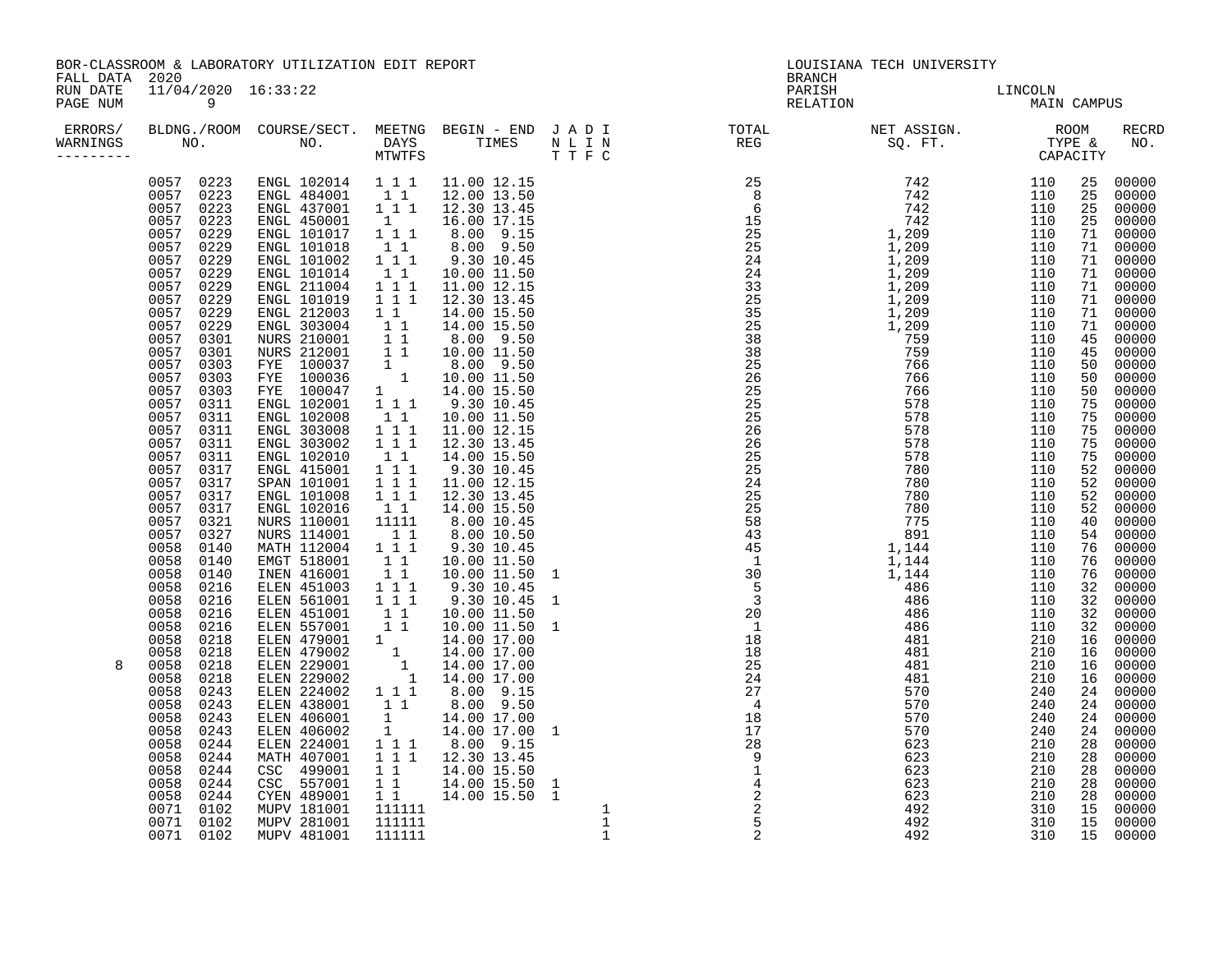| FALL DATA 2020        |                                                                                                                                                                                                                                                                                                                                                                                                                                                                                                                                                                                                                                    | BOR-CLASSROOM & LABORATORY UTILIZATION EDIT REPORT                                                                                                                                                                                                                                          |  | LOUISIANA TECH UNIVERSITY<br><b>BRANCH</b> |                        |  |                                                                                                                                                                                                                                                                                                                                                                                                                                                                                                                                                                                                                                                                                                                            |
|-----------------------|------------------------------------------------------------------------------------------------------------------------------------------------------------------------------------------------------------------------------------------------------------------------------------------------------------------------------------------------------------------------------------------------------------------------------------------------------------------------------------------------------------------------------------------------------------------------------------------------------------------------------------|---------------------------------------------------------------------------------------------------------------------------------------------------------------------------------------------------------------------------------------------------------------------------------------------|--|--------------------------------------------|------------------------|--|----------------------------------------------------------------------------------------------------------------------------------------------------------------------------------------------------------------------------------------------------------------------------------------------------------------------------------------------------------------------------------------------------------------------------------------------------------------------------------------------------------------------------------------------------------------------------------------------------------------------------------------------------------------------------------------------------------------------------|
| RUN DATE<br>PAGE NUM  | 11/04/2020 16:33:22<br>$\overline{9}$                                                                                                                                                                                                                                                                                                                                                                                                                                                                                                                                                                                              |                                                                                                                                                                                                                                                                                             |  | PARISH<br>RELATION                         | LINCOLN<br>MAIN CAMPUS |  |                                                                                                                                                                                                                                                                                                                                                                                                                                                                                                                                                                                                                                                                                                                            |
| WARNINGS<br>--------- |                                                                                                                                                                                                                                                                                                                                                                                                                                                                                                                                                                                                                                    |                                                                                                                                                                                                                                                                                             |  |                                            |                        |  | RECRD                                                                                                                                                                                                                                                                                                                                                                                                                                                                                                                                                                                                                                                                                                                      |
| 8                     | 0057 0229<br>0057 0229<br>0057 0229<br>0057 0229<br>0057 0229<br>0057 0229<br>0057 0229<br>0057 0229<br>0057 0301<br>0057 0301<br>0057 0303<br>0057 0303<br>0057 0303<br>0057 0311<br>0057 0311<br>0057 0311<br>0057 0311<br>0057 0311<br>0057 0317<br>0057 0317<br>0057 0317<br>0057 0317<br>0057 0321<br>0057 0327<br>0058 0140<br>0058 0140<br>0058 0140<br>0058 0216<br>0058 0216<br>0058 0216<br>0058 0216<br>0058 0218<br>0058 0218<br>0058 0218<br>0058 0218<br>0058 0243<br>0058 0243<br>0058 0243<br>0058 0243<br>0058<br>0244<br>0058 0244<br>0058 0244<br>0058 0244<br>0058 0244<br>0071 0102<br>0071 0102<br>0071 0102 | $\begin{array}{cccccc} 0057 & 0223 & \text{ENGL} & 102014 & 1 & 1 & 11.00 & 12.15 \\ 0057 & 0223 & \text{ENGL} & 484001 & 1 & 1 & 12.00 & 13.50 \\ 0057 & 0223 & \text{ENGL} & 437001 & 1 & 1 & 12.30 & 13.45 \\ 0057 & 0223 & \text{ENGL} & 450001 & 1 & 1 & 16.00 & 17.15 \\ \end{array}$ |  |                                            |                        |  | 25 00000<br>25 00000<br>25<br>00000<br>25<br>00000<br>71 00000<br>71 00000<br>71 00000<br>71 00000<br>71 00000<br>71 00000<br>71 00000<br>71 00000<br>45<br>00000<br>45 00000<br>50<br>00000<br>00000<br>50<br>50<br>00000<br>75<br>00000<br>75 00000<br>75<br>00000<br>75<br>00000<br>75<br>00000<br>52<br>00000<br>52<br>00000<br>52<br>00000<br>52<br>00000<br>40 00000<br>54<br>00000<br>76 00000<br>76<br>00000<br>76<br>00000<br>32 00000<br>32 00000<br>32<br>00000<br>32<br>00000<br>16 00000<br>16 00000<br>00000<br>16<br>00000<br>16<br>00000<br>24<br>24 00000<br>24<br>00000<br>00000<br>24<br>28<br>00000<br>28<br>00000<br>00000<br>28<br>28<br>00000<br>28<br>00000<br>15<br>00000<br>15 00000<br>15 00000 |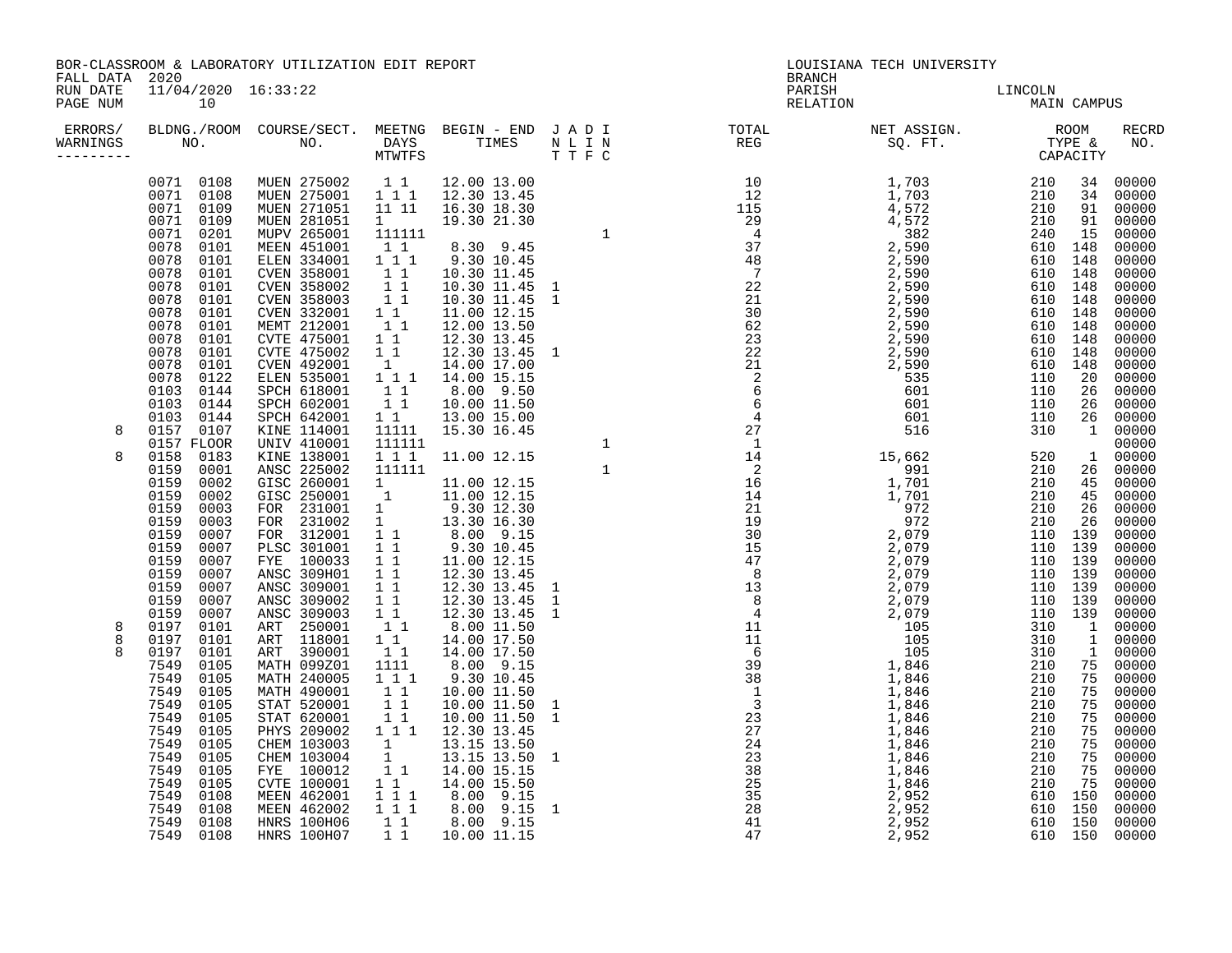| FALL DATA 2020                    |                                                                                                                                                                                                                           | BOR-CLASSROOM & LABORATORY UTILIZATION EDIT REPORT                                                                                                                                                                                                                                        |  | <b>BRANCH</b>                                                                                                                                                                                                                                                                                                                                                                                                | LOUISIANA TECH UNIVERSITY |  |       |
|-----------------------------------|---------------------------------------------------------------------------------------------------------------------------------------------------------------------------------------------------------------------------|-------------------------------------------------------------------------------------------------------------------------------------------------------------------------------------------------------------------------------------------------------------------------------------------|--|--------------------------------------------------------------------------------------------------------------------------------------------------------------------------------------------------------------------------------------------------------------------------------------------------------------------------------------------------------------------------------------------------------------|---------------------------|--|-------|
| RUN DATE<br>PAGE NUM              | 11/04/2020 16:33:22<br>10                                                                                                                                                                                                 |                                                                                                                                                                                                                                                                                           |  | PARISH<br>RELATION                                                                                                                                                                                                                                                                                                                                                                                           | LINCOLN<br>MAIN CAMPUS    |  |       |
| ERRORS/<br>WARNINGS<br>---------- |                                                                                                                                                                                                                           |                                                                                                                                                                                                                                                                                           |  | BLDNG./ROOM COURSE/SECT. MEETNG BEGIN – END JADI TOTAL MET ASSIGN. NET ASSIGN. NOOM RECRE<br>NO. NO. DAYS TIMES NLIN REG SQ.FT. TYPE & NO.<br>NTWTFS TIFC                                                                                                                                                                                                                                                    |                           |  | RECRD |
| 8                                 | 0071 0201<br>0078 0101<br>0078 0101<br>0078 0101<br>0078 0101<br>0078 0101<br>0078 0101<br>0078<br>0101<br>0078 0101<br>0078 0101<br>0078 0101<br>0078 0122<br>0103 0144<br>0103 0144<br>0103 0144<br>0157 0107           | $\begin{array}{cccccc} 0071 & 0108 & \text{MUEN} & 275002 & 1 & 1 & 12.00 & 13.00 \\ 0071 & 0108 & \text{MUEN} & 275001 & 1 & 1 & 12.30 & 13.45 \\ 0071 & 0109 & \text{MUEN} & 271051 & 11 & 11 & 16.30 & 18.30 \\ 0071 & 0109 & \text{MUEN} & 281051 & 1 & 19.30 & 21.30 \\ \end{array}$ |  | $\begin{smallmatrix} \textbf{11} & \textbf{12} & \textbf{13} & \textbf{14} & \textbf{15} & \textbf{16} & \textbf{17} & \textbf{18} & \textbf{18} & \textbf{19} & \textbf{19} & \textbf{19} & \textbf{19} & \textbf{19} & \textbf{19} & \textbf{19} & \textbf{19} & \textbf{19} & \textbf{19} & \textbf{19} & \textbf{19} & \textbf{19} & \textbf{19} & \textbf{19} & \textbf{19} & \textbf{19} & \textbf{19$ |                           |  |       |
| 8                                 | 0157 FLOOR<br>0158 0183<br>0159 0001<br>0159 0002<br>0159<br>0002<br>0159 0003<br>0159 0003<br>0159 0007<br>0159 0007<br>0159 0007<br>0159 0007<br>0159 0007<br>0159 0007<br>0159 0007                                    |                                                                                                                                                                                                                                                                                           |  |                                                                                                                                                                                                                                                                                                                                                                                                              |                           |  |       |
| 8<br>8                            | 0197 0101<br>0197 0101<br>0197 0101<br>7549 0105<br>7549 0105<br>7549 0105<br>7549 0105<br>7549 0105<br>7549 0105<br>7549 0105<br>7549 0105<br>7549 0105<br>7549 0105<br>7549 0108<br>7549 0108<br>7549 0108<br>7549 0108 |                                                                                                                                                                                                                                                                                           |  |                                                                                                                                                                                                                                                                                                                                                                                                              |                           |  |       |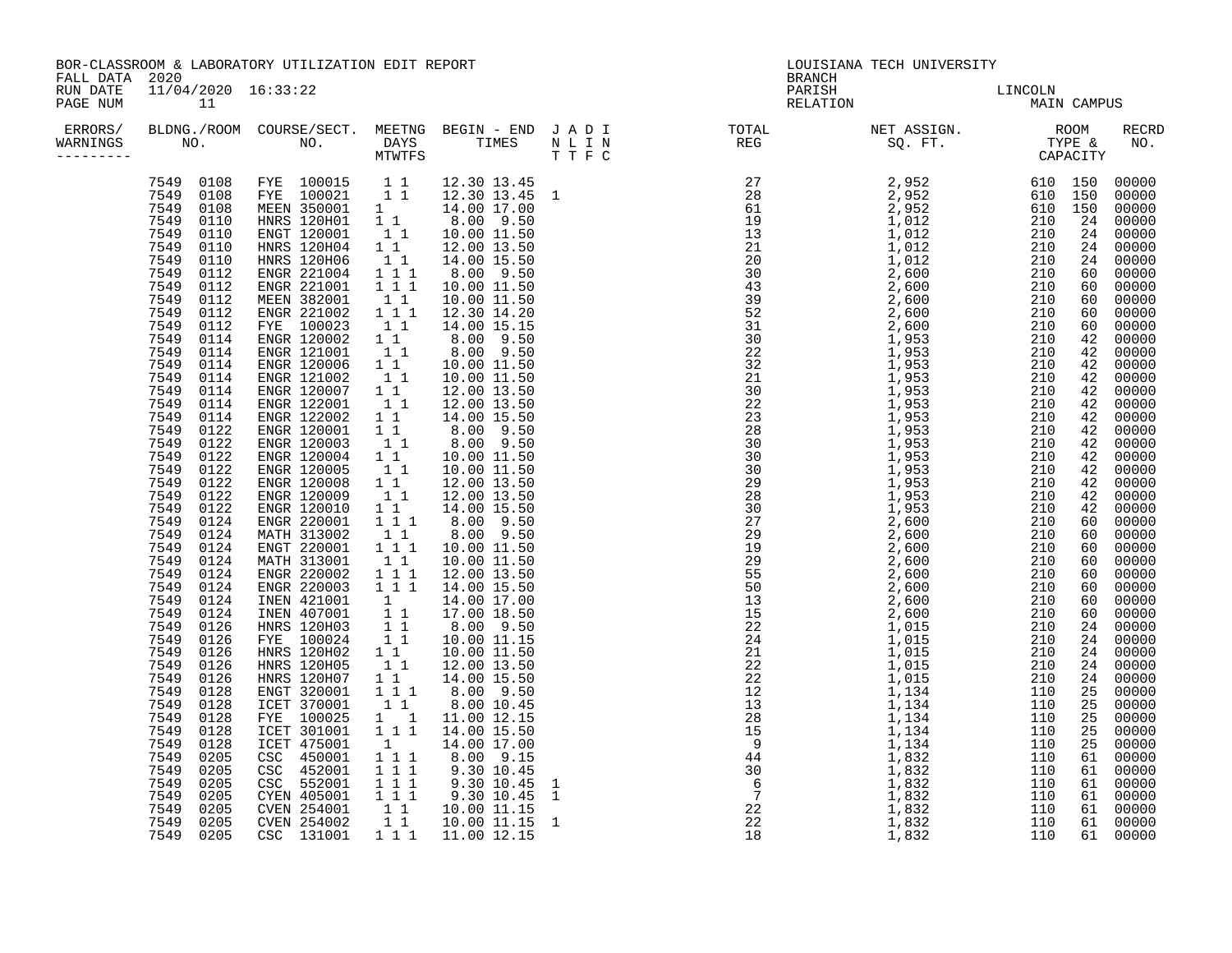| BOR-CLASSROOM & LABORATORY UTILIZATION EDIT REPORT<br>FALL DATA 2020 |                                                                                                                                                                                                                                                                                                                                                                                                                                                                                                                                                                                                                                                                        |                                                                                                                                                                                                                                                                                                                                                                                                                                                                                                                                                                                                                                                                                                                                                                                                                                                                                                                                          |                                                                                   |                                                                                                                                                                                                                                                                                                                                                                                                                                                                                                                                                                                                                                                                                                                                                                                                                                                                                                                                                                                                                                                                                                                                                                                                                                                                                                                                                                                                                                                                                                                                                                                                     |  | LOUISIANA TECH UNIVERSITY<br><b>BRANCH</b> |                                                                                                                                                                                                                                                                                                                                                                     |  |             |                                                                                                                                                                                                                                                                                                                                                                                                                                                                                                    |
|----------------------------------------------------------------------|------------------------------------------------------------------------------------------------------------------------------------------------------------------------------------------------------------------------------------------------------------------------------------------------------------------------------------------------------------------------------------------------------------------------------------------------------------------------------------------------------------------------------------------------------------------------------------------------------------------------------------------------------------------------|------------------------------------------------------------------------------------------------------------------------------------------------------------------------------------------------------------------------------------------------------------------------------------------------------------------------------------------------------------------------------------------------------------------------------------------------------------------------------------------------------------------------------------------------------------------------------------------------------------------------------------------------------------------------------------------------------------------------------------------------------------------------------------------------------------------------------------------------------------------------------------------------------------------------------------------|-----------------------------------------------------------------------------------|-----------------------------------------------------------------------------------------------------------------------------------------------------------------------------------------------------------------------------------------------------------------------------------------------------------------------------------------------------------------------------------------------------------------------------------------------------------------------------------------------------------------------------------------------------------------------------------------------------------------------------------------------------------------------------------------------------------------------------------------------------------------------------------------------------------------------------------------------------------------------------------------------------------------------------------------------------------------------------------------------------------------------------------------------------------------------------------------------------------------------------------------------------------------------------------------------------------------------------------------------------------------------------------------------------------------------------------------------------------------------------------------------------------------------------------------------------------------------------------------------------------------------------------------------------------------------------------------------------|--|--------------------------------------------|---------------------------------------------------------------------------------------------------------------------------------------------------------------------------------------------------------------------------------------------------------------------------------------------------------------------------------------------------------------------|--|-------------|----------------------------------------------------------------------------------------------------------------------------------------------------------------------------------------------------------------------------------------------------------------------------------------------------------------------------------------------------------------------------------------------------------------------------------------------------------------------------------------------------|
| RUN DATE<br>PAGE NUM                                                 | 11/04/2020 16:33:22<br>11                                                                                                                                                                                                                                                                                                                                                                                                                                                                                                                                                                                                                                              |                                                                                                                                                                                                                                                                                                                                                                                                                                                                                                                                                                                                                                                                                                                                                                                                                                                                                                                                          |                                                                                   |                                                                                                                                                                                                                                                                                                                                                                                                                                                                                                                                                                                                                                                                                                                                                                                                                                                                                                                                                                                                                                                                                                                                                                                                                                                                                                                                                                                                                                                                                                                                                                                                     |  | PARISH<br>RELATION                         | LINCOLN<br>MAIN                                                                                                                                                                                                                                                                                                                                                     |  | MAIN CAMPUS |                                                                                                                                                                                                                                                                                                                                                                                                                                                                                                    |
| WARNINGS                                                             |                                                                                                                                                                                                                                                                                                                                                                                                                                                                                                                                                                                                                                                                        |                                                                                                                                                                                                                                                                                                                                                                                                                                                                                                                                                                                                                                                                                                                                                                                                                                                                                                                                          |                                                                                   |                                                                                                                                                                                                                                                                                                                                                                                                                                                                                                                                                                                                                                                                                                                                                                                                                                                                                                                                                                                                                                                                                                                                                                                                                                                                                                                                                                                                                                                                                                                                                                                                     |  |                                            | ERRORS/ BLDNG./ROOM COURSE/SECT. MEETNG BEGIN – END JADI (TOTAL ON NET ASSIGN. ) ROOM RECRD<br>MARNINGS NO. NO. DAYS TIMES NLIN REG SQ.FT. TYPE & NO.<br>--------- CAPACITY MTWTFS TTFC                                                                                                                                                                             |  |             |                                                                                                                                                                                                                                                                                                                                                                                                                                                                                                    |
|                                                                      | 7549<br>0112<br>7549<br>0112<br>7549 0112<br>7549 0112<br>7549<br>0112<br>7549<br>0114<br>7549 0114<br>7549 0114<br>7549<br>0114<br>7549<br>0114<br>7549<br>0114<br>7549 0114<br>7549 0122<br>7549<br>0122<br>7549<br>0122<br>7549 0122<br>7549 0122<br>7549<br>0122<br>7549<br>0122<br>7549 0124<br>7549 0124<br>7549<br>0124<br>7549<br>0124<br>7549<br>0124<br>7549 0124<br>7549 0124<br>7549<br>0124<br>7549<br>0126<br>7549 0126<br>7549<br>0126<br>7549<br>0126<br>7549<br>0126<br>7549<br>0128<br>7549 0128<br>0128<br>7549<br>7549<br>0128<br>7549<br>0128<br>7549<br>0205<br>7549<br>0205<br>7549<br>0205<br>7549 0205<br>7549 0205<br>7549 0205<br>7549 0205 | 7549 0108 FYE 100015 1 1 12.30 13.45<br>7549 0108 FYE 100021 1 1 12.30 13.45 1<br>7549 0108 MEEN 350001 1 14.00 17.00<br>7549 0110 HNRS 120H01 1 1 8.00 9.50<br>7549 0110 ENGT 120001 1 1 10.00 11.50<br>7549 0110 HNRS 120H04 1 1 12.00 13.5<br>ENGR 221004<br>ENGR 221001<br>MEEN 382001<br>ENGR 221002<br>FYE 100023<br>ENGR 120002<br>ENGR 121001<br>ENGR 120006<br>ENGR 121002<br>ENGR 120007<br>ENGR 122001<br>ENGR 122002<br>ENGR 120001<br>ENGR 120003<br>ENGR 120004<br>ENGR 120005<br>ENGR 120008<br>ENGR 120009<br>ENGR 120010<br>ENGR 220001<br>MATH 313002<br>ENGT 220001<br>MATH 313001<br>ENGR 220002<br>ENGR 220003<br>INEN 421001<br>INEN 407001<br>HNRS 120H03<br>FYE 100024<br>HNRS 120H02<br>HNRS 120H05<br>HNRS 120H07<br>ENGT 320001<br>ICET 370001<br>FYE 100025<br>ICET 301001<br>ICET 475001<br>LET 450001<br>CSC 452001<br>CSC 452001<br>CSC 552001<br>CVEN 254001<br>CVEN 254002<br>CVEN 254002<br>CSC 131001 | $1\quad1$<br>$1\quad1$<br>$\begin{array}{c} 1 \\ 1 \end{array}$<br>$1\;1\;1$<br>1 | $\begin{array}{rrrr} 1 & 1 & 8.00 & 9.50 \\ 1 & 1 & 1 & 10.00 & 11.50 \end{array}$<br>$\begin{bmatrix} 1 & 1 & 10.00 & 11.50 \\ 1 & 1 & 12.30 & 14.20 \\ 1 & 1 & 14.00 & 15.15 \end{bmatrix}$<br>$1 \t1 \t8.00 \t9.50$<br>1 1 8.00 9.50<br>$\begin{array}{cccc} 1 & 1 & 10.00 & 11.50 \\ 1 & 1 & 10.00 & 11.50 \end{array}$<br>12.00 13.50<br>12.00 13.50<br>12.00 13.50<br>$\begin{array}{cccc} 1 & 1 & 12.00 & 13.50 \ 1 & 1 & 8.00 & 9.50 \ 1 & 1 & 8.00 & 9.50 \ 1 & 1 & 10.00 & 11.50 \ 1 & 1 & 10.00 & 11.50 \ 1 & 1 & 12.00 & 13.50 \ 1 & 1 & 12.00 & 13.50 \ 1 & 1 & 12.00 & 13.50 \ 1 & 1 & 12.00 & 13.50 \end{array}$<br>14.00 15.50<br>$\begin{bmatrix} 1 \\ 1 \\ 1 \end{bmatrix}$ $\begin{bmatrix} 14.00 \\ 8.00 \\ 9.50 \end{bmatrix}$<br>$\begin{array}{cccc} 1 & 1 & 8.00 & 9.50 \\ 1 & 1 & 1 & 10.00 & 11.50 \end{array}$<br>$\begin{array}{rrrr} 1 & 1 & 10.00 & 11.50 \ 1 & 1 & 1 & 12.00 & 13.50 \ 1 & 1 & 1 & 14.00 & 15.50 \end{array}$<br>14.00 17.00<br>17.00 18.50<br>$\begin{array}{cccc} 1 & 1 & 8.00 & 9.50 \ 1 & 1 & 10.00 & 11.15 \ 1 & 1 & 10.00 & 11.50 \ 1 & 1 & 12.00 & 13.50 \ \end{array}$<br>$\begin{bmatrix} 1 & 1 & 14.00 & 15.50 \\ 1 & 1 & 1 & 8.00 & 9.50 \end{bmatrix}$<br>$\begin{bmatrix} 1 & 1 \\ 1 & 1 \end{bmatrix}$ $\begin{bmatrix} 8.00 & 10.45 \\ 1.1 & 00 & 12.15 \end{bmatrix}$<br>14.00 15.50<br>14.00 17.00<br>$\begin{array}{cccc} 1 & 14.00 & 1/.00 \\ 1 & 1 & 8.00 & 9.15 \\ 1 & 1 & 9.30 & 10.45 \\ 1 & 1 & 9.30 & 10.45 \\ 1 & 1 & 9.30 & 10.45 \\ 1 & 1 & 10.00 & 11.15 \\ 1 & 1 & 10.00 & 11.15 \\ 1 & 1 & 11.00 & 12.15 \end{array}$ |  |                                            | $\begin{smallmatrix} 11&\text{N} &\text{R1} &\text{R2} &\text{R3} &\text{R4} &\text{R5} &\text{R6} &\text{R8} &\text{R8} &\text{R8} &\text{R8} &\text{R8} &\text{R8} &\text{R8} &\text{R8} &\text{R8} &\text{R8} &\text{R8} &\text{R8} &\text{R8} &\text{R8} &\text{R8} &\text{R8} &\text{R8} &\text{R8} &\text{R8} &\text{R8} &\text{R8} &\text{R8} &\text{R8} &\$ |  |             | 00000<br>00000<br>00000<br>00000<br>00000<br>00000<br>00000<br>00000<br>60 00000<br>00000<br>00000<br>00000<br>00000<br>42 00000<br>00000<br>00000<br>00000<br>00000<br>00000<br>00000<br>00000<br>00000<br>00000<br>00000<br>00000<br>00000<br>00000<br>00000<br>00000<br>00000<br>00000<br>00000<br>60 00000<br>00000<br>00000<br>00000<br>00000<br>00000<br>00000<br>00000<br>00000<br>00000<br>00000<br>00000<br>00000<br>61 00000<br>61 00000<br>61 00000<br>61 00000<br>61 00000<br>61 00000 |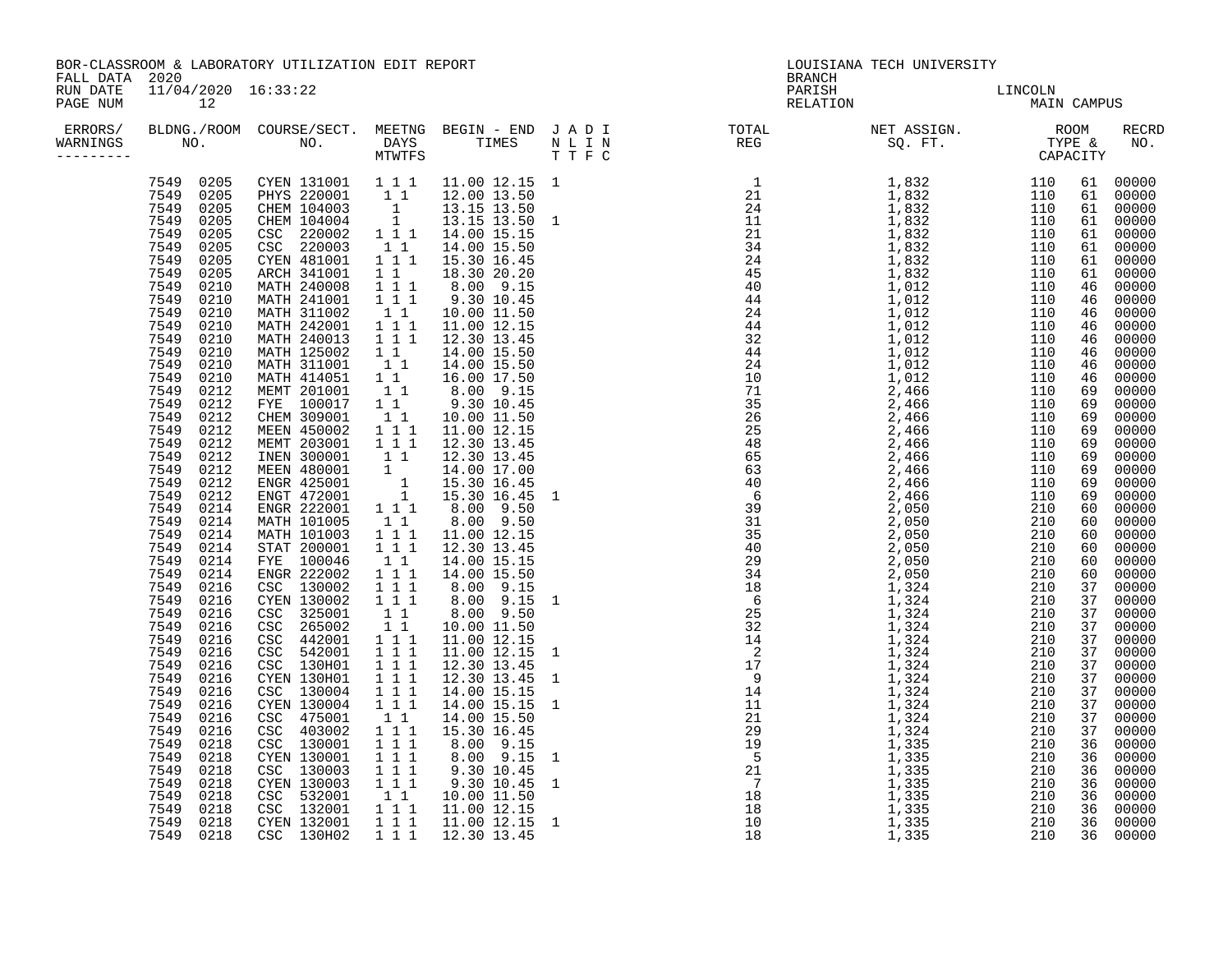| BOR-CLASSROOM & LABORATORY UTILIZATION EDIT REPORT<br>FALL DATA 2020 |                                                                                                                                                                                                                                                                                                                                                                                                                                                                                                                                                                                                                                    |                                                                                                                                                                                                                                                                                                                                                                                                                                                                                                                                                                                                                                                                                                                                                                                                                                                                                                                                                                                    |                                                                                                                                                                                                                          |                                                                                                                                                                                                                                                                                                                                                                                                                                                                                                                                                                                                                                                                                                                                                                                                                                                                                                                                                                                                                                                                                                                                                                                                                                                                                                                                                                                                                                                                                                                                           |                          | <b>BRANCH</b>      | LOUISIANA TECH UNIVERSITY |                                                                                                                                                                                                                                                                                                                                                                                                                                                                                                                                                                                                                                                                                                                                              |
|----------------------------------------------------------------------|------------------------------------------------------------------------------------------------------------------------------------------------------------------------------------------------------------------------------------------------------------------------------------------------------------------------------------------------------------------------------------------------------------------------------------------------------------------------------------------------------------------------------------------------------------------------------------------------------------------------------------|------------------------------------------------------------------------------------------------------------------------------------------------------------------------------------------------------------------------------------------------------------------------------------------------------------------------------------------------------------------------------------------------------------------------------------------------------------------------------------------------------------------------------------------------------------------------------------------------------------------------------------------------------------------------------------------------------------------------------------------------------------------------------------------------------------------------------------------------------------------------------------------------------------------------------------------------------------------------------------|--------------------------------------------------------------------------------------------------------------------------------------------------------------------------------------------------------------------------|-------------------------------------------------------------------------------------------------------------------------------------------------------------------------------------------------------------------------------------------------------------------------------------------------------------------------------------------------------------------------------------------------------------------------------------------------------------------------------------------------------------------------------------------------------------------------------------------------------------------------------------------------------------------------------------------------------------------------------------------------------------------------------------------------------------------------------------------------------------------------------------------------------------------------------------------------------------------------------------------------------------------------------------------------------------------------------------------------------------------------------------------------------------------------------------------------------------------------------------------------------------------------------------------------------------------------------------------------------------------------------------------------------------------------------------------------------------------------------------------------------------------------------------------|--------------------------|--------------------|---------------------------|----------------------------------------------------------------------------------------------------------------------------------------------------------------------------------------------------------------------------------------------------------------------------------------------------------------------------------------------------------------------------------------------------------------------------------------------------------------------------------------------------------------------------------------------------------------------------------------------------------------------------------------------------------------------------------------------------------------------------------------------|
| RUN DATE<br>PAGE NUM                                                 | 11/04/2020 16:33:22<br>12                                                                                                                                                                                                                                                                                                                                                                                                                                                                                                                                                                                                          |                                                                                                                                                                                                                                                                                                                                                                                                                                                                                                                                                                                                                                                                                                                                                                                                                                                                                                                                                                                    |                                                                                                                                                                                                                          |                                                                                                                                                                                                                                                                                                                                                                                                                                                                                                                                                                                                                                                                                                                                                                                                                                                                                                                                                                                                                                                                                                                                                                                                                                                                                                                                                                                                                                                                                                                                           |                          | PARISH<br>RELATION | LINCOLN<br>MAIN CAMPUS    |                                                                                                                                                                                                                                                                                                                                                                                                                                                                                                                                                                                                                                                                                                                                              |
| ERRORS/<br>WARNINGS                                                  |                                                                                                                                                                                                                                                                                                                                                                                                                                                                                                                                                                                                                                    |                                                                                                                                                                                                                                                                                                                                                                                                                                                                                                                                                                                                                                                                                                                                                                                                                                                                                                                                                                                    |                                                                                                                                                                                                                          |                                                                                                                                                                                                                                                                                                                                                                                                                                                                                                                                                                                                                                                                                                                                                                                                                                                                                                                                                                                                                                                                                                                                                                                                                                                                                                                                                                                                                                                                                                                                           |                          |                    |                           | RECRD                                                                                                                                                                                                                                                                                                                                                                                                                                                                                                                                                                                                                                                                                                                                        |
|                                                                      | 7549 0205<br>7549 0205<br>7549 0205<br>7549 0205<br>7549 0210<br>7549 0210<br>7549 0210<br>7549 0210<br>7549 0210<br>7549 0210<br>7549 0210<br>7549 0210<br>7549 0212<br>7549 0212<br>7549 0212<br>7549 0212<br>7549 0212<br>7549 0212<br>7549 0212<br>7549 0212<br>7549 0212<br>7549 0214<br>7549 0214<br>7549 0214<br>7549 0214<br>7549 0214<br>7549 0214<br>7549 0216<br>7549 0216<br>7549 0216<br>7549 0216<br>7549 0216<br>7549 0216<br>7549 0216<br>7549 0216<br>7549 0216<br>7549 0216<br>7549 0216<br>7549<br>0216<br>7549 0218<br>7549 0218<br>7549 0218<br>7549 0218<br>7549 0218<br>7549 0218<br>7549 0218<br>7549 0218 | $\begin{tabular}{cccccc} 7549 & 0205 & CYEN & 131001 & 1 & 1 & 11.00 & 12.15 & 1 \\ 7549 & 0205 & PHYS & 220001 & 1 & 1 & 12.00 & 13.50 \\ 7549 & 0205 & CHEM & 104003 & 1 & 13.15 & 13.50 \\ 7549 & 0205 & CHEM & 104004 & 1 & 13.15 & 13.50 & 1 \\ \end{tabular}$<br>CSC 220002<br>CSC 220003<br>CYEN 481001<br>ARCH 341001<br>MATH 240008<br>MATH 241001<br>MATH 311002<br>MATH 242001<br>MATH 240013<br>MATH 125002<br>MATH 311001<br>MATH 414051<br>MEMT 201001<br>FYE 100017<br>CHEM 309001<br>MEEN 450002<br>MEMT 203001<br>INEN 300001<br>MEEN 480001<br>ENGR 425001<br>ENGT 472001<br>ENGR 222001<br>MATH 101005<br>MATH 101003<br>STAT 200001<br>FYE 100046<br>ENGR 222002<br>CSC 130002<br>CYEN 130002<br>CSC 325001<br>CSC 265002<br>CSC 442001<br>CSC 542001<br>CSC 130H01<br>CYEN 130H01<br>CSC 130004<br>CYEN 130004<br>CSC 475001<br>CSC 403002<br>CSC 130001<br>CYEN 130001<br>CSC 130003<br>CYEN 130003<br>CSC 532001<br>CSC 132001<br>CYEN 132001<br>CSC 130H02 | $1 1 1$<br>$1\quad1$<br>$\begin{bmatrix} 1 \\ 1 \\ 1 \\ 1 \\ 1 \end{bmatrix} \begin{bmatrix} 1 \\ 1 \\ 1 \\ 1 \end{bmatrix}$<br>$1 1 1$<br>$1 1 1$<br>$1 1 1$<br>$\overline{1}$ $\overline{1}$ $\overline{1}$<br>$1 1 1$ | $\begin{array}{rrrr} 1 & 1 & 14.00 & 15.50 \\ 1 & 1 & 1 & 15.30 & 16.45 \end{array}$<br>$\begin{array}{cccc} 1&1&1&2.30&20.20\ 1&1&1&8.00&9.15\ 1&1&1&9.30&10.45\ 1&1&1&10.00&11.50 \end{array}$<br>11.00 12.15<br>1 1 1 1 1 2.30 1 3.45<br>14.00 15.50<br>$1\ \, 1\quad \, 14.00\ \, 15.50\ \, 1\ \, 1\quad \, 16.00\ \, 17.50\ \, 1\ \, 1\quad \, 8.00\quad \, 9.15\ \, 1\ \, 1\quad \, 9.30\ \, 10.45\ \, 1\ \, 1\quad \, 10.00\ \, 11.50\$<br>11.00 12.15<br>12.30 13.45<br>1 1 12.30 13.45<br>$1 \t 14.00 \t 17.00 \t 1 \t 15.30 \t 16.45 \t 1 \t 15.30 \t 16.45 \t 1 \t 1 \t 1 \t 8.00 \t 9.50 \t 1 \t 1 \t 1 \t 2 \t 0 \t 9.50$<br>1 1 8.00 9.50<br>$\begin{array}{cccc} 1 & 1 & 1 & 11.00 & 12.15 \\ 1 & 1 & 1 & 12.30 & 13.45 \end{array}$<br>$\begin{bmatrix} 1 & 1 \\ 1 & 1 \\ 1 & 1 \\ 1 & 1 \\ 1 & 1 \\ 1 & 1 \\ 1 & 1 \\ 1 & 1 \\ 1 & 1 \\ 1 & 1 \\ 1 & 1 \\ 1 & 1 \\ 1 & 1 \\ 1 & 1 \\ 1 & 1 \\ 1 & 1 \\ 1 & 1 \\ 1 & 1 \\ 1 & 1 \\ 1 & 1 \\ 1 & 1 \\ 1 & 1 \\ 1 & 1 \\ 1 & 1 \\ 1 & 1 \\ 1 & 1 \\ 1 & 1 \\ 1 & 1 \\ 1 & 1 \\ 1 & 1 \\ 1 & 1 \\ 1 & 1 \\ 1 & 1 \\ 1 & 1 \\ 1 & 1 \\ 1 & $<br>8.00 9.15 1<br>$\begin{array}{rrrr} 1 & 1 & 8.00 & 9.50 \ 1 & 1 & 10.00 & 11.50 \ 1 & 1 & 11.00 & 12.15 \ 1 & 1 & 11.00 & 12.15 \ \end{array}$<br>12.30 13.45<br>12.30 13.45 1<br>14.00 15.15<br>14.00 15.15<br>14.00 15.50<br>15.30 16.45<br>8.00 9.15<br>8.00  9.15  1<br>9.30  10.45<br>9.30 10.45<br>$\begin{bmatrix} 1 & 1 & 10.00 & 11.50 \\ 1 & 1 & 11.00 & 12.15 \end{bmatrix}$<br>1 1 1 1 11.00 12.15<br>12.30 13.45 | $\overline{\phantom{0}}$ |                    |                           | 61 00000<br>61 00000<br>61 00000<br>61 00000<br>61 00000<br>61 00000<br>61 00000<br>61<br>00000<br>46 00000<br>00000<br>46<br>00000<br>46<br>46<br>00000<br>00000<br>46<br>00000<br>46<br>00000<br>46<br>00000<br>46<br>00000<br>69<br>69<br>00000<br>00000<br>69<br>69<br>00000<br>00000<br>69<br>69<br>00000<br>00000<br>69<br>00000<br>69<br>00000<br>69<br>00000<br>60<br>60<br>00000<br>00000<br>60<br>00000<br>60<br>60 00000<br>60<br>00000<br>37<br>00000<br>37<br>00000<br>00000<br>37<br>37 00000<br>37<br>00000<br>37 00000<br>37<br>00000<br>37 00000<br>37<br>00000<br>00000<br>37<br>37<br>00000<br>37<br>00000<br>36<br>00000<br>00000<br>36<br>00000<br>36<br>36<br>00000<br>36 00000<br>36<br>00000<br>36 00000<br>36 00000 |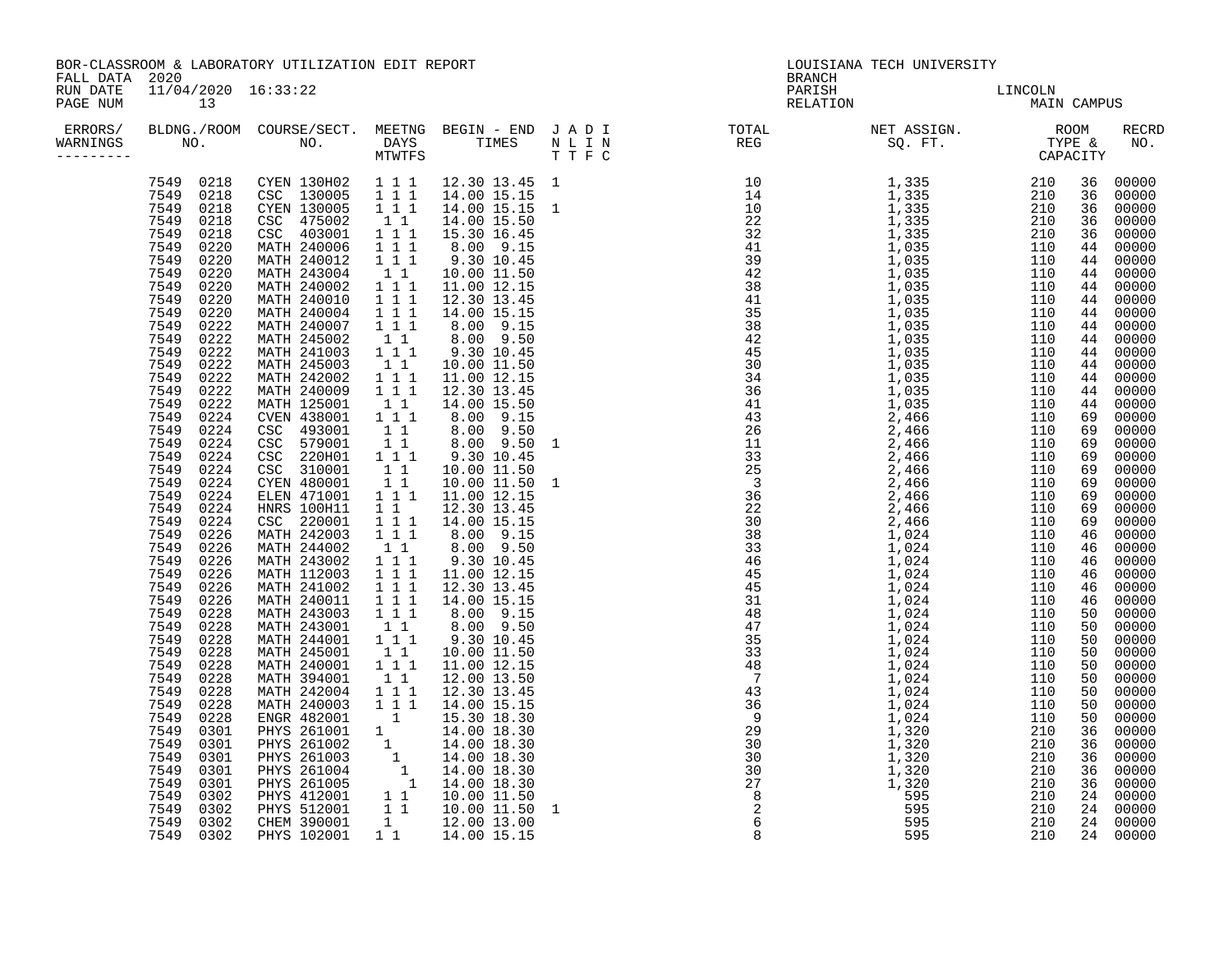| BOR-CLASSROOM & LABORATORY UTILIZATION EDIT REPORT<br>FALL DATA 2020 |                           |  |  |  | <b>BRANCH</b> | LOUISIANA TECH UNIVERSITY                                                                                                                                                              |                        |                                                                                                                                                                                                                                                                                                                                                                                                                                                                                                                                                                                                                                                                                                                                                                   |
|----------------------------------------------------------------------|---------------------------|--|--|--|---------------|----------------------------------------------------------------------------------------------------------------------------------------------------------------------------------------|------------------------|-------------------------------------------------------------------------------------------------------------------------------------------------------------------------------------------------------------------------------------------------------------------------------------------------------------------------------------------------------------------------------------------------------------------------------------------------------------------------------------------------------------------------------------------------------------------------------------------------------------------------------------------------------------------------------------------------------------------------------------------------------------------|
| RUN DATE<br>PAGE NUM                                                 | 11/04/2020 16:33:22<br>13 |  |  |  |               | PARISH<br>RELATION                                                                                                                                                                     | LINCOLN<br>MAIN CAMPUS |                                                                                                                                                                                                                                                                                                                                                                                                                                                                                                                                                                                                                                                                                                                                                                   |
| ERRORS/<br>WARNINGS<br>--------                                      |                           |  |  |  |               | BLDNG./ROOM COURSE/SECT. MEETNG BEGIN – END JADI TOTAL MET ASSIGN. NET ASSIGN. NOOM RECRING OURSE SQ. FT. TYPE & NO.<br>NO. NO. DAYS TIMES NLING REG SQ. FT. TYPE & NO.<br>NTWTFS TTFC |                        | RECRD                                                                                                                                                                                                                                                                                                                                                                                                                                                                                                                                                                                                                                                                                                                                                             |
|                                                                      |                           |  |  |  |               |                                                                                                                                                                                        |                        | 36 00000<br>36 00000<br>36 00000<br>36<br>00000<br>36<br>00000<br>44<br>00000<br>44<br>00000<br>44<br>00000<br>44<br>00000<br>44 00000<br>44<br>00000<br>00000<br>44<br>00000<br>44<br>44 00000<br>44<br>00000<br>00000<br>44<br>44<br>00000<br>44<br>00000<br>69<br>00000<br>69<br>00000<br>00000<br>69<br>69<br>00000<br>00000<br>69<br>00000<br>69<br>00000<br>69<br>69<br>00000<br>69<br>00000<br>46<br>00000<br>00000<br>46<br>46<br>00000<br>46<br>00000<br>46 00000<br>46<br>00000<br>00000<br>50<br>50<br>00000<br>50<br>00000<br>50<br>00000<br>00000<br>50<br>50<br>00000<br>00000<br>50<br>50<br>00000<br>50<br>00000<br>00000<br>36<br>36<br>00000<br>00000<br>36<br>36<br>00000<br>00000<br>36<br>00000<br>24<br>24<br>00000<br>24 00000<br>24 00000 |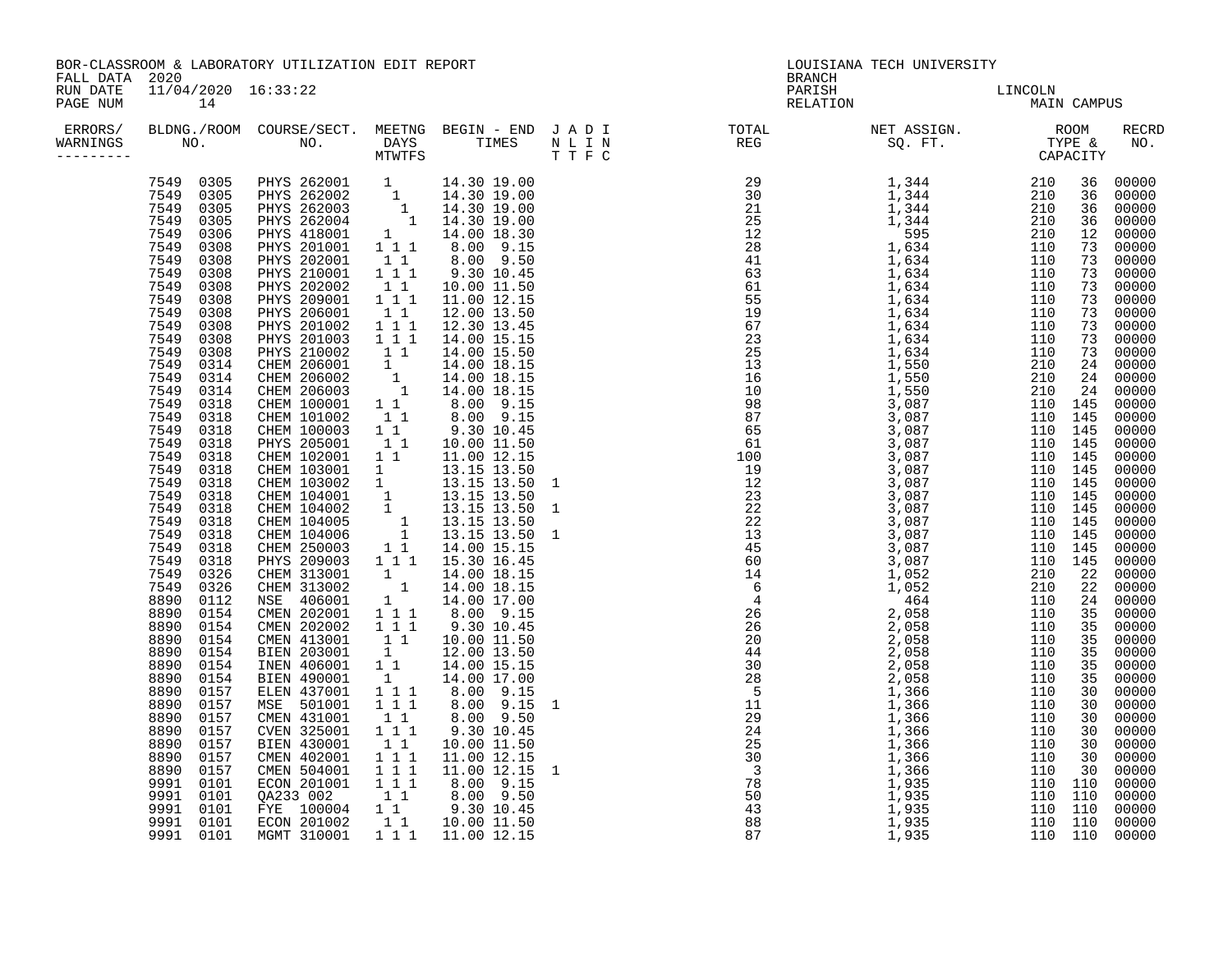| BOR-CLASSROOM & LABORATORY UTILIZATION EDIT REPORT<br>FALL DATA<br>2020 |                                                                                                                                                                                                                                                                                                                                                                                                                                                                                                                                                                                                                                                                                         |                                                                                                                                                                                                                                                                                                                                                                                                                                                                                                                                                                                                                                                                                                                                                                                                                                                                                                                                                                                                                                                                                                                                                                                             |                                                                                                                                                   |                                                                                                                                                                                                                                                                                                                                                                                                                                                                                                                                                                                                                                                                                                                                                                                                                                                        |  | <b>BRANCH</b>                                                                                                                                                                                                                                                                                                                                                                                                                        | LOUISIANA TECH UNIVERSITY |             |                                                                                                                                                                                                                                                                                                                                                                                                                                                                                                            |
|-------------------------------------------------------------------------|-----------------------------------------------------------------------------------------------------------------------------------------------------------------------------------------------------------------------------------------------------------------------------------------------------------------------------------------------------------------------------------------------------------------------------------------------------------------------------------------------------------------------------------------------------------------------------------------------------------------------------------------------------------------------------------------|---------------------------------------------------------------------------------------------------------------------------------------------------------------------------------------------------------------------------------------------------------------------------------------------------------------------------------------------------------------------------------------------------------------------------------------------------------------------------------------------------------------------------------------------------------------------------------------------------------------------------------------------------------------------------------------------------------------------------------------------------------------------------------------------------------------------------------------------------------------------------------------------------------------------------------------------------------------------------------------------------------------------------------------------------------------------------------------------------------------------------------------------------------------------------------------------|---------------------------------------------------------------------------------------------------------------------------------------------------|--------------------------------------------------------------------------------------------------------------------------------------------------------------------------------------------------------------------------------------------------------------------------------------------------------------------------------------------------------------------------------------------------------------------------------------------------------------------------------------------------------------------------------------------------------------------------------------------------------------------------------------------------------------------------------------------------------------------------------------------------------------------------------------------------------------------------------------------------------|--|--------------------------------------------------------------------------------------------------------------------------------------------------------------------------------------------------------------------------------------------------------------------------------------------------------------------------------------------------------------------------------------------------------------------------------------|---------------------------|-------------|------------------------------------------------------------------------------------------------------------------------------------------------------------------------------------------------------------------------------------------------------------------------------------------------------------------------------------------------------------------------------------------------------------------------------------------------------------------------------------------------------------|
| RUN DATE<br>PAGE NUM                                                    | 11/04/2020 16:33:22<br>14                                                                                                                                                                                                                                                                                                                                                                                                                                                                                                                                                                                                                                                               |                                                                                                                                                                                                                                                                                                                                                                                                                                                                                                                                                                                                                                                                                                                                                                                                                                                                                                                                                                                                                                                                                                                                                                                             |                                                                                                                                                   |                                                                                                                                                                                                                                                                                                                                                                                                                                                                                                                                                                                                                                                                                                                                                                                                                                                        |  | PARISH<br>RELATION                                                                                                                                                                                                                                                                                                                                                                                                                   | LINCOLN<br>MAIN           | MAIN CAMPUS |                                                                                                                                                                                                                                                                                                                                                                                                                                                                                                            |
| ERRORS/<br>WARNINGS<br>--------                                         |                                                                                                                                                                                                                                                                                                                                                                                                                                                                                                                                                                                                                                                                                         |                                                                                                                                                                                                                                                                                                                                                                                                                                                                                                                                                                                                                                                                                                                                                                                                                                                                                                                                                                                                                                                                                                                                                                                             |                                                                                                                                                   |                                                                                                                                                                                                                                                                                                                                                                                                                                                                                                                                                                                                                                                                                                                                                                                                                                                        |  | BLDNG./ROOM COURSE/SECT. MEETNG BEGIN – END JADI TOTAL METASSIGN. NET ASSIGN. NOOM RECRINERE NOOM DAYS TIMES NLIN<br>NO. NO. DAYS TIMES NLINEREG SQ.FT. TYPE & NO.<br>NTWTFS TIMES TIFC                                                                                                                                                                                                                                              |                           |             | RECRD                                                                                                                                                                                                                                                                                                                                                                                                                                                                                                      |
|                                                                         | 7549 0308<br>7549<br>0308<br>7549<br>0308<br>7549<br>0308<br>7549 0308<br>7549 0308<br>7549<br>0308<br>7549<br>0308<br>7549 0308<br>7549 0314<br>7549<br>0314<br>7549<br>0314<br>7549 0318<br>7549 0318<br>7549 0318<br>7549 0318<br>7549<br>0318<br>7549 0318<br>7549 0318<br>7549<br>0318<br>7549<br>0318<br>7549 0318<br>7549 0318<br>7549<br>0318<br>7549<br>0318<br>7549<br>0326<br>7549 0326<br>8890 0112<br>8890<br>0154<br>0154<br>8890<br>8890<br>0154<br>8890<br>0154<br>8890<br>0154<br>8890<br>0154<br>8890<br>0157<br>8890<br>0157<br>8890 0157<br>8890<br>0157<br>8890 0157<br>8890 0157<br>8890 0157<br>9991 0101<br>9991<br>0101<br>9991 0101<br>9991 0101<br>9991 0101 | 7549 0305 PHYS 262001 1 14.30 19.00<br>7549 0305 PHYS 262002 1 14.30 19.00<br>7549 0305 PHYS 262003 1 14.30 19.00<br>7549 0305 PHYS 262004 1 14.30 19.00<br>7549 0306 PHYS 418001 1 14.00 18.30<br>PHYS 418001<br>PHYS 201001<br>PHYS 202001<br>PHYS 210001<br>PHYS 202002<br>PHYS 209001<br>PHYS 206001<br>PHYS 201002<br>PHYS 201003<br>PHYS 210002<br>FHIS 210002 1 1 14.00 15.50<br>CHEM 206002 1 14.00 18.15<br>CHEM 206002 1 14.00 18.15<br>CHEM 206003 1 14.00 18.15<br>CHEM 100001 1 1 8.00 9.15<br>CHEM 101002 1 1 8.00 9.15<br>CHEM 102001 1 1 10.00 11.50<br>CHEM 102001 1 1 11.00 12.15<br><br>CHEM 103001<br>CHEM 103002<br>CHEM 104001<br>CHEM 104002<br>CHEM 104005<br>CHEM 104006<br>CHEM 250003<br>PHYS 209003<br>CHEM 313001<br>CHEM 313002<br>NSE 406001<br>CMEN 202001<br>CMEN 202002<br>CMEN 413001<br>BIEN 203001<br>INEN 406001<br>BIEN 490001<br>ELEN 437001<br>MSE 501001<br>CMEN 431001<br>CVEN 325001<br>BIEN 430001<br>EIEN 430001 11 10.00 11.50<br>CMEN 504001 111 11.00 12.15<br>ECON 201001 111 11.00 12.15<br>ECON 201001 111 8.00 9.15<br>QA233 002 11 8.00 9.50<br>FYE 100004 11 9.30 10.45<br>ECON 201002 11 10.00 11.50<br>MGMT 310001 111 11.00 12.15 | $\begin{bmatrix} 1 & 1 \\ 1 & 1 & 1 \end{bmatrix}$<br>$\begin{smallmatrix} 1 & 1 & 1 \\ 1 & 1 & 1 \end{smallmatrix}$<br>1<br>$1 1 1$<br>$1\quad1$ | 1 1 1 1 8.00 9.15<br>1 1 8.00 9.50<br>1 1 1 9.30 10.45<br>$\begin{bmatrix} 1 & 1 & 10.00 & 11.50 \\ 1 & 1 & 11.00 & 12.15 \end{bmatrix}$<br>12.00 13.50<br>12.30 13.45<br>14.00 15.15<br>14.00 15.50<br>$1\ 1\quad 10.00\ 11.50\n1\quad 13.15\ 13.50\n1\quad 13.15\ 13.50\n1\quad 13.15\ 13.50\n1\quad 13.15\ 13.50\n1\quad 13.15\ 13.50\n1\quad 13.15\ 13.50\n1\quad 13.15\ 13.50\n1\quad 14.00\ 15.15\n1\ 1\ 1\quad 15.30\ 16.45\n1\ 1\ 1\ 1\ 15.0\ 18.15$<br>$\begin{array}{rrrr} & 1 & 14.00 & 18.15 \\ & 1 & 14.00 & 18.15 \end{array}$<br>14.00 17.00<br>8.00 9.15<br>$1\ 1\ 1\ 1\ 9.30\ 9.15$<br>$1\ 1\ 1\ 10.00\ 11.50$<br>$1\ 12.00\ 13.50$<br>$1\ 14.00\ 15.15$<br>$1\ 14.00\ 17.00$<br>$1\ 1\ 1\ 8.00\ 9.15$<br>$1\ 1\ 1\ 8.00\ 9.15$<br>$1\ 1\ 1\ 8.00\ 9.50$<br>$1\ 1\ 1\ 8.00\ 9.50$<br>1 1 1 9.30 10.45<br>10.00 11.50<br>11.00 12.15 1 |  | $\begin{smallmatrix} \textbf{R} & \textbf{R} & \textbf{R} & \textbf{R} & \textbf{R} & \textbf{R} & \textbf{R} & \textbf{R} & \textbf{R} & \textbf{R} & \textbf{R} & \textbf{R} & \textbf{R} & \textbf{R} & \textbf{R} & \textbf{R} & \textbf{R} & \textbf{R} & \textbf{R} & \textbf{R} & \textbf{R} & \textbf{R} & \textbf{R} & \textbf{R} & \textbf{R} & \textbf{R} & \textbf{R} & \textbf{R} & \textbf{R} & \textbf{R} & \textbf{$ |                           |             | 36 00000<br>36 00000<br>00000<br>00000<br>00000<br>00000<br>00000<br>00000<br>73 00000<br>73 00000<br>00000<br>00000<br>73 00000<br>73 00000<br>24 00000<br>00000<br>00000<br>00000<br>00000<br>00000<br>00000<br>00000<br>00000<br>00000<br>00000<br>00000<br>00000<br>00000<br>00000<br>00000<br>00000<br>00000<br>00000<br>00000<br>00000<br>00000<br>00000<br>00000<br>00000<br>30 00000<br>00000<br>00000<br>00000<br>30 00000<br>00000<br>00000<br>00000<br>00000<br>00000<br>00000<br>110 110 00000 |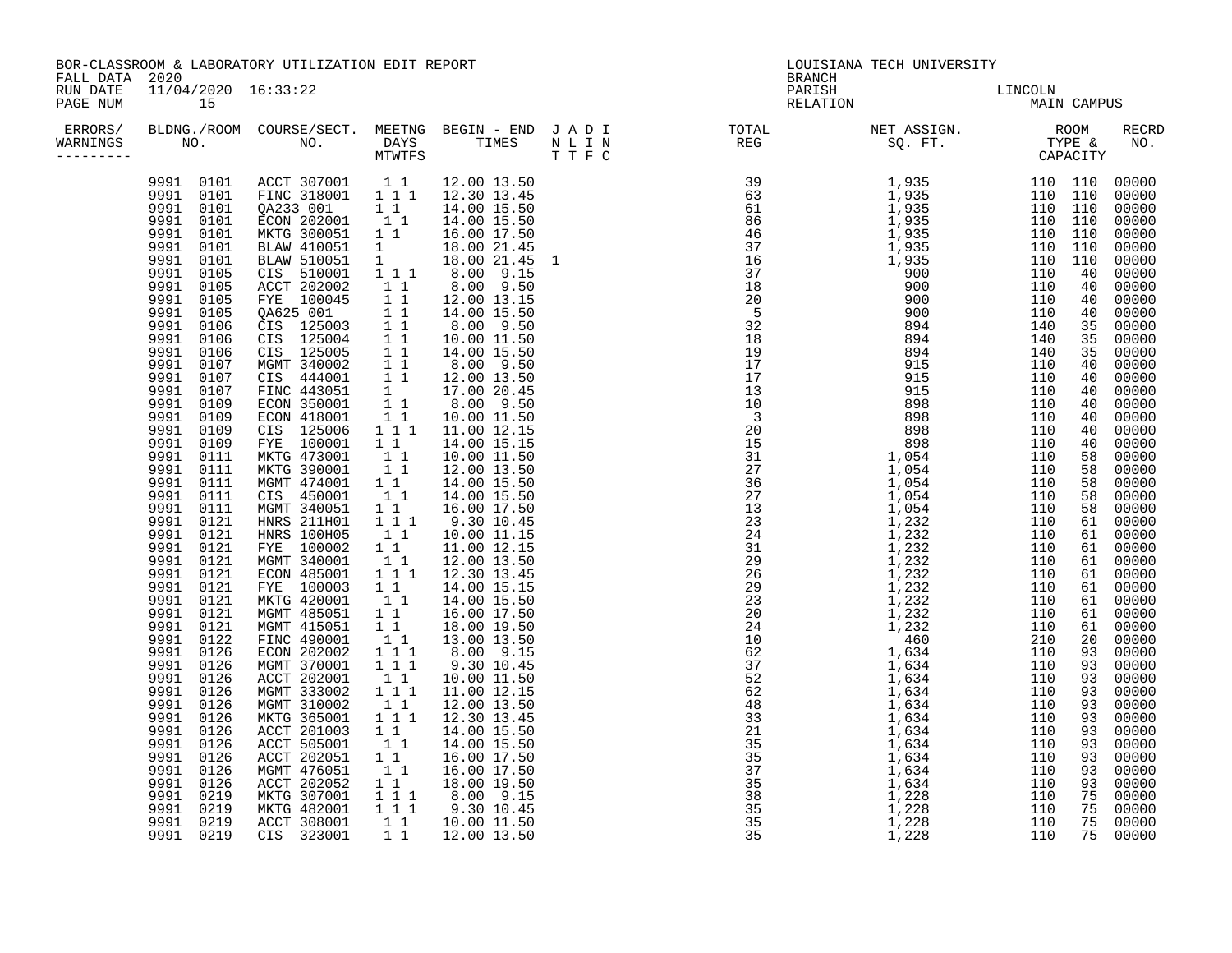| BOR-CLASSROOM & LABORATORY UTILIZATION EDIT REPORT<br>FALL DATA 2020 |                                                                                                                                                                                                                                                                                                                                                                                                                                                                                                                                                                                                                                                                        |                                                                                                                                                                                                                                                                                                                                                                                                                                                                                                                                                                                                                                                                                                                                                                                                                                                                                                                                              |                                                                                                                                                                                                                                                                                    |                                                                                                                                                                                                                                                                                                                                                                                                                                                                                                                                                                                                                                                                                                                                                                                                                                                                                                                                                                                                                                                                                                                                                                                                                                                                                                                                                                                                      |  | <b>BRANCH</b>                                                                                                                                                                                                                                                                                                                                                                                                                    | LOUISIANA TECH UNIVERSITY |  |              |
|----------------------------------------------------------------------|------------------------------------------------------------------------------------------------------------------------------------------------------------------------------------------------------------------------------------------------------------------------------------------------------------------------------------------------------------------------------------------------------------------------------------------------------------------------------------------------------------------------------------------------------------------------------------------------------------------------------------------------------------------------|----------------------------------------------------------------------------------------------------------------------------------------------------------------------------------------------------------------------------------------------------------------------------------------------------------------------------------------------------------------------------------------------------------------------------------------------------------------------------------------------------------------------------------------------------------------------------------------------------------------------------------------------------------------------------------------------------------------------------------------------------------------------------------------------------------------------------------------------------------------------------------------------------------------------------------------------|------------------------------------------------------------------------------------------------------------------------------------------------------------------------------------------------------------------------------------------------------------------------------------|------------------------------------------------------------------------------------------------------------------------------------------------------------------------------------------------------------------------------------------------------------------------------------------------------------------------------------------------------------------------------------------------------------------------------------------------------------------------------------------------------------------------------------------------------------------------------------------------------------------------------------------------------------------------------------------------------------------------------------------------------------------------------------------------------------------------------------------------------------------------------------------------------------------------------------------------------------------------------------------------------------------------------------------------------------------------------------------------------------------------------------------------------------------------------------------------------------------------------------------------------------------------------------------------------------------------------------------------------------------------------------------------------|--|----------------------------------------------------------------------------------------------------------------------------------------------------------------------------------------------------------------------------------------------------------------------------------------------------------------------------------------------------------------------------------------------------------------------------------|---------------------------|--|--------------|
| RUN DATE<br>PAGE NUM                                                 | 11/04/2020 16:33:22<br>15                                                                                                                                                                                                                                                                                                                                                                                                                                                                                                                                                                                                                                              |                                                                                                                                                                                                                                                                                                                                                                                                                                                                                                                                                                                                                                                                                                                                                                                                                                                                                                                                              |                                                                                                                                                                                                                                                                                    |                                                                                                                                                                                                                                                                                                                                                                                                                                                                                                                                                                                                                                                                                                                                                                                                                                                                                                                                                                                                                                                                                                                                                                                                                                                                                                                                                                                                      |  | PARISH<br>RELATION                                                                                                                                                                                                                                                                                                                                                                                                               | LINCOLN<br>MAIN CAMPUS    |  |              |
| ERRORS/<br>WARNINGS<br>--------                                      |                                                                                                                                                                                                                                                                                                                                                                                                                                                                                                                                                                                                                                                                        |                                                                                                                                                                                                                                                                                                                                                                                                                                                                                                                                                                                                                                                                                                                                                                                                                                                                                                                                              |                                                                                                                                                                                                                                                                                    |                                                                                                                                                                                                                                                                                                                                                                                                                                                                                                                                                                                                                                                                                                                                                                                                                                                                                                                                                                                                                                                                                                                                                                                                                                                                                                                                                                                                      |  | BLDNG./ROOM COURSE/SECT. MEETNG BEGIN – END JADI TOTAL METASSIGN. NET ASSIGN. NOOM RECRE<br>NO. NO. DAYS TIMES NLIN REG SQ.FT. TYPE & NO.<br>MTWTFS TTFC                                                                                                                                                                                                                                                                         |                           |  | <b>RECRD</b> |
|                                                                      | 9991 0101<br>9991 0101<br>9991 0101<br>9991 0101<br>9991 0101<br>9991 0101<br>9991 0105<br>9991 0105<br>9991 0105<br>9991 0105<br>9991 0106<br>9991 0106<br>9991 0106<br>9991 0107<br>9991 0107<br>9991 0107<br>9991 0109<br>9991 0109<br>9991 0109<br>9991 0109<br>9991 0111<br>9991 0111<br>9991 0111<br>9991 0111<br>9991 0111<br>9991 0121<br>9991 0121<br>9991 0121<br>9991 0121<br>9991 0121<br>9991 0121<br>9991 0121<br>9991 0121<br>9991 0121<br>9991 0122<br>9991 0126<br>9991 0126<br>9991 0126<br>9991 0126<br>9991 0126<br>9991 0126<br>9991 0126<br>9991 0126<br>9991 0126<br>9991 0126<br>9991 0126<br>9991 0219<br>9991 0219<br>9991 0219<br>9991 0219 | $\begin{array}{cccccc} 9991 & 0101 & \text{ACT} & 307001 & 1 & 1 & 12.00 & 13.50 \\ 9991 & 0101 & \text{FINC} & 318001 & 1 & 1 & 1 & 12.30 & 13.45 \end{array}$<br>2 233 001 11<br>ECON 202001 11<br>MKTG 300051 11<br>BLAW 410051 1<br>BLAW 510051<br>CIS 510001<br>ACCT 202002<br>FYE 100045<br>04625 001 11<br>CIS 125003 11<br>CIS 125004 11<br>CIS 125005 11<br>MGMT 340002<br>CIS 444001<br>FINC 443051<br>ECON 350001<br>ECON 418001<br>CIS 125006<br>FYE 100001<br>MKTG 473001<br>MKTG 390001<br>MGMT 474001<br>CIS 450001<br>MGMT 340051<br>HNRS 211H01<br><b>HNRS 100H05</b><br>FYE 100002<br>MGMT 340001<br>ECON 485001<br>FYE 100003<br>MKTG 420001<br>MGMT 485051<br>MGMT 415051<br>FINC 490001<br>ECON 202002<br>MGMT 370001<br>ACCT 202001<br>MGMT 333002<br>MGMT 310002<br>MKTG 365001<br>ACCT 201003<br>ACCT 505001<br>ACCT 202051<br>MGMT 476051<br>ACCT 202052<br>MKTG 307001<br>MKTG 482001<br>ACCT 308001<br>CIS 323001 | $\frac{1}{1}$<br>$1\quad1$<br>$1\bar{1}$<br>$1\quad1$<br>$1\quad1$<br>$1\quad1$<br>$1\quad1$<br>$1\quad1$<br>$1\quad1$<br>$1\quad1$<br>11<br>$1\quad1$<br>11<br>$1\quad1$<br>11<br>$1\quad1$<br>$\begin{array}{rrrr} & \overline{1} & \overline{1} & 1 \\ & 1 & 1 & 1 \end{array}$ | 16.00 17.50<br>$1 \t1 \t2 \t8.00 \t9.15$<br>1 1 8.00 9.50<br>$8.00 - 9.50$<br>10.00 11.50<br>14.00 15.50<br>$\begin{array}{cccc} 1 & 1 & 1 & 0.0 & 9.50 \ 1 & 1 & 1 & 12.00 & 13.50 \ 1 & 1 & 17.00 & 20.45 \ 1 & 1 & 8.00 & 9.50 \ 1 & 1 & 10.00 & 11.50 \ 1 & 1 & 10.00 & 11.50 \end{array}$<br>1 1 1 11.00 12.15<br>10.00 11.50<br>12.00 13.50<br>1 1 1 14.00 15.50<br>1 1 1 14.00 15.50<br>$\overline{1}$ $\overline{1}$ $\overline{1}$ $\overline{9}$ $\overline{1}$ $\overline{0}$ $\overline{1}$ $\overline{0}$ $\overline{1}$ $\overline{0}$ $\overline{1}$ $\overline{0}$ $\overline{1}$ $\overline{0}$ $\overline{1}$ $\overline{0}$ $\overline{1}$ $\overline{0}$ $\overline{1}$ $\overline{0}$ $\overline{1}$ $\overline{0}$ $\overline{1}$ $\overline{0}$ $\overline{$<br>10.00 11.15<br>$\begin{array}{rrrr} 1 & 1 & 12.00 & 13.50 \\ 1 & 1 & 1 & 12.30 & 13.45 \end{array}$<br>$\begin{bmatrix} 1 & 1 & 14.00 & 15.50 \\ 1 & 1 & 16.00 & 17.50 \end{bmatrix}$<br>$\begin{array}{rrrr} 1 & 1 & 18.00 & 19.50 \ 1 & 1 & 13.00 & 13.50 \ 1 & 1 & 1 & 8.00 & 9.15 \ 1 & 1 & 1 & 9.30 & 10.45 \end{array}$<br>1 1 1 11.00 12.15<br>$\begin{bmatrix} 1 & 1 & 12.00 & 13.50 \\ 1 & 1 & 12.30 & 13.45 \end{bmatrix}$<br>14.00 15.50<br>16.00 17.50<br>$\begin{array}{cccc} 1 & 1 & 1 & 8.00 & 9.15 \\ 1 & 1 & 1 & 9.30 & 10.45 \\ 1 & 1 & 10.00 & 11.50 \\ 1 & 1 & 12.00 & 13.50 \end{array}$ |  | $\begin{bmatrix} \textbf{1} & \textbf{1} & \textbf{1} & \textbf{1} & \textbf{1} & \textbf{1} & \textbf{1} & \textbf{1} & \textbf{1} & \textbf{1} & \textbf{1} & \textbf{1} & \textbf{1} & \textbf{1} & \textbf{1} & \textbf{1} & \textbf{1} & \textbf{1} & \textbf{1} & \textbf{1} & \textbf{1} & \textbf{1} & \textbf{1} & \textbf{1} & \textbf{1} & \textbf{1} & \textbf{1} & \textbf{1} & \textbf{1} & \textbf{1} & \textbf{$ |                           |  |              |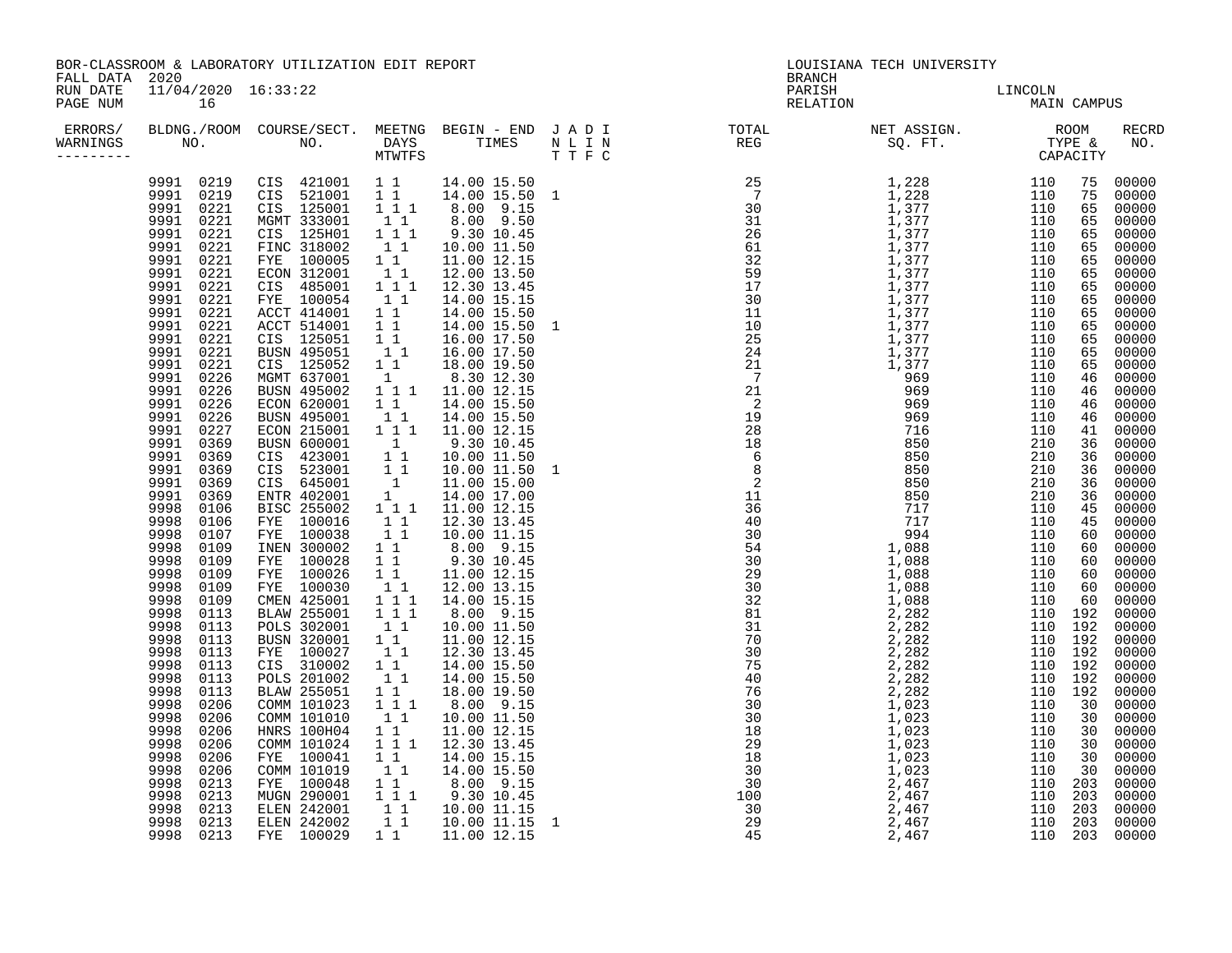| BOR-CLASSROOM & LABORATORY UTILIZATION EDIT REPORT<br>FALL DATA 2020 |                                                                                                                                                                                                                                                                                                                                                                                                                                                                                                                                                                                                                                                                                                                                                        |                                                                                                                                                                                                                                                                                                                                                                                                                                                                                                                                                                                                                                                                                                                                                                                                                                                                                           |                                                                                                                                                                                                                                                         |                                                                                                                                                                                                                                                                                                                                                                                                                                                                                                                                                                                                                                                                                                                                                                                                                                                                                                                                                                                                                                                                                                                                                                                                                                                                                                                                                                                                                                                                                                                                                                                                                                                                                                             |  | <b>BRANCH</b>      | LOUISIANA TECH UNIVERSITY |  |       |
|----------------------------------------------------------------------|--------------------------------------------------------------------------------------------------------------------------------------------------------------------------------------------------------------------------------------------------------------------------------------------------------------------------------------------------------------------------------------------------------------------------------------------------------------------------------------------------------------------------------------------------------------------------------------------------------------------------------------------------------------------------------------------------------------------------------------------------------|-------------------------------------------------------------------------------------------------------------------------------------------------------------------------------------------------------------------------------------------------------------------------------------------------------------------------------------------------------------------------------------------------------------------------------------------------------------------------------------------------------------------------------------------------------------------------------------------------------------------------------------------------------------------------------------------------------------------------------------------------------------------------------------------------------------------------------------------------------------------------------------------|---------------------------------------------------------------------------------------------------------------------------------------------------------------------------------------------------------------------------------------------------------|-------------------------------------------------------------------------------------------------------------------------------------------------------------------------------------------------------------------------------------------------------------------------------------------------------------------------------------------------------------------------------------------------------------------------------------------------------------------------------------------------------------------------------------------------------------------------------------------------------------------------------------------------------------------------------------------------------------------------------------------------------------------------------------------------------------------------------------------------------------------------------------------------------------------------------------------------------------------------------------------------------------------------------------------------------------------------------------------------------------------------------------------------------------------------------------------------------------------------------------------------------------------------------------------------------------------------------------------------------------------------------------------------------------------------------------------------------------------------------------------------------------------------------------------------------------------------------------------------------------------------------------------------------------------------------------------------------------|--|--------------------|---------------------------|--|-------|
| RUN DATE<br>PAGE NUM                                                 | 11/04/2020 16:33:22<br>16                                                                                                                                                                                                                                                                                                                                                                                                                                                                                                                                                                                                                                                                                                                              |                                                                                                                                                                                                                                                                                                                                                                                                                                                                                                                                                                                                                                                                                                                                                                                                                                                                                           |                                                                                                                                                                                                                                                         |                                                                                                                                                                                                                                                                                                                                                                                                                                                                                                                                                                                                                                                                                                                                                                                                                                                                                                                                                                                                                                                                                                                                                                                                                                                                                                                                                                                                                                                                                                                                                                                                                                                                                                             |  | PARISH<br>RELATION | LINCOLN<br>MAIN CAMPUS    |  |       |
| ERRORS/<br>WARNINGS<br>--------                                      |                                                                                                                                                                                                                                                                                                                                                                                                                                                                                                                                                                                                                                                                                                                                                        |                                                                                                                                                                                                                                                                                                                                                                                                                                                                                                                                                                                                                                                                                                                                                                                                                                                                                           |                                                                                                                                                                                                                                                         |                                                                                                                                                                                                                                                                                                                                                                                                                                                                                                                                                                                                                                                                                                                                                                                                                                                                                                                                                                                                                                                                                                                                                                                                                                                                                                                                                                                                                                                                                                                                                                                                                                                                                                             |  |                    |                           |  | RECRD |
|                                                                      | 9991<br>0221<br>9991<br>0221<br>9991<br>0221<br>9991<br>0221<br>0221<br>9991<br>9991<br>0221<br>9991<br>0221<br>9991<br>0221<br>9991<br>0221<br>9991<br>0221<br>9991<br>0221<br>9991<br>0226<br>9991<br>0226<br>9991<br>0226<br>0226<br>9991<br>9991<br>0227<br>9991<br>0369<br>9991 0369<br>9991<br>0369<br>9991<br>0369<br>9991<br>0369<br>9998<br>0106<br>9998<br>0106<br>9998<br>0107<br>9998<br>0109<br>9998<br>0109<br>9998<br>0109<br>9998<br>0109<br>9998<br>0109<br>9998<br>0113<br>0113<br>9998<br>9998<br>0113<br>9998<br>0113<br>9998<br>0113<br>9998<br>0113<br>9998<br>0113<br>9998<br>0206<br>9998<br>0206<br>9998<br>0206<br>9998<br>0206<br>9998<br>0206<br>9998<br>0206<br>9998<br>0213<br>9998<br>0213<br>9998<br>0213<br>9998 0213 | 9991 0219 CIS 421001 1 1 14.00 15.50<br>9991 0219 CIS 521001 1 1 14.00 15.50 1<br>9991 0221 CIS 125001 1 1 1 8.00 9.15<br>9991 0221 MGMT 333001 1 1 8.00 9.50<br>CIS 125H01<br>FINC 318002<br>FYE 100005<br>ECON 312001<br>CIS 485001<br>FYE 100054<br>ACCT 414001<br>ACCT 514001<br>CIS 125051<br>BUSN 495051<br>CIS 125052<br>MGMT 637001<br>BUSN 495002<br>ECON 620001<br>BUSN 495001<br>ECON 215001<br>BUSN 600001<br>CIS 423001<br>CIS 523001<br>CIS 645001<br>ENTR 402001<br>BISC 255002<br>FYE 100016<br>FYE 100038<br>INEN 300002<br>FYE 100028<br>FYE 100026<br>FYE 100030<br>CMEN 425001<br><b>BLAW 255001</b><br>POLS 302001<br><b>BUSN 320001</b><br>FYE 100027<br>CIS 310002<br><b>POLS 201002</b><br><b>BLAW 255051</b><br>COMM 101023<br>COMM 101010<br>HNRS 100H04<br>COMM 101024<br>FYE 100041<br>COMM 101019<br>FYE 100048<br>MUGN 290001<br>ELEN 242001<br>ELEN 242002 | 11<br>11<br>1 1<br>$\mathbf{1}$<br>$\begin{bmatrix} 1 \\ 1 \\ 1 \end{bmatrix}$<br>$1\quad1$<br>$\begin{bmatrix} 1 \\ 1 \end{bmatrix}$<br>11<br>$1\quad1$<br>$1\quad1$<br>11<br>$1\quad1$<br>$1\quad1$<br>$\begin{smallmatrix}1&1\\1&1\end{smallmatrix}$ | $\begin{array}{cccc} 1&1& &0.100& &1.145\\ 1&1& &10.00& 11.50\\ 1&1& &11.00& 12.15 \end{array}$<br>$\begin{array}{rrrr} 1 & 1 & 100 & 12.15 \\ 1 & 1 & 12.00 & 13.50 \\ 1 & 1 & 12.30 & 13.45 \end{array}$<br>14.00 15.15<br>14.00 15.50<br>$\begin{array}{cccc} 1 & 1 & 14 & 00 & 15 & 50 \\ 1 & 1 & 14 & 00 & 15 & 50 \\ 1 & 1 & 16 & 00 & 17 & 50 \\ 1 & 1 & 16 & 00 & 17 & 50 \\ \end{array}$<br>14.00 15.50 1<br>18.00 19.50<br>8.30 12.30<br>1 1 1 11.00 12.15<br>$11$ 14.00 15.50<br>$11$ 14.00 15.50<br>$11$ 14.00 12.15<br>9.30 10.45<br>10.00 11.50<br>$10.00$ $11.50$ 1<br>$11.00$ 15.00<br>14.00 17.00<br>$\begin{matrix} 1 \\ 1 \\ 1 \end{matrix}$ $\begin{matrix} 1 \\ 1 \\ 1 \end{matrix}$ $\begin{matrix} 1 \\ 1 \\ 1 \\ 1 \end{matrix}$ $\begin{matrix} 1 \\ 1 \\ 1 \\ 1 \end{matrix}$ $\begin{matrix} 1 \\ 1 \\ 1 \\ 1 \end{matrix}$ $\begin{matrix} 0 \\ 1 \\ 1 \\ 1 \end{matrix}$ $\begin{matrix} 1 \\ 1 \\ 1 \\ 1 \end{matrix}$ $\begin{matrix} 1 \\ 1 \\ 1 \\ 1 \end{matrix}$<br>10.00 11.15<br>$\begin{array}{cccc} 1 & 1 & 10.00 & 11.15 \ 1 & 1 & 8.00 & 9.15 \ 1 & 1 & 9.30 & 10.45 \ 1 & 1 & 11.00 & 12.15 \ 1 & 1 & 12.00 & 13.15 \ 1 & 1 & 14.00 & 15.15 \ 1 & 1 & 8.00 & 9.15 \end{array}$<br>$\begin{array}{rrrr} 1 & 1 & 10.00 & 11.50 \\ 1 & 1 & 11.00 & 12.15 \\ 1 & 1 & 12.30 & 13.45 \end{array}$<br>14.00 15.50<br>14.00 15.50<br>18.00 19.50<br>$\begin{array}{rrrr} 1 & 1 & 1 & 8.00 & 9.15 \\ 1 & 1 & 10.00 & 11.50 \end{array}$<br>11.00 12.15<br>$\overline{1}$ $\overline{1}$ 1 12.30 13.45<br>14.00 15.15<br>$\begin{bmatrix} 1 & 1 & 14.00 & 15.50 \ 1 & 1 & 8.00 & 9.15 \ 1 & 1 & 9.30 & 10.45 \ 1 & 1 & 10.00 & 11.15 \ 1 & 1 & 10.00 & 11.15 \end{bmatrix}$ |  |                    |                           |  |       |
|                                                                      | 9998 0213                                                                                                                                                                                                                                                                                                                                                                                                                                                                                                                                                                                                                                                                                                                                              | FYE 100029                                                                                                                                                                                                                                                                                                                                                                                                                                                                                                                                                                                                                                                                                                                                                                                                                                                                                | $1\quad1$                                                                                                                                                                                                                                               | $11.00$ $12.15$                                                                                                                                                                                                                                                                                                                                                                                                                                                                                                                                                                                                                                                                                                                                                                                                                                                                                                                                                                                                                                                                                                                                                                                                                                                                                                                                                                                                                                                                                                                                                                                                                                                                                             |  |                    |                           |  |       |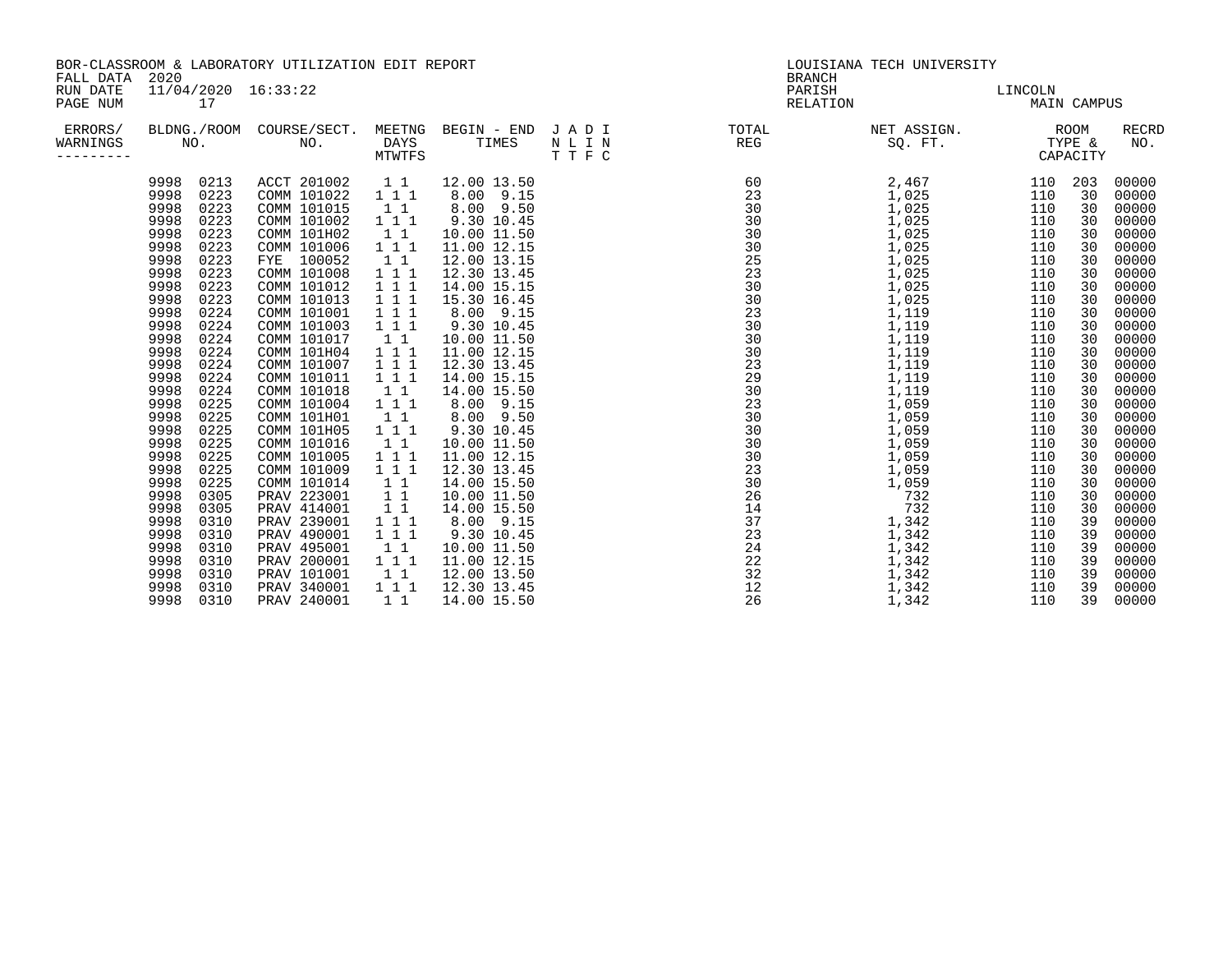| FALL DATA                         | 2020                                                                                                                                                                                                                                                                                                                                                                                                                                                                                                                         | BOR-CLASSROOM & LABORATORY UTILIZATION EDIT REPORT                                                                                                                                                                                                                                                                                                                                                                                                                                          |                                                                                                                                                                                                                                                                                                                                                                                |                                                                                                                                                                                                                                                                                                                                                                                                                                                                                |                                            |                                                                                                                                                                                                                                                                                                                                                                                                                                                                                         | LOUISIANA TECH UNIVERSITY<br><b>BRANCH</b>                                                                                                                                                                                                                                               |                                                                                                                                                                                                                              |                                                                                                                                                                                               |                                                                                                                                                                                                                                                                                              |
|-----------------------------------|------------------------------------------------------------------------------------------------------------------------------------------------------------------------------------------------------------------------------------------------------------------------------------------------------------------------------------------------------------------------------------------------------------------------------------------------------------------------------------------------------------------------------|---------------------------------------------------------------------------------------------------------------------------------------------------------------------------------------------------------------------------------------------------------------------------------------------------------------------------------------------------------------------------------------------------------------------------------------------------------------------------------------------|--------------------------------------------------------------------------------------------------------------------------------------------------------------------------------------------------------------------------------------------------------------------------------------------------------------------------------------------------------------------------------|--------------------------------------------------------------------------------------------------------------------------------------------------------------------------------------------------------------------------------------------------------------------------------------------------------------------------------------------------------------------------------------------------------------------------------------------------------------------------------|--------------------------------------------|-----------------------------------------------------------------------------------------------------------------------------------------------------------------------------------------------------------------------------------------------------------------------------------------------------------------------------------------------------------------------------------------------------------------------------------------------------------------------------------------|------------------------------------------------------------------------------------------------------------------------------------------------------------------------------------------------------------------------------------------------------------------------------------------|------------------------------------------------------------------------------------------------------------------------------------------------------------------------------------------------------------------------------|-----------------------------------------------------------------------------------------------------------------------------------------------------------------------------------------------|----------------------------------------------------------------------------------------------------------------------------------------------------------------------------------------------------------------------------------------------------------------------------------------------|
| RUN DATE<br>PAGE NUM              | $11/04/2020$ $16:33:22$<br>17                                                                                                                                                                                                                                                                                                                                                                                                                                                                                                |                                                                                                                                                                                                                                                                                                                                                                                                                                                                                             |                                                                                                                                                                                                                                                                                                                                                                                |                                                                                                                                                                                                                                                                                                                                                                                                                                                                                |                                            |                                                                                                                                                                                                                                                                                                                                                                                                                                                                                         | PARISH<br>RELATION                                                                                                                                                                                                                                                                       | LINCOLN                                                                                                                                                                                                                      | <b>MAIN CAMPUS</b>                                                                                                                                                                            |                                                                                                                                                                                                                                                                                              |
| ERRORS/<br>WARNINGS<br>---------- | BLDNG./ROOM<br>NO.                                                                                                                                                                                                                                                                                                                                                                                                                                                                                                           | COURSE/SECT.<br>NO.                                                                                                                                                                                                                                                                                                                                                                                                                                                                         | <b>DAYS</b><br><b>MTWTFS</b>                                                                                                                                                                                                                                                                                                                                                   | TIMES                                                                                                                                                                                                                                                                                                                                                                                                                                                                          | MEETNG BEGIN - END J A D I<br>NLIN<br>TTFC | TOTAL<br>REG                                                                                                                                                                                                                                                                                                                                                                                                                                                                            | NET ASSIGN.<br>SO. FT.                                                                                                                                                                                                                                                                   |                                                                                                                                                                                                                              | ROOM<br>TYPE &<br>CAPACITY                                                                                                                                                                    | <b>RECRD</b><br>NO.                                                                                                                                                                                                                                                                          |
|                                   | 0213<br>9998<br>0223<br>9998<br>0223<br>9998<br>9998<br>0223<br>0223<br>9998<br>9998<br>0223<br>9998<br>0223<br>0223<br>9998<br>0223<br>9998<br>9998<br>0223<br>9998<br>0224<br>9998<br>0224<br>0224<br>9998<br>9998<br>0224<br>0224<br>9998<br>9998<br>0224<br>9998<br>0224<br>0225<br>9998<br>0225<br>9998<br>0225<br>9998<br>9998<br>0225<br>0225<br>9998<br>9998<br>0225<br>0225<br>9998<br>9998<br>0305<br>9998<br>0305<br>9998<br>0310<br>9998<br>0310<br>9998<br>0310<br>9998<br>0310<br>9998<br>0310<br>9998<br>0310 | ACCT 201002<br>COMM 101022<br>COMM 101015<br>COMM 101002<br>COMM 101H02<br>COMM 101006<br>FYE 100052<br>COMM 101008<br>COMM 101012<br>COMM 101013<br>COMM 101001<br>COMM 101003<br>COMM 101017<br>COMM 101H04<br>COMM 101007<br>COMM 101011<br>COMM 101018<br>COMM 101004<br>COMM 101H01<br>COMM 101H05<br>COMM 101016<br>COMM 101005<br>COMM 101009<br>COMM 101014<br>PRAV 223001<br>PRAV 414001<br>PRAV 239001<br>PRAV 490001<br>PRAV 495001<br>PRAV 200001<br>PRAV 101001<br>PRAV 340001 | 1 1<br>111<br>1 1<br>111<br>11<br>111<br>11<br>1 1 1<br>1 1 1<br>1 1 1<br>$\overline{1}$ $\overline{1}$ $\overline{1}$<br>$\overline{1}$ $\overline{1}$<br>$1\quad1$<br>111<br>$\begin{array}{ccc} 1&1&1\\ 1&1&1 \end{array}$<br>$1\quad1$<br>111<br>11<br>111<br>11<br>1 1 1<br>1 1 1<br>11<br>$1\quad1$<br>$1\quad1$<br>1 1 1<br>111<br>$1\quad1$<br>111<br>$1\quad1$<br>111 | 12.00 13.50<br>8.00 9.15<br>8.00 9.50<br>9.30 10.45<br>10.00 11.50<br>11.00 12.15<br>12.00 13.15<br>12.30 13.45<br>14.00 15.15<br>15.30 16.45<br>8.00 9.15<br>9.30 10.45<br>10.00 11.50<br>11.00 12.15<br>12.30 13.45<br>14.00 15.15<br>14.00 15.50<br>8.00 9.15<br>8.00 9.50<br>$9.30$ 10.45<br>10.00 11.50<br>11.00 12.15<br>12.30 13.45<br>14.00 15.50<br>10.00 11.50<br>14.00 15.50<br>8.00 9.15<br>9.30 10.45<br>10.00 11.50<br>11.00 12.15<br>12.00 13.50<br>12.30 13.45 |                                            | $\begin{array}{cccccccc} \cdot & \frac{1}{2} & \frac{1}{2} & \frac{1}{2} & \frac{1}{2} & \frac{1}{2} & \frac{1}{2} & \frac{1}{2} & \frac{1}{2} & \frac{1}{2} & \frac{1}{2} & \frac{1}{2} & \frac{1}{2} & \frac{1}{2} & \frac{1}{2} & \frac{1}{2} & \frac{1}{2} & \frac{1}{2} & \frac{1}{2} & \frac{1}{2} & \frac{1}{2} & \frac{1}{2} & \frac{1}{2} & \frac{1}{2} & \frac{1}{2} & \frac{1}{2} & \frac{1}{2} & \$<br>30<br>23<br>30<br>$\begin{array}{c} 26 \\ 14 \end{array}$<br>37 — 10 | 2,467<br>1,025<br>1,025<br>1,025<br>1,025<br>1,025<br>1,025<br>1,025<br>1,025<br>1,025<br>1,119<br>1,119<br>1,119<br>1,119<br>1,119<br>1,119<br>1,119<br>1,059<br>1,059<br>1,059<br>1,059<br>1,059<br>1,059<br>1,059<br>732<br>732<br>1,342<br>1,342<br>1,342<br>1,342<br>1,342<br>1,342 | 110<br>110<br>110<br>110<br>110<br>110<br>110<br>110<br>110<br>110<br>110<br>110<br>110<br>110<br>110<br>110<br>110<br>110<br>110<br>110<br>110<br>110<br>110<br>110<br>110<br>110<br>110<br>110<br>110<br>110<br>110<br>110 | 203<br>30<br>30<br>30<br>30<br>30<br>30<br>30<br>30<br>30<br>30<br>30<br>30<br>30<br>30<br>30<br>30<br>30<br>30<br>30<br>30<br>30<br>30<br>30<br>30<br>30<br>39<br>39<br>39<br>39<br>39<br>39 | 00000<br>00000<br>00000<br>00000<br>00000<br>00000<br>00000<br>00000<br>00000<br>00000<br>00000<br>00000<br>00000<br>00000<br>00000<br>00000<br>00000<br>00000<br>00000<br>00000<br>00000<br>00000<br>00000<br>00000<br>00000<br>00000<br>00000<br>00000<br>00000<br>00000<br>00000<br>00000 |
|                                   | 0310<br>9998                                                                                                                                                                                                                                                                                                                                                                                                                                                                                                                 | PRAV 240001                                                                                                                                                                                                                                                                                                                                                                                                                                                                                 | $1\quad1$                                                                                                                                                                                                                                                                                                                                                                      | 14.00 15.50                                                                                                                                                                                                                                                                                                                                                                                                                                                                    |                                            |                                                                                                                                                                                                                                                                                                                                                                                                                                                                                         | 1,342                                                                                                                                                                                                                                                                                    | 110                                                                                                                                                                                                                          | 39                                                                                                                                                                                            | 00000                                                                                                                                                                                                                                                                                        |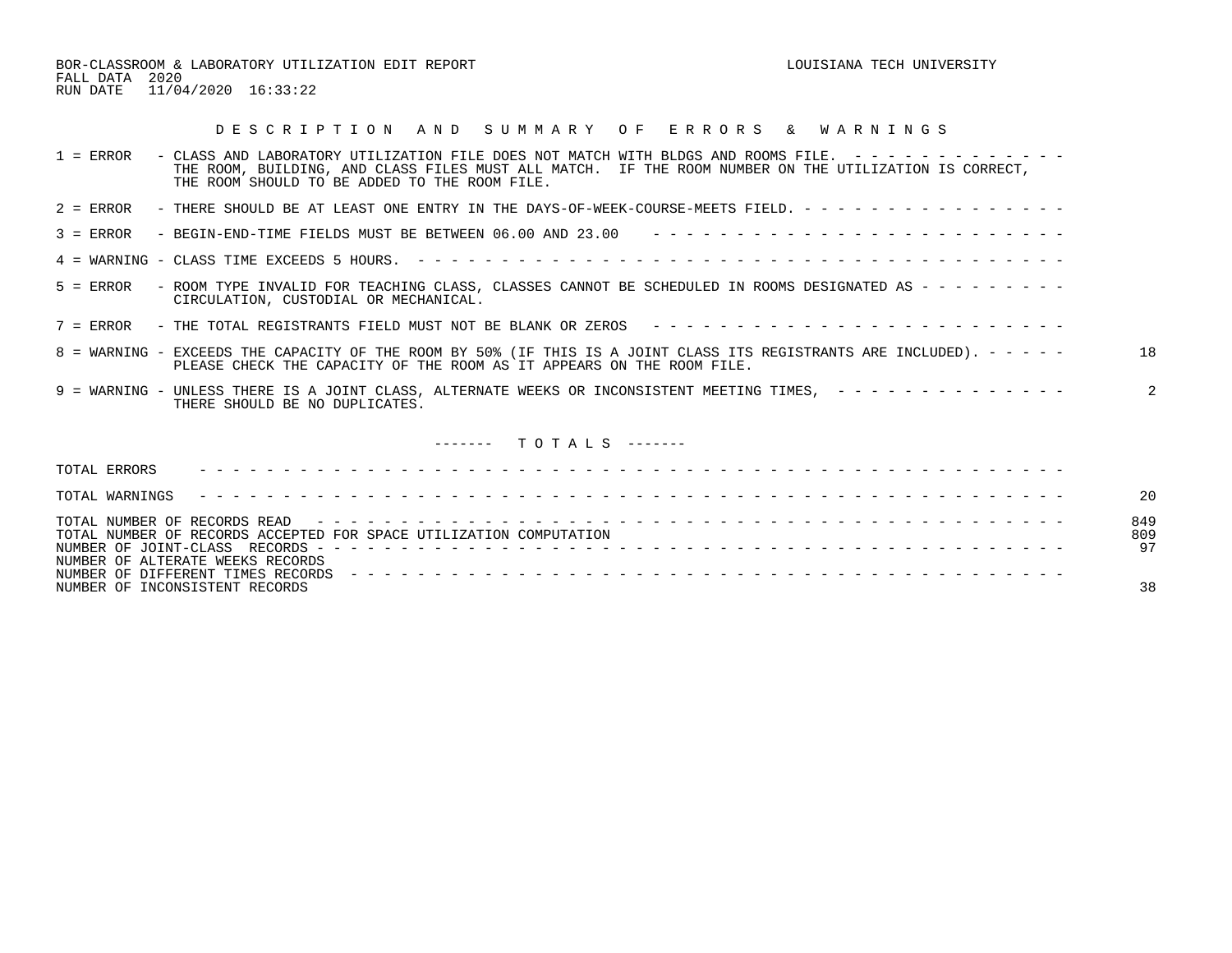BOR-CLASSROOM & LABORATORY UTILIZATION EDIT REPORT **Example 2011 STATE CONSTANT LOUISIAN** TECH UNIVERSITY FALL DATA 2020 RUN DATE 11/04/2020 16:33:22

| DESCRIPTION AND SUMMARY OF ERRORS & WARNINGS                                                                                                                                                                                                                                           |                  |
|----------------------------------------------------------------------------------------------------------------------------------------------------------------------------------------------------------------------------------------------------------------------------------------|------------------|
| - CLASS AND LABORATORY UTILIZATION FILE DOES NOT MATCH WITH BLDGS AND ROOMS FILE. $-$ - - - - - - - - - - - -<br>$1 = ERROR$<br>THE ROOM, BUILDING, AND CLASS FILES MUST ALL MATCH. IF THE ROOM NUMBER ON THE UTILIZATION IS CORRECT,<br>THE ROOM SHOULD TO BE ADDED TO THE ROOM FILE. |                  |
| - THERE SHOULD BE AT LEAST ONE ENTRY IN THE DAYS-OF-WEEK-COURSE-MEETS FIELD. - - - - - - - - - - - - - - - -<br>$2 = ERROR$                                                                                                                                                            |                  |
| - BEGIN-END-TIME FIELDS MUST BE BETWEEN 06.00 AND 23.00 $- - - - - - - - - - - - - - - - - - - - - - - - - - -$<br>$3 = ERROR$                                                                                                                                                         |                  |
|                                                                                                                                                                                                                                                                                        |                  |
| - ROOM TYPE INVALID FOR TEACHING CLASS, CLASSES CANNOT BE SCHEDULED IN ROOMS DESIGNATED AS - - - - - - - - -<br>$5 =$ ERROR<br>CIRCULATION, CUSTODIAL OR MECHANICAL.                                                                                                                   |                  |
| 7 = ERROR - THE TOTAL REGISTRANTS FIELD MUST NOT BE BLANK OR ZEROS ---------------------------                                                                                                                                                                                         |                  |
| 8 = WARNING - EXCEEDS THE CAPACITY OF THE ROOM BY 50% (IF THIS IS A JOINT CLASS ITS REGISTRANTS ARE INCLUDED). - - - - -<br>PLEASE CHECK THE CAPACITY OF THE ROOM AS IT APPEARS ON THE ROOM FILE.                                                                                      | 18               |
| 9 = WARNING - UNLESS THERE IS A JOINT CLASS, ALTERNATE WEEKS OR INCONSISTENT MEETING TIMES, - - - - - - - - - - - - - - -<br>THERE SHOULD BE NO DUPLICATES.                                                                                                                            |                  |
| $------$ TOTALS $---$                                                                                                                                                                                                                                                                  |                  |
| TOTAL ERRORS                                                                                                                                                                                                                                                                           |                  |
| TOTAL WARNINGS                                                                                                                                                                                                                                                                         | 20               |
| TOTAL NUMBER OF RECORDS ACCEPTED FOR SPACE UTILIZATION COMPUTATION<br>NUMBER OF ALTERATE WEEKS RECORDS                                                                                                                                                                                 | 849<br>809<br>97 |

NUMBER OF INCONSISTENT RECORDS 38

NUMBER OF DIFFERENT TIMES RECORDS - - - - - - - - - - - - - - - - - - - - - - - - - - - - - - - - - - - - - - - - - - -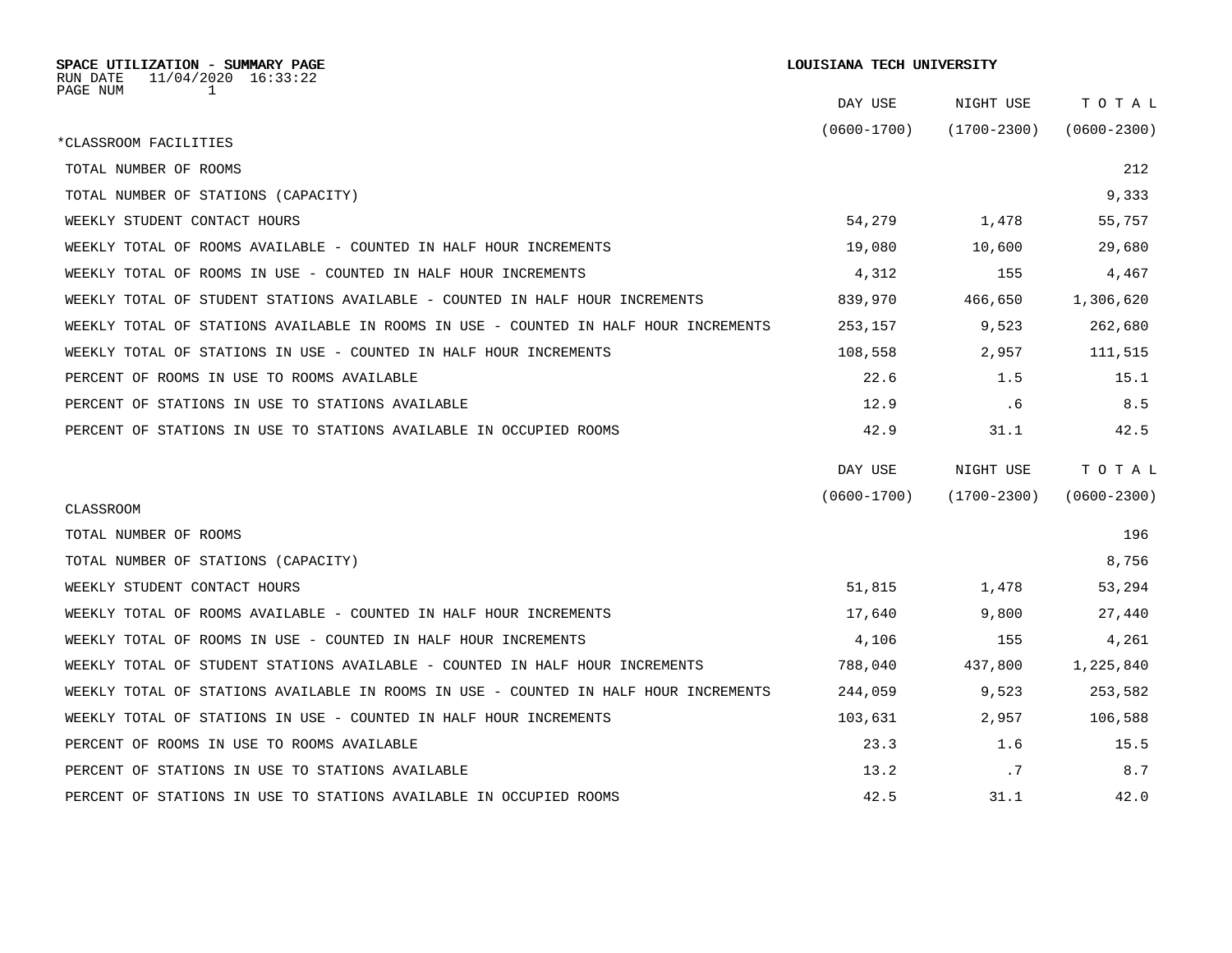| SPACE UTILIZATION - SUMMARY PAGE<br>11/04/2020 16:33:22<br>RUN DATE                  |                 | LOUISIANA TECH UNIVERSITY |                 |  |  |  |
|--------------------------------------------------------------------------------------|-----------------|---------------------------|-----------------|--|--|--|
| PAGE NUM<br>$\mathbf{1}$                                                             | DAY USE         | NIGHT USE                 | TOTAL           |  |  |  |
|                                                                                      | $(0600 - 1700)$ | $(1700 - 2300)$           | $(0600 - 2300)$ |  |  |  |
| *CLASSROOM FACILITIES                                                                |                 |                           |                 |  |  |  |
| TOTAL NUMBER OF ROOMS                                                                |                 |                           | 212             |  |  |  |
| TOTAL NUMBER OF STATIONS (CAPACITY)                                                  |                 |                           | 9,333           |  |  |  |
| WEEKLY STUDENT CONTACT HOURS                                                         | 54,279          | 1,478                     | 55,757          |  |  |  |
| WEEKLY TOTAL OF ROOMS AVAILABLE - COUNTED IN HALF HOUR INCREMENTS                    | 19,080          | 10,600                    | 29,680          |  |  |  |
| WEEKLY TOTAL OF ROOMS IN USE - COUNTED IN HALF HOUR INCREMENTS                       | 4,312           | 155                       | 4,467           |  |  |  |
| WEEKLY TOTAL OF STUDENT STATIONS AVAILABLE - COUNTED IN HALF HOUR INCREMENTS         | 839,970         | 466,650                   | 1,306,620       |  |  |  |
| WEEKLY TOTAL OF STATIONS AVAILABLE IN ROOMS IN USE - COUNTED IN HALF HOUR INCREMENTS | 253,157         | 9,523                     | 262,680         |  |  |  |
| WEEKLY TOTAL OF STATIONS IN USE - COUNTED IN HALF HOUR INCREMENTS                    | 108,558         | 2,957                     | 111,515         |  |  |  |
| PERCENT OF ROOMS IN USE TO ROOMS AVAILABLE                                           | 22.6            | 1.5                       | 15.1            |  |  |  |
| PERCENT OF STATIONS IN USE TO STATIONS AVAILABLE                                     | 12.9            | .6                        | 8.5             |  |  |  |
| PERCENT OF STATIONS IN USE TO STATIONS AVAILABLE IN OCCUPIED ROOMS                   | 42.9            | 31.1                      | 42.5            |  |  |  |
|                                                                                      | DAY USE         | NIGHT USE                 | TOTAL           |  |  |  |
| CLASSROOM                                                                            | $(0600 - 1700)$ | $(1700 - 2300)$           | $(0600 - 2300)$ |  |  |  |
| TOTAL NUMBER OF ROOMS                                                                |                 |                           | 196             |  |  |  |
| TOTAL NUMBER OF STATIONS (CAPACITY)                                                  |                 |                           | 8,756           |  |  |  |
| WEEKLY STUDENT CONTACT HOURS                                                         | 51,815          | 1,478                     | 53,294          |  |  |  |
| WEEKLY TOTAL OF ROOMS AVAILABLE - COUNTED IN HALF HOUR INCREMENTS                    | 17,640          | 9,800                     | 27,440          |  |  |  |
| WEEKLY TOTAL OF ROOMS IN USE - COUNTED IN HALF HOUR INCREMENTS                       | 4,106           | 155                       | 4,261           |  |  |  |
| WEEKLY TOTAL OF STUDENT STATIONS AVAILABLE - COUNTED IN HALF HOUR INCREMENTS         | 788,040         | 437,800                   | 1,225,840       |  |  |  |
| WEEKLY TOTAL OF STATIONS AVAILABLE IN ROOMS IN USE - COUNTED IN HALF HOUR INCREMENTS | 244,059         | 9,523                     | 253,582         |  |  |  |
| WEEKLY TOTAL OF STATIONS IN USE - COUNTED IN HALF HOUR INCREMENTS                    | 103,631         | 2,957                     | 106,588         |  |  |  |
| PERCENT OF ROOMS IN USE TO ROOMS AVAILABLE                                           | 23.3            | 1.6                       | 15.5            |  |  |  |
| PERCENT OF STATIONS IN USE TO STATIONS AVAILABLE                                     | 13.2            | .7                        | 8.7             |  |  |  |
| PERCENT OF STATIONS IN USE TO STATIONS AVAILABLE IN OCCUPIED ROOMS                   | 42.5            | 31.1                      | 42.0            |  |  |  |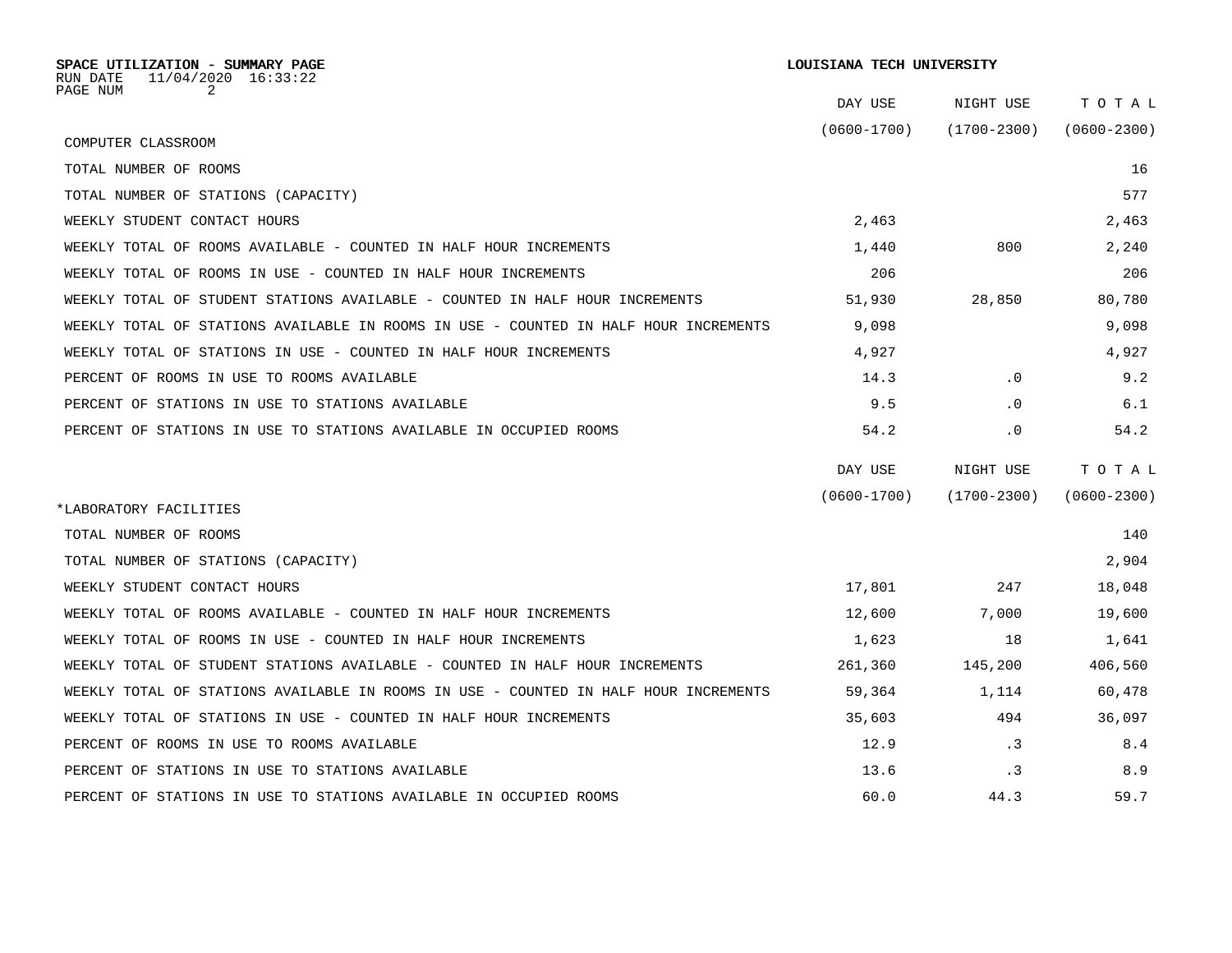| SPACE UTILIZATION - SUMMARY PAGE<br>11/04/2020 16:33:22<br>RUN DATE                  |                 | LOUISIANA TECH UNIVERSITY |                 |  |
|--------------------------------------------------------------------------------------|-----------------|---------------------------|-----------------|--|
| PAGE NUM<br>2                                                                        | DAY USE         | NIGHT USE                 | TOTAL           |  |
| COMPUTER CLASSROOM                                                                   | $(0600 - 1700)$ | $(1700 - 2300)$           | $(0600 - 2300)$ |  |
| TOTAL NUMBER OF ROOMS                                                                |                 |                           | 16              |  |
| TOTAL NUMBER OF STATIONS (CAPACITY)                                                  |                 |                           | 577             |  |
| WEEKLY STUDENT CONTACT HOURS                                                         | 2,463           |                           | 2,463           |  |
| WEEKLY TOTAL OF ROOMS AVAILABLE - COUNTED IN HALF HOUR INCREMENTS                    | 1,440           | 800                       | 2,240           |  |
| WEEKLY TOTAL OF ROOMS IN USE - COUNTED IN HALF HOUR INCREMENTS                       | 206             |                           | 206             |  |
| WEEKLY TOTAL OF STUDENT STATIONS AVAILABLE - COUNTED IN HALF HOUR INCREMENTS         | 51,930          | 28,850                    | 80,780          |  |
| WEEKLY TOTAL OF STATIONS AVAILABLE IN ROOMS IN USE - COUNTED IN HALF HOUR INCREMENTS | 9,098           |                           | 9,098           |  |
| WEEKLY TOTAL OF STATIONS IN USE - COUNTED IN HALF HOUR INCREMENTS                    | 4,927           |                           | 4,927           |  |
| PERCENT OF ROOMS IN USE TO ROOMS AVAILABLE                                           | 14.3            | $\cdot$ 0                 | 9.2             |  |
| PERCENT OF STATIONS IN USE TO STATIONS AVAILABLE                                     | 9.5             | $\cdot$ 0                 | 6.1             |  |
| PERCENT OF STATIONS IN USE TO STATIONS AVAILABLE IN OCCUPIED ROOMS                   | 54.2            | $\cdot$ 0                 | 54.2            |  |
|                                                                                      | DAY USE         | NIGHT USE                 | TOTAL           |  |
| *LABORATORY FACILITIES                                                               | $(0600 - 1700)$ | $(1700 - 2300)$           | $(0600 - 2300)$ |  |
| TOTAL NUMBER OF ROOMS                                                                |                 |                           | 140             |  |
| TOTAL NUMBER OF STATIONS (CAPACITY)                                                  |                 |                           | 2,904           |  |
| WEEKLY STUDENT CONTACT HOURS                                                         | 17,801          | 247                       | 18,048          |  |
| WEEKLY TOTAL OF ROOMS AVAILABLE - COUNTED IN HALF HOUR INCREMENTS                    | 12,600          | 7,000                     | 19,600          |  |
| WEEKLY TOTAL OF ROOMS IN USE - COUNTED IN HALF HOUR INCREMENTS                       | 1,623           | 18                        | 1,641           |  |
| WEEKLY TOTAL OF STUDENT STATIONS AVAILABLE - COUNTED IN HALF HOUR INCREMENTS         | 261,360         | 145,200                   | 406,560         |  |
| WEEKLY TOTAL OF STATIONS AVAILABLE IN ROOMS IN USE - COUNTED IN HALF HOUR INCREMENTS | 59,364          | 1,114                     | 60,478          |  |
| WEEKLY TOTAL OF STATIONS IN USE - COUNTED IN HALF HOUR INCREMENTS                    | 35,603          | 494                       | 36,097          |  |
| PERCENT OF ROOMS IN USE TO ROOMS AVAILABLE                                           | 12.9            | $\cdot$ 3                 | 8.4             |  |
| PERCENT OF STATIONS IN USE TO STATIONS AVAILABLE                                     | 13.6            | $\cdot$ 3                 | 8.9             |  |
| PERCENT OF STATIONS IN USE TO STATIONS AVAILABLE IN OCCUPIED ROOMS                   | 60.0            | 44.3                      | 59.7            |  |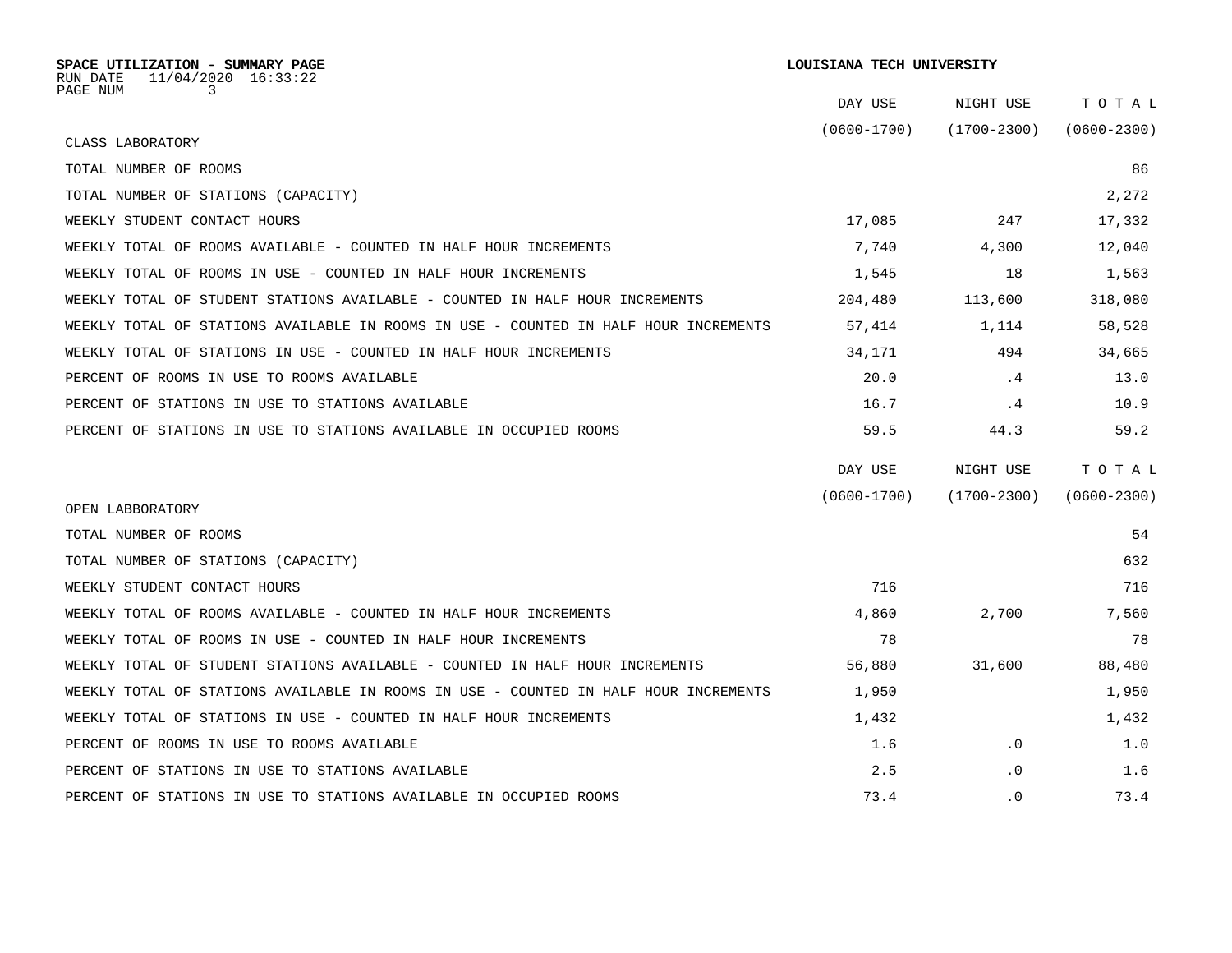| SPACE UTILIZATION - SUMMARY PAGE<br>$11/04/2020$ $16:33:22$<br>RUN DATE              |                 | LOUISIANA TECH UNIVERSITY |                 |  |  |  |
|--------------------------------------------------------------------------------------|-----------------|---------------------------|-----------------|--|--|--|
| PAGE NUM<br>3                                                                        | DAY USE         | NIGHT USE                 | TOTAL           |  |  |  |
| CLASS LABORATORY                                                                     | $(0600 - 1700)$ | $(1700 - 2300)$           | $(0600 - 2300)$ |  |  |  |
| TOTAL NUMBER OF ROOMS                                                                |                 |                           | 86              |  |  |  |
| TOTAL NUMBER OF STATIONS (CAPACITY)                                                  |                 |                           | 2,272           |  |  |  |
| WEEKLY STUDENT CONTACT HOURS                                                         | 17,085          | 247                       | 17,332          |  |  |  |
| WEEKLY TOTAL OF ROOMS AVAILABLE - COUNTED IN HALF HOUR INCREMENTS                    | 7,740           | 4,300                     | 12,040          |  |  |  |
| WEEKLY TOTAL OF ROOMS IN USE - COUNTED IN HALF HOUR INCREMENTS                       | 1,545           | 18                        | 1,563           |  |  |  |
| WEEKLY TOTAL OF STUDENT STATIONS AVAILABLE - COUNTED IN HALF HOUR INCREMENTS         | 204,480         | 113,600                   | 318,080         |  |  |  |
| WEEKLY TOTAL OF STATIONS AVAILABLE IN ROOMS IN USE - COUNTED IN HALF HOUR INCREMENTS | 57,414          | 1,114                     | 58,528          |  |  |  |
| WEEKLY TOTAL OF STATIONS IN USE - COUNTED IN HALF HOUR INCREMENTS                    | 34,171          | 494                       | 34,665          |  |  |  |
| PERCENT OF ROOMS IN USE TO ROOMS AVAILABLE                                           | 20.0            | .4                        | 13.0            |  |  |  |
| PERCENT OF STATIONS IN USE TO STATIONS AVAILABLE                                     | 16.7            | .4                        | 10.9            |  |  |  |
| PERCENT OF STATIONS IN USE TO STATIONS AVAILABLE IN OCCUPIED ROOMS                   | 59.5            | 44.3                      | 59.2            |  |  |  |
|                                                                                      | DAY USE         | NIGHT USE                 | TOTAL           |  |  |  |
|                                                                                      | $(0600 - 1700)$ | $(1700 - 2300)$           | $(0600 - 2300)$ |  |  |  |
| OPEN LABBORATORY                                                                     |                 |                           |                 |  |  |  |
| TOTAL NUMBER OF ROOMS                                                                |                 |                           | 54              |  |  |  |
| TOTAL NUMBER OF STATIONS (CAPACITY)                                                  |                 |                           | 632             |  |  |  |
| WEEKLY STUDENT CONTACT HOURS                                                         | 716             |                           | 716             |  |  |  |
| WEEKLY TOTAL OF ROOMS AVAILABLE - COUNTED IN HALF HOUR INCREMENTS                    | 4,860           | 2,700                     | 7,560           |  |  |  |
| WEEKLY TOTAL OF ROOMS IN USE - COUNTED IN HALF HOUR INCREMENTS                       | 78              |                           | 78              |  |  |  |
| WEEKLY TOTAL OF STUDENT STATIONS AVAILABLE - COUNTED IN HALF HOUR INCREMENTS         | 56,880          | 31,600                    | 88,480          |  |  |  |
| WEEKLY TOTAL OF STATIONS AVAILABLE IN ROOMS IN USE - COUNTED IN HALF HOUR INCREMENTS | 1,950           |                           | 1,950           |  |  |  |
| WEEKLY TOTAL OF STATIONS IN USE - COUNTED IN HALF HOUR INCREMENTS                    | 1,432           |                           | 1,432           |  |  |  |
| PERCENT OF ROOMS IN USE TO ROOMS AVAILABLE                                           | 1.6             | $\cdot$ 0                 | 1.0             |  |  |  |
| PERCENT OF STATIONS IN USE TO STATIONS AVAILABLE                                     | 2.5             | $\cdot$ 0                 | 1.6             |  |  |  |
| PERCENT OF STATIONS IN USE TO STATIONS AVAILABLE IN OCCUPIED ROOMS                   | 73.4            | . 0                       | 73.4            |  |  |  |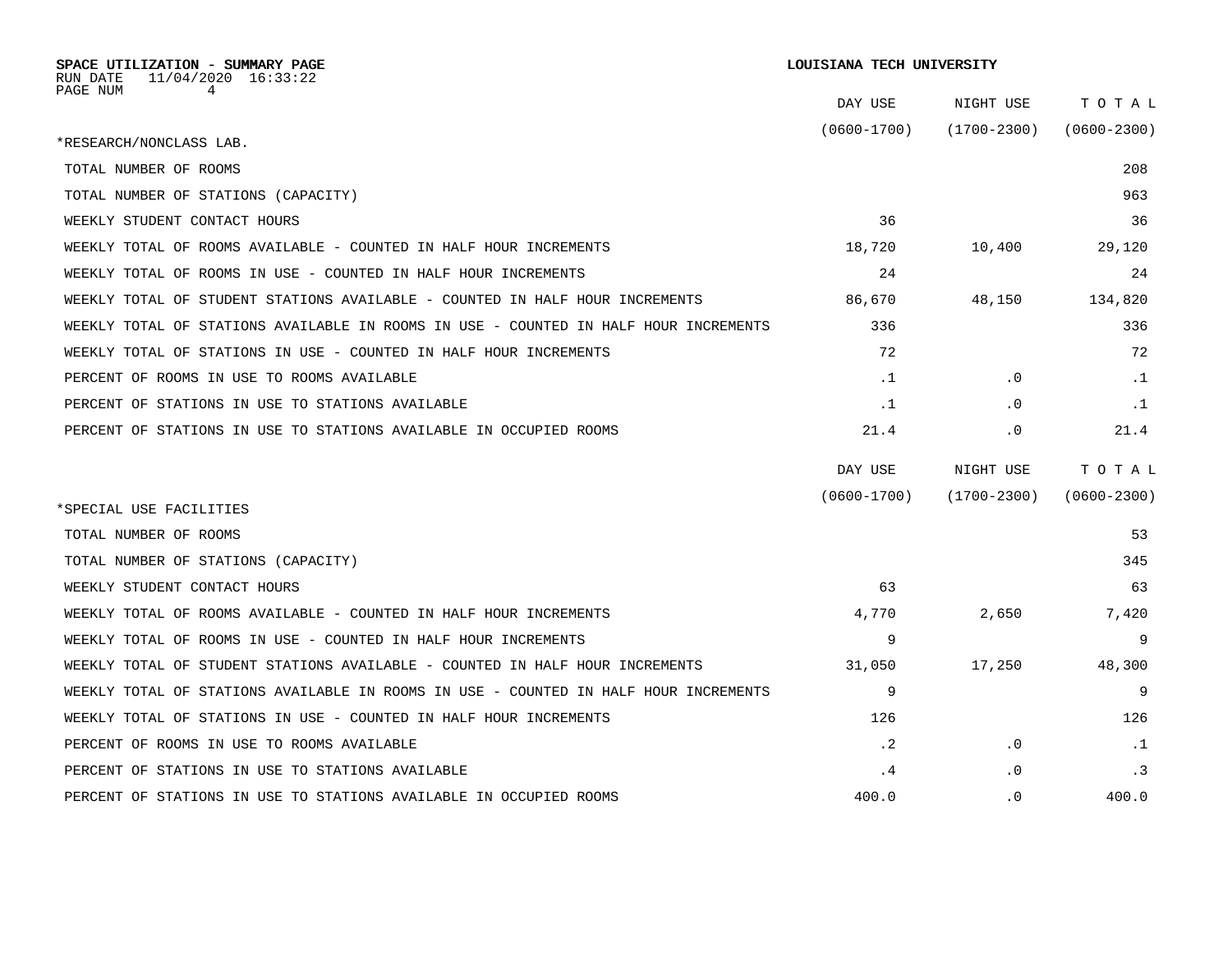| SPACE UTILIZATION - SUMMARY PAGE<br>$11/04/2020$ $16:33:22$<br>RUN DATE              | LOUISIANA TECH UNIVERSITY |                 |                 |  |  |  |
|--------------------------------------------------------------------------------------|---------------------------|-----------------|-----------------|--|--|--|
| PAGE NUM<br>4                                                                        | DAY USE                   | NIGHT USE       | TOTAL           |  |  |  |
| *RESEARCH/NONCLASS LAB.                                                              | $(0600 - 1700)$           | $(1700 - 2300)$ | $(0600 - 2300)$ |  |  |  |
| TOTAL NUMBER OF ROOMS                                                                |                           |                 | 208             |  |  |  |
| TOTAL NUMBER OF STATIONS (CAPACITY)                                                  |                           |                 | 963             |  |  |  |
| WEEKLY STUDENT CONTACT HOURS                                                         | 36                        |                 | 36              |  |  |  |
| WEEKLY TOTAL OF ROOMS AVAILABLE - COUNTED IN HALF HOUR INCREMENTS                    | 18,720                    | 10,400          | 29,120          |  |  |  |
| WEEKLY TOTAL OF ROOMS IN USE - COUNTED IN HALF HOUR INCREMENTS                       | 24                        |                 | 24              |  |  |  |
|                                                                                      |                           |                 |                 |  |  |  |
| WEEKLY TOTAL OF STUDENT STATIONS AVAILABLE - COUNTED IN HALF HOUR INCREMENTS         | 86,670                    | 48,150          | 134,820         |  |  |  |
| WEEKLY TOTAL OF STATIONS AVAILABLE IN ROOMS IN USE - COUNTED IN HALF HOUR INCREMENTS | 336                       |                 | 336             |  |  |  |
| WEEKLY TOTAL OF STATIONS IN USE - COUNTED IN HALF HOUR INCREMENTS                    | 72                        |                 | 72              |  |  |  |
| PERCENT OF ROOMS IN USE TO ROOMS AVAILABLE                                           | $\cdot$ 1                 | $\cdot$ 0       | $\cdot$ 1       |  |  |  |
| PERCENT OF STATIONS IN USE TO STATIONS AVAILABLE                                     | $\cdot$ 1                 | $\cdot$ 0       | $\cdot$ 1       |  |  |  |
| PERCENT OF STATIONS IN USE TO STATIONS AVAILABLE IN OCCUPIED ROOMS                   | 21.4                      | $\cdot$ 0       | 21.4            |  |  |  |
|                                                                                      | DAY USE                   | NIGHT USE       | TOTAL           |  |  |  |
| *SPECIAL USE FACILITIES                                                              | $(0600 - 1700)$           | $(1700 - 2300)$ | $(0600 - 2300)$ |  |  |  |
| TOTAL NUMBER OF ROOMS                                                                |                           |                 | 53              |  |  |  |
| TOTAL NUMBER OF STATIONS (CAPACITY)                                                  |                           |                 | 345             |  |  |  |
| WEEKLY STUDENT CONTACT HOURS                                                         | 63                        |                 | 63              |  |  |  |
| WEEKLY TOTAL OF ROOMS AVAILABLE - COUNTED IN HALF HOUR INCREMENTS                    | 4,770                     | 2,650           | 7,420           |  |  |  |
|                                                                                      |                           |                 |                 |  |  |  |
| WEEKLY TOTAL OF ROOMS IN USE - COUNTED IN HALF HOUR INCREMENTS                       | 9                         |                 | 9               |  |  |  |
| WEEKLY TOTAL OF STUDENT STATIONS AVAILABLE - COUNTED IN HALF HOUR INCREMENTS         | 31,050                    | 17,250          | 48,300          |  |  |  |
| WEEKLY TOTAL OF STATIONS AVAILABLE IN ROOMS IN USE - COUNTED IN HALF HOUR INCREMENTS | 9                         |                 | 9               |  |  |  |
| WEEKLY TOTAL OF STATIONS IN USE - COUNTED IN HALF HOUR INCREMENTS                    | 126                       |                 | 126             |  |  |  |
| PERCENT OF ROOMS IN USE TO ROOMS AVAILABLE                                           | $\cdot$ 2                 | $\cdot$ 0       | $\cdot$ 1       |  |  |  |
| PERCENT OF STATIONS IN USE TO STATIONS AVAILABLE                                     | . 4                       | $\cdot$ 0       | $\cdot$ 3       |  |  |  |
| PERCENT OF STATIONS IN USE TO STATIONS AVAILABLE IN OCCUPIED ROOMS                   | 400.0                     | . 0             | 400.0           |  |  |  |